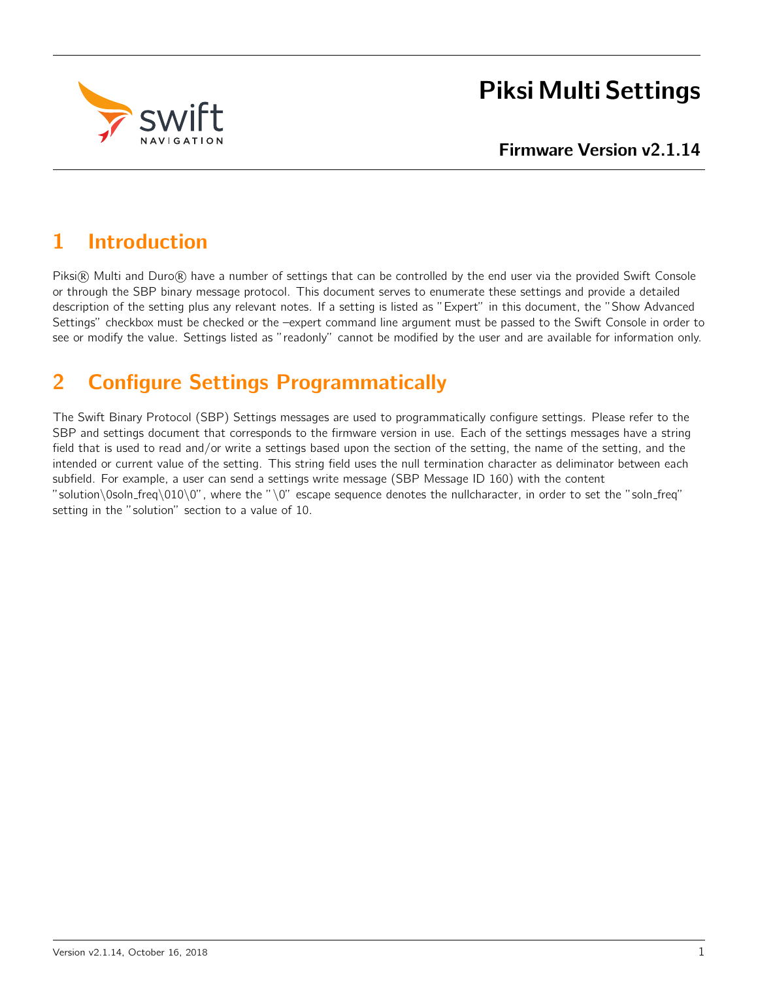

# Piksi Multi Settings

# 1 Introduction

Piksi® Multi and Duro® have a number of settings that can be controlled by the end user via the provided Swift Console or through the SBP binary message protocol. This document serves to enumerate these settings and provide a detailed description of the setting plus any relevant notes. If a setting is listed as "Expert" in this document, the "Show Advanced Settings" checkbox must be checked or the –expert command line argument must be passed to the Swift Console in order to see or modify the value. Settings listed as "readonly" cannot be modified by the user and are available for information only.

# 2 Configure Settings Programmatically

The Swift Binary Protocol (SBP) Settings messages are used to programmatically configure settings. Please refer to the SBP and settings document that corresponds to the firmware version in use. Each of the settings messages have a string field that is used to read and/or write a settings based upon the section of the setting, the name of the setting, and the intended or current value of the setting. This string field uses the null termination character as deliminator between each subfield. For example, a user can send a settings write message (SBP Message ID 160) with the content "solution\0soln\_freq\010\0", where the "\0" escape sequence denotes the nullcharacter, in order to set the "soln\_freq" setting in the "solution" section to a value of 10.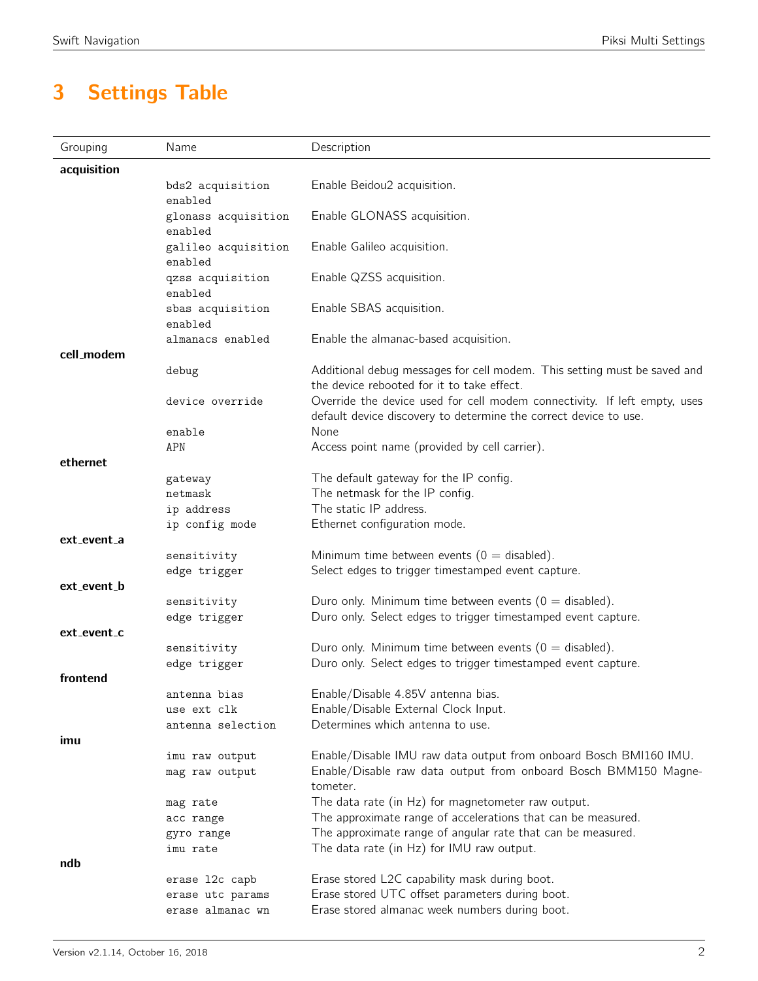# 3 Settings Table

| Grouping    | Name                           | Description                                                                                          |
|-------------|--------------------------------|------------------------------------------------------------------------------------------------------|
| acquisition |                                |                                                                                                      |
|             | bds2 acquisition               | Enable Beidou2 acquisition.                                                                          |
|             | enabled                        |                                                                                                      |
|             | glonass acquisition<br>enabled | Enable GLONASS acquisition.                                                                          |
|             | galileo acquisition            | Enable Galileo acquisition.                                                                          |
|             | enabled                        |                                                                                                      |
|             | qzss acquisition               | Enable QZSS acquisition.                                                                             |
|             | enabled                        |                                                                                                      |
|             | sbas acquisition               | Enable SBAS acquisition.                                                                             |
|             | enabled<br>almanacs enabled    | Enable the almanac-based acquisition.                                                                |
| cell modem  |                                |                                                                                                      |
|             | debug                          | Additional debug messages for cell modem. This setting must be saved and                             |
|             |                                | the device rebooted for it to take effect.                                                           |
|             | device override                | Override the device used for cell modem connectivity. If left empty, uses                            |
|             |                                | default device discovery to determine the correct device to use.<br>None                             |
|             | enable<br>APN                  | Access point name (provided by cell carrier).                                                        |
| ethernet    |                                |                                                                                                      |
|             | gateway                        | The default gateway for the IP config.                                                               |
|             | netmask                        | The netmask for the IP config.                                                                       |
|             | ip address                     | The static IP address.                                                                               |
|             | ip config mode                 | Ethernet configuration mode.                                                                         |
| ext_event_a |                                |                                                                                                      |
|             | sensitivity<br>edge trigger    | Minimum time between events ( $0 =$ disabled).<br>Select edges to trigger timestamped event capture. |
| ext_event_b |                                |                                                                                                      |
|             | sensitivity                    | Duro only. Minimum time between events ( $0 =$ disabled).                                            |
|             | edge trigger                   | Duro only. Select edges to trigger timestamped event capture.                                        |
| ext_event_c |                                |                                                                                                      |
|             | sensitivity                    | Duro only. Minimum time between events ( $0 =$ disabled).                                            |
| frontend    | edge trigger                   | Duro only. Select edges to trigger timestamped event capture.                                        |
|             | antenna bias                   | Enable/Disable 4.85V antenna bias.                                                                   |
|             | use ext clk                    | Enable/Disable External Clock Input.                                                                 |
|             | antenna selection              | Determines which antenna to use.                                                                     |
| imu         |                                |                                                                                                      |
|             | imu raw output                 | Enable/Disable IMU raw data output from onboard Bosch BMI160 IMU.                                    |
|             | mag raw output                 | Enable/Disable raw data output from onboard Bosch BMM150 Magne-                                      |
|             |                                | tometer.<br>The data rate (in Hz) for magnetometer raw output.                                       |
|             | mag rate<br>acc range          | The approximate range of accelerations that can be measured.                                         |
|             | gyro range                     | The approximate range of angular rate that can be measured.                                          |
|             | imu rate                       | The data rate (in Hz) for IMU raw output.                                                            |
| ndb         |                                |                                                                                                      |
|             | erase 12c capb                 | Erase stored L2C capability mask during boot.                                                        |
|             | erase utc params               | Erase stored UTC offset parameters during boot.                                                      |
|             | erase almanac wn               | Erase stored almanac week numbers during boot.                                                       |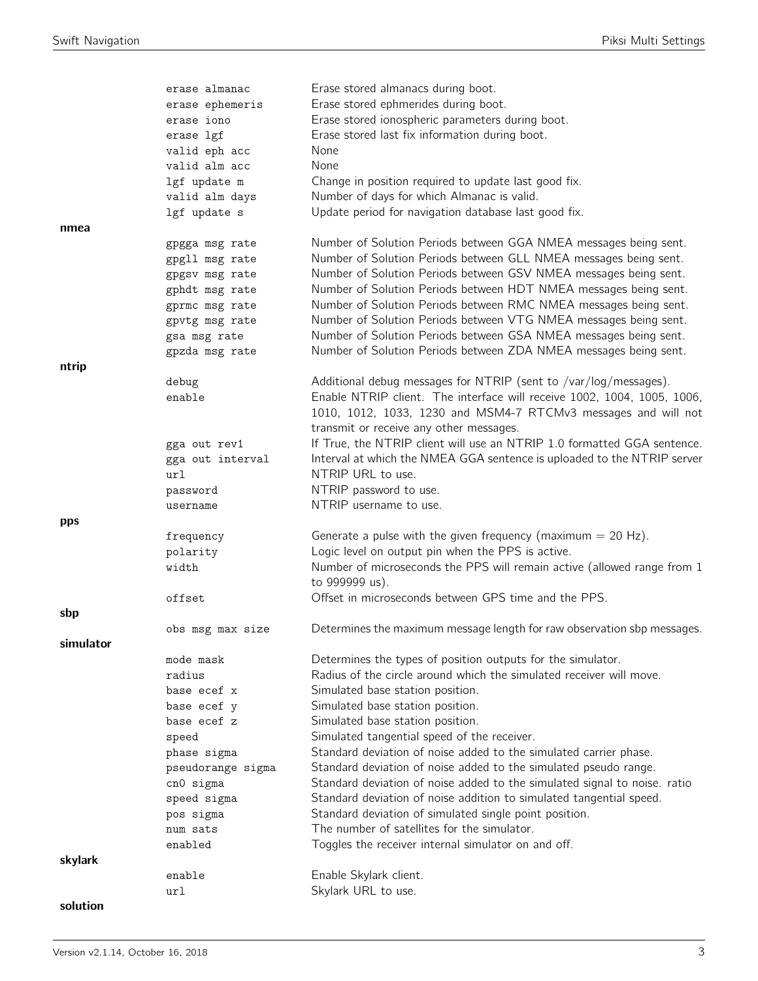|           | erase almanac     | Erase stored almanacs during boot.                                        |
|-----------|-------------------|---------------------------------------------------------------------------|
|           | erase ephemeris   | Erase stored ephmerides during boot.                                      |
|           | erase iono        | Erase stored ionospheric parameters during boot.                          |
|           | erase lgf         | Erase stored last fix information during boot.                            |
|           | valid eph acc     | None                                                                      |
|           | valid alm acc     | None                                                                      |
|           | lgf update m      | Change in position required to update last good fix.                      |
|           | valid alm days    | Number of days for which Almanac is valid.                                |
|           | lgf update s      | Update period for navigation database last good fix.                      |
| nmea      |                   |                                                                           |
|           | gpgga msg rate    | Number of Solution Periods between GGA NMEA messages being sent.          |
|           | gpgll msg rate    | Number of Solution Periods between GLL NMEA messages being sent.          |
|           | gpgsv msg rate    | Number of Solution Periods between GSV NMEA messages being sent.          |
|           | gphdt msg rate    | Number of Solution Periods between HDT NMEA messages being sent.          |
|           | gprmc msg rate    | Number of Solution Periods between RMC NMEA messages being sent.          |
|           | gpvtg msg rate    | Number of Solution Periods between VTG NMEA messages being sent.          |
|           | gsa msg rate      | Number of Solution Periods between GSA NMEA messages being sent.          |
|           | gpzda msg rate    | Number of Solution Periods between ZDA NMEA messages being sent.          |
| ntrip     |                   |                                                                           |
|           | debug             | Additional debug messages for NTRIP (sent to /var/log/messages).          |
|           | enable            | Enable NTRIP client. The interface will receive 1002, 1004, 1005, 1006,   |
|           |                   | 1010, 1012, 1033, 1230 and MSM4-7 RTCMv3 messages and will not            |
|           |                   | transmit or receive any other messages.                                   |
|           | gga out rev1      | If True, the NTRIP client will use an NTRIP 1.0 formatted GGA sentence.   |
|           | gga out interval  | Interval at which the NMEA GGA sentence is uploaded to the NTRIP server   |
|           | url               | NTRIP URL to use.                                                         |
|           | password          | NTRIP password to use.                                                    |
|           | username          | NTRIP username to use.                                                    |
|           |                   |                                                                           |
| pps       |                   |                                                                           |
|           | frequency         | Generate a pulse with the given frequency (maximum $= 20$ Hz).            |
|           | polarity          | Logic level on output pin when the PPS is active.                         |
|           | width             | Number of microseconds the PPS will remain active (allowed range from 1   |
|           |                   | to 999999 us).                                                            |
|           | offset            | Offset in microseconds between GPS time and the PPS.                      |
| sbp       |                   |                                                                           |
|           | obs msg max size  | Determines the maximum message length for raw observation sbp messages.   |
| simulator |                   |                                                                           |
|           | mode mask         | Determines the types of position outputs for the simulator.               |
|           | radius            | Radius of the circle around which the simulated receiver will move.       |
|           | base ecef x       | Simulated base station position.                                          |
|           | base ecef y       | Simulated base station position.                                          |
|           | base ecef z       | Simulated base station position.                                          |
|           | speed             | Simulated tangential speed of the receiver.                               |
|           | phase sigma       | Standard deviation of noise added to the simulated carrier phase.         |
|           | pseudorange sigma | Standard deviation of noise added to the simulated pseudo range.          |
|           | cn0 sigma         | Standard deviation of noise added to the simulated signal to noise. ratio |
|           | speed sigma       | Standard deviation of noise addition to simulated tangential speed.       |
|           | pos sigma         | Standard deviation of simulated single point position.                    |
|           | num sats          | The number of satellites for the simulator.                               |
|           | enabled           | Toggles the receiver internal simulator on and off.                       |
| skylark   |                   |                                                                           |
|           | enable            | Enable Skylark client.                                                    |
| solution  | url               | Skylark URL to use.                                                       |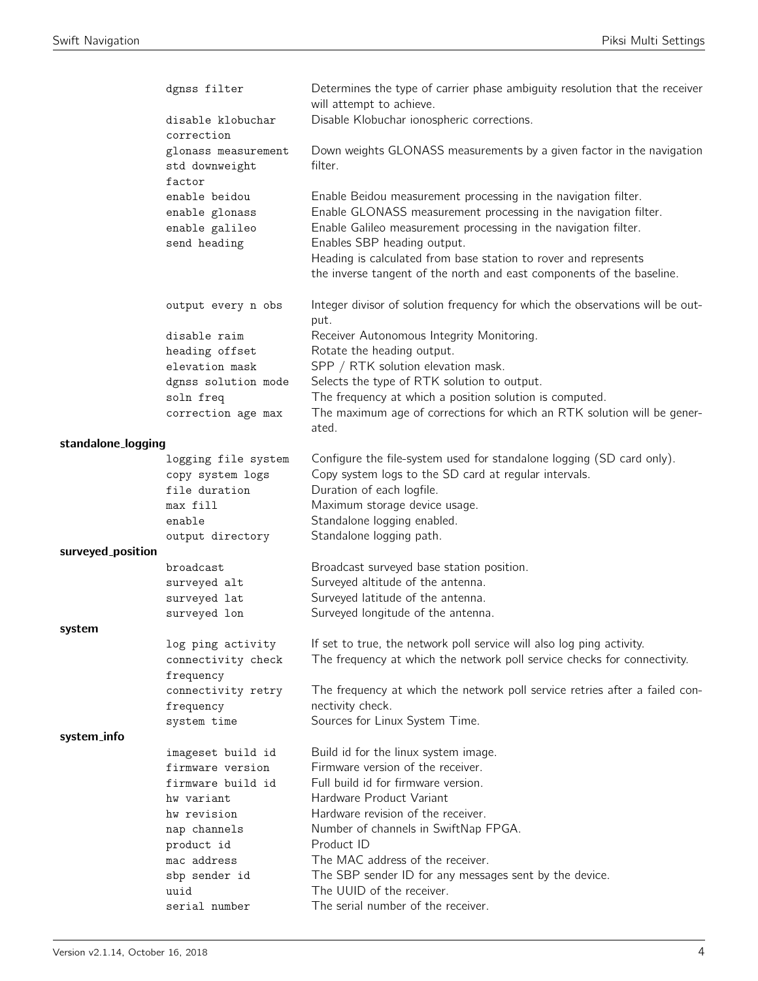|                    | dgnss filter                                                      | Determines the type of carrier phase ambiguity resolution that the receiver<br>will attempt to achieve.                                                                                                                             |
|--------------------|-------------------------------------------------------------------|-------------------------------------------------------------------------------------------------------------------------------------------------------------------------------------------------------------------------------------|
|                    | disable klobuchar<br>correction                                   | Disable Klobuchar ionospheric corrections.                                                                                                                                                                                          |
|                    | glonass measurement<br>std downweight<br>factor                   | Down weights GLONASS measurements by a given factor in the navigation<br>filter.                                                                                                                                                    |
|                    | enable beidou<br>enable glonass<br>enable galileo<br>send heading | Enable Beidou measurement processing in the navigation filter.<br>Enable GLONASS measurement processing in the navigation filter.<br>Enable Galileo measurement processing in the navigation filter.<br>Enables SBP heading output. |
|                    |                                                                   | Heading is calculated from base station to rover and represents<br>the inverse tangent of the north and east components of the baseline.                                                                                            |
|                    | output every n obs                                                | Integer divisor of solution frequency for which the observations will be out-<br>put.                                                                                                                                               |
|                    | disable raim                                                      | Receiver Autonomous Integrity Monitoring.                                                                                                                                                                                           |
|                    | heading offset                                                    | Rotate the heading output.                                                                                                                                                                                                          |
|                    | elevation mask                                                    | SPP / RTK solution elevation mask.                                                                                                                                                                                                  |
|                    | dgnss solution mode                                               | Selects the type of RTK solution to output.                                                                                                                                                                                         |
|                    | soln freq<br>correction age max                                   | The frequency at which a position solution is computed.<br>The maximum age of corrections for which an RTK solution will be gener-<br>ated.                                                                                         |
| standalone_logging |                                                                   |                                                                                                                                                                                                                                     |
|                    | logging file system                                               | Configure the file-system used for standalone logging (SD card only).                                                                                                                                                               |
|                    | copy system logs                                                  | Copy system logs to the SD card at regular intervals.                                                                                                                                                                               |
|                    | file duration                                                     | Duration of each logfile.                                                                                                                                                                                                           |
|                    | max fill                                                          | Maximum storage device usage.                                                                                                                                                                                                       |
|                    | enable                                                            | Standalone logging enabled.                                                                                                                                                                                                         |
| surveyed_position  | output directory                                                  | Standalone logging path.                                                                                                                                                                                                            |
|                    | broadcast                                                         | Broadcast surveyed base station position.                                                                                                                                                                                           |
|                    | surveyed alt                                                      | Surveyed altitude of the antenna.                                                                                                                                                                                                   |
|                    | surveyed lat                                                      | Surveyed latitude of the antenna.                                                                                                                                                                                                   |
|                    | surveyed lon                                                      | Surveyed longitude of the antenna.                                                                                                                                                                                                  |
| system             |                                                                   |                                                                                                                                                                                                                                     |
|                    | log ping activity<br>connectivity check<br>frequency              | If set to true, the network poll service will also log ping activity.<br>The frequency at which the network poll service checks for connectivity.                                                                                   |
|                    | connectivity retry<br>frequency                                   | The frequency at which the network poll service retries after a failed con-<br>nectivity check.                                                                                                                                     |
|                    | system time                                                       | Sources for Linux System Time.                                                                                                                                                                                                      |
| system_info        |                                                                   |                                                                                                                                                                                                                                     |
|                    | imageset build id                                                 | Build id for the linux system image.                                                                                                                                                                                                |
|                    | firmware version                                                  | Firmware version of the receiver.                                                                                                                                                                                                   |
|                    | firmware build id                                                 | Full build id for firmware version.<br>Hardware Product Variant                                                                                                                                                                     |
|                    | hw variant<br>hw revision                                         | Hardware revision of the receiver.                                                                                                                                                                                                  |
|                    | nap channels                                                      | Number of channels in SwiftNap FPGA.                                                                                                                                                                                                |
|                    | product id                                                        | Product ID                                                                                                                                                                                                                          |
|                    | mac address                                                       | The MAC address of the receiver.                                                                                                                                                                                                    |
|                    | sbp sender id                                                     | The SBP sender ID for any messages sent by the device.                                                                                                                                                                              |
|                    | uuid                                                              | The UUID of the receiver.                                                                                                                                                                                                           |
|                    | serial number                                                     | The serial number of the receiver.                                                                                                                                                                                                  |
|                    |                                                                   |                                                                                                                                                                                                                                     |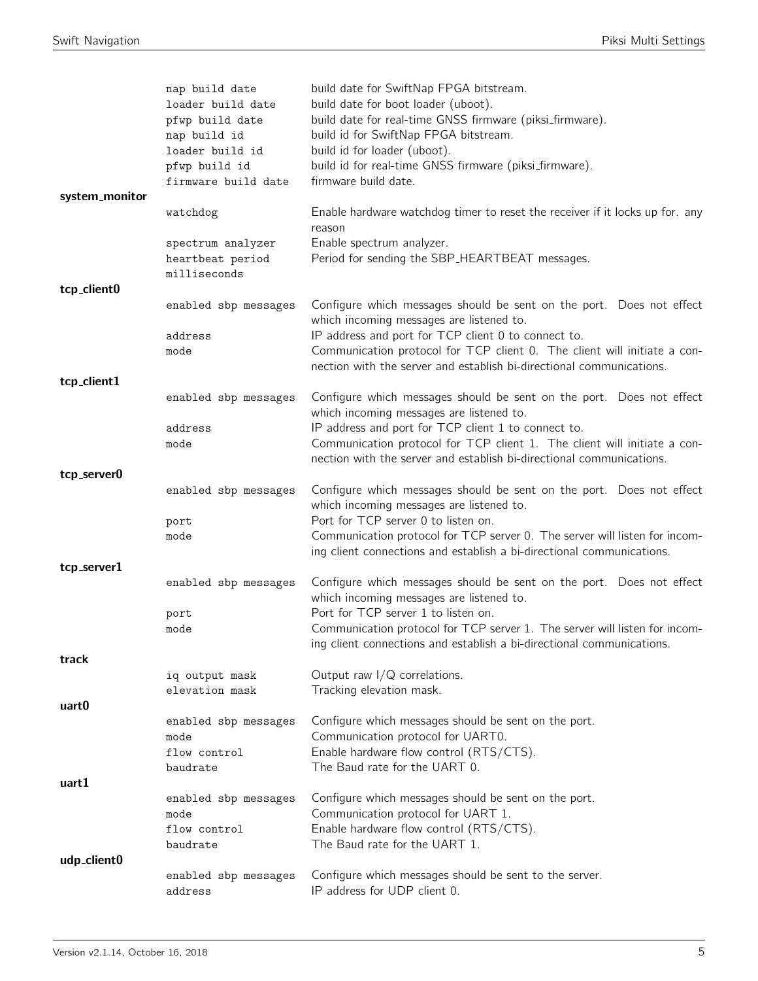| nap build date<br>loader build date<br>pfwp build date<br>nap build id | build date for SwiftNap FPGA bitstream.<br>build date for boot loader (uboot).<br>build date for real-time GNSS firmware (piksi_firmware).<br>build id for SwiftNap FPGA bitstream.<br>build id for loader (uboot). |
|------------------------------------------------------------------------|---------------------------------------------------------------------------------------------------------------------------------------------------------------------------------------------------------------------|
| pfwp build id<br>firmware build date                                   | build id for real-time GNSS firmware (piksi_firmware).<br>firmware build date.                                                                                                                                      |
| watchdog                                                               | Enable hardware watchdog timer to reset the receiver if it locks up for. any<br>reason                                                                                                                              |
| spectrum analyzer<br>heartbeat period<br>milliseconds                  | Enable spectrum analyzer.<br>Period for sending the SBP_HEARTBEAT messages.                                                                                                                                         |
|                                                                        |                                                                                                                                                                                                                     |
| enabled sbp messages                                                   | Configure which messages should be sent on the port. Does not effect<br>which incoming messages are listened to.                                                                                                    |
| address<br>mode                                                        | IP address and port for TCP client 0 to connect to.<br>Communication protocol for TCP client 0. The client will initiate a con-<br>nection with the server and establish bi-directional communications.             |
|                                                                        |                                                                                                                                                                                                                     |
| enabled sbp messages                                                   | Configure which messages should be sent on the port. Does not effect<br>which incoming messages are listened to.                                                                                                    |
| address                                                                | IP address and port for TCP client 1 to connect to.                                                                                                                                                                 |
| mode                                                                   | Communication protocol for TCP client 1. The client will initiate a con-<br>nection with the server and establish bi-directional communications.                                                                    |
|                                                                        |                                                                                                                                                                                                                     |
|                                                                        | Configure which messages should be sent on the port. Does not effect<br>which incoming messages are listened to.                                                                                                    |
| mode                                                                   | Port for TCP server 0 to listen on.<br>Communication protocol for TCP server 0. The server will listen for incom-<br>ing client connections and establish a bi-directional communications.                          |
|                                                                        |                                                                                                                                                                                                                     |
| enabled sbp messages                                                   | Configure which messages should be sent on the port. Does not effect<br>which incoming messages are listened to.                                                                                                    |
| port                                                                   | Port for TCP server 1 to listen on.                                                                                                                                                                                 |
| mode                                                                   | Communication protocol for TCP server 1. The server will listen for incom-<br>ing client connections and establish a bi-directional communications.                                                                 |
|                                                                        |                                                                                                                                                                                                                     |
| iq output mask<br>elevation mask                                       | Output raw $I/Q$ correlations.<br>Tracking elevation mask.                                                                                                                                                          |
|                                                                        |                                                                                                                                                                                                                     |
| mode                                                                   | Configure which messages should be sent on the port.<br>Communication protocol for UART0.                                                                                                                           |
| baudrate                                                               | Enable hardware flow control (RTS/CTS).<br>The Baud rate for the UART 0.                                                                                                                                            |
| enabled sbp messages                                                   | Configure which messages should be sent on the port.                                                                                                                                                                |
| flow control                                                           | Communication protocol for UART 1.<br>Enable hardware flow control (RTS/CTS).<br>The Baud rate for the UART 1.                                                                                                      |
|                                                                        |                                                                                                                                                                                                                     |
| enabled sbp messages<br>address                                        | Configure which messages should be sent to the server.<br>IP address for UDP client 0.                                                                                                                              |
|                                                                        | loader build id<br>enabled sbp messages<br>port<br>enabled sbp messages<br>flow control<br>mode<br>baudrate                                                                                                         |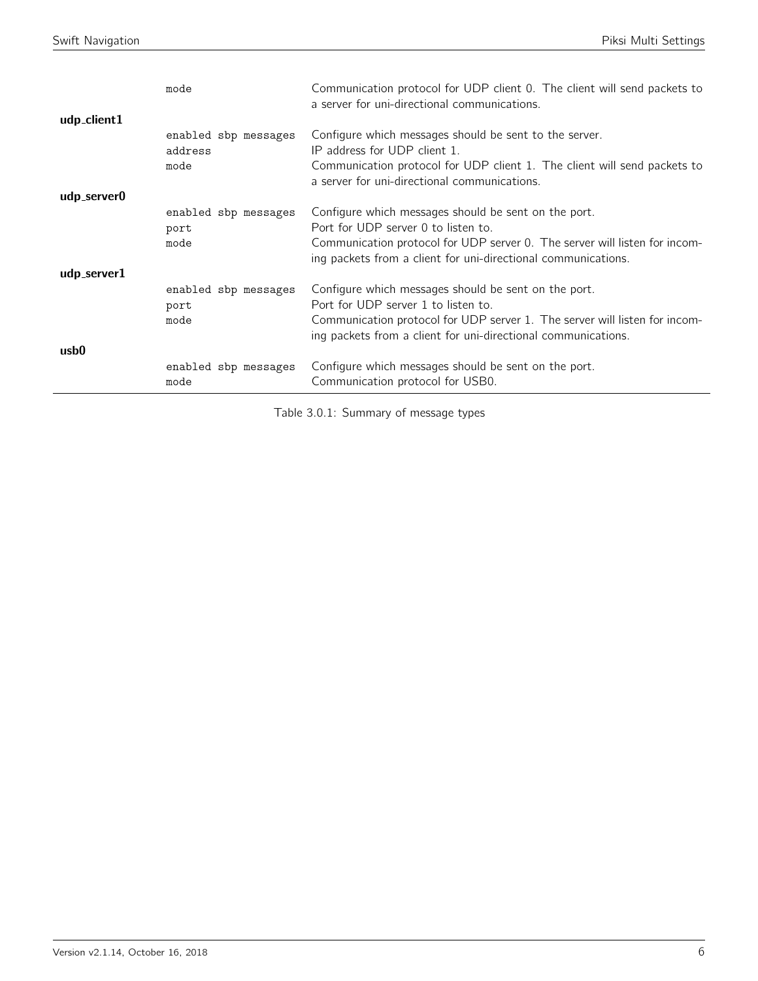|                            | mode                                    | Communication protocol for UDP client 0. The client will send packets to<br>a server for uni-directional communications.                                                                                                                   |
|----------------------------|-----------------------------------------|--------------------------------------------------------------------------------------------------------------------------------------------------------------------------------------------------------------------------------------------|
| udp_client1<br>udp_server0 | enabled sbp messages<br>address<br>mode | Configure which messages should be sent to the server.<br>IP address for UDP client 1.<br>Communication protocol for UDP client 1. The client will send packets to<br>a server for uni-directional communications.                         |
| udp_server1                | enabled sbp messages<br>port<br>mode    | Configure which messages should be sent on the port.<br>Port for UDP server 0 to listen to.<br>Communication protocol for UDP server 0. The server will listen for incom-<br>ing packets from a client for uni-directional communications. |
|                            | enabled sbp messages<br>port<br>mode    | Configure which messages should be sent on the port.<br>Port for UDP server 1 to listen to.<br>Communication protocol for UDP server 1. The server will listen for incom-<br>ing packets from a client for uni-directional communications. |
| usb0                       | enabled sbp messages<br>mode            | Configure which messages should be sent on the port.<br>Communication protocol for USB0.                                                                                                                                                   |

Table 3.0.1: Summary of message types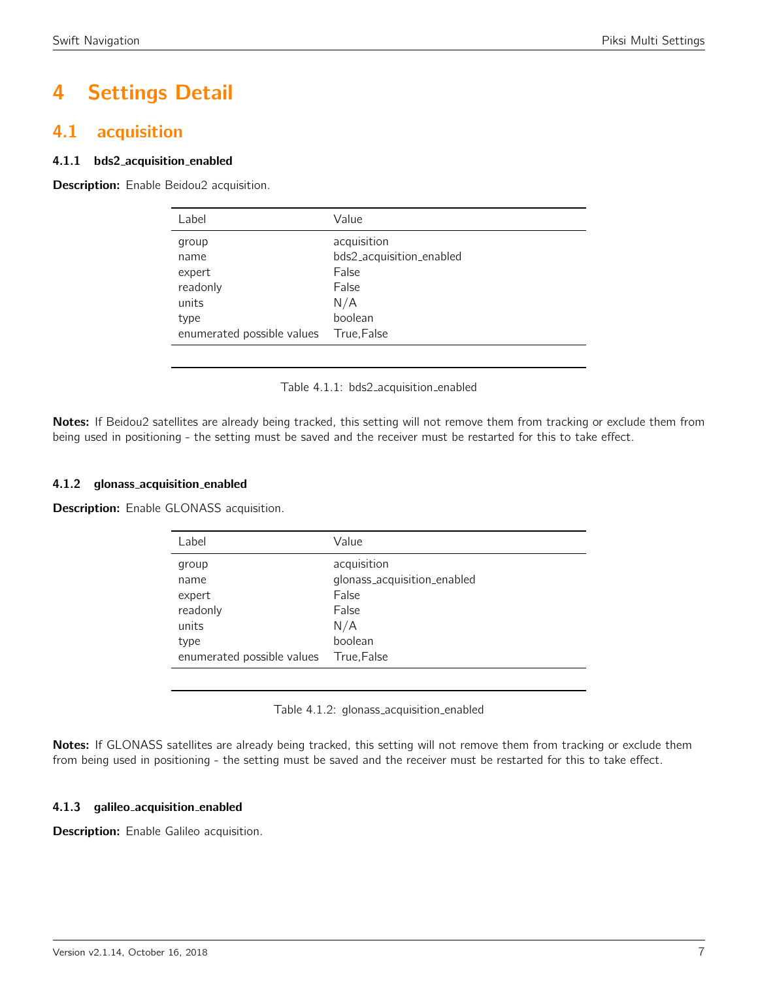# 4 Settings Detail

# <span id="page-6-0"></span>4.1 acquisition

# 4.1.1 bds2 acquisition enabled

<span id="page-6-1"></span>Description: Enable Beidou2 acquisition.

| Label                      | Value                    |
|----------------------------|--------------------------|
| group                      | acquisition              |
| name                       | bds2_acquisition_enabled |
| expert                     | False                    |
| readonly                   | False                    |
| units                      | N/A                      |
| type                       | boolean                  |
| enumerated possible values | True, False              |
|                            |                          |

Table 4.1.1: bds2 acquisition enabled

Notes: If Beidou2 satellites are already being tracked, this setting will not remove them from tracking or exclude them from being used in positioning - the setting must be saved and the receiver must be restarted for this to take effect.

# 4.1.2 glonass acquisition enabled

<span id="page-6-2"></span>**Description:** Enable GLONASS acquisition.

| Label                      | Value                       |
|----------------------------|-----------------------------|
| group                      | acquisition                 |
| name                       | glonass_acquisition_enabled |
| expert                     | False                       |
| readonly                   | False                       |
| units                      | N/A                         |
| type                       | boolean                     |
| enumerated possible values | True,False                  |

Table 4.1.2: glonass\_acquisition\_enabled

Notes: If GLONASS satellites are already being tracked, this setting will not remove them from tracking or exclude them from being used in positioning - the setting must be saved and the receiver must be restarted for this to take effect.

# 4.1.3 galileo acquisition enabled

Description: Enable Galileo acquisition.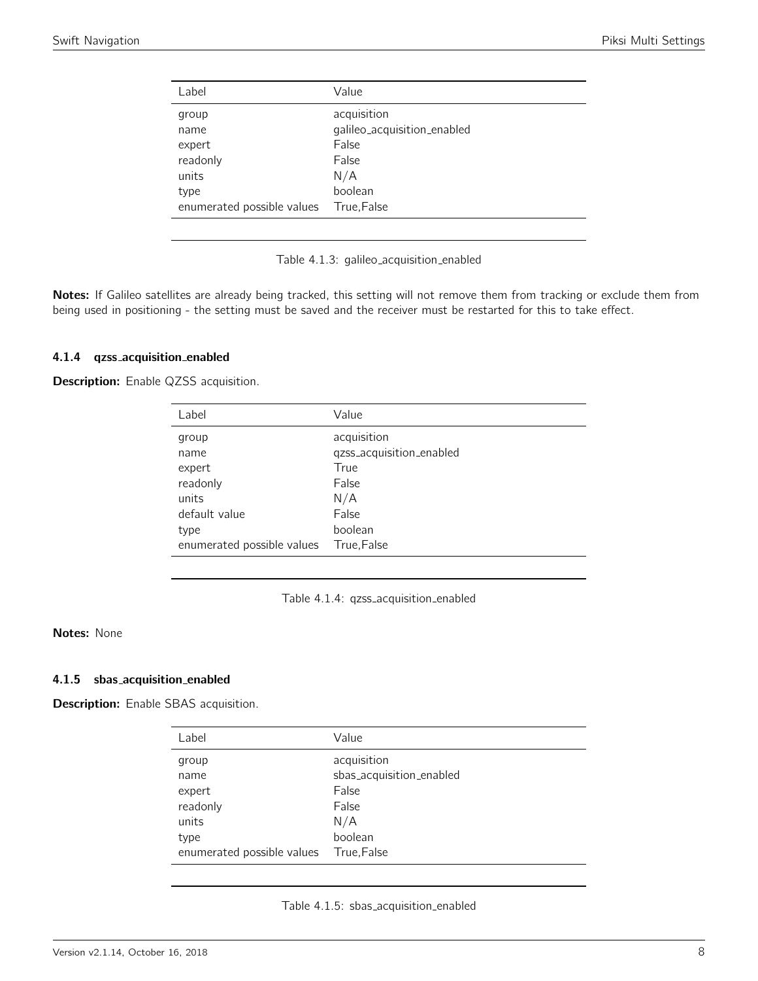<span id="page-7-0"></span>

| Label                      | Value                       |
|----------------------------|-----------------------------|
| group                      | acquisition                 |
| name                       | galileo_acquisition_enabled |
| expert                     | False                       |
| readonly                   | False                       |
| units                      | N/A                         |
| type                       | boolean                     |
| enumerated possible values | True, False                 |

Table 4.1.3: galileo acquisition enabled

Notes: If Galileo satellites are already being tracked, this setting will not remove them from tracking or exclude them from being used in positioning - the setting must be saved and the receiver must be restarted for this to take effect.

#### 4.1.4 qzss acquisition enabled

<span id="page-7-1"></span>Description: Enable QZSS acquisition.

| Label                                                         | Value                                                                    |
|---------------------------------------------------------------|--------------------------------------------------------------------------|
| group<br>name<br>expert<br>readonly<br>units<br>default value | acquisition<br>qzss_acquisition_enabled<br>True<br>False<br>N/A<br>False |
|                                                               | boolean                                                                  |
|                                                               |                                                                          |
| type<br>enumerated possible values                            | True, False                                                              |
|                                                               |                                                                          |

Table 4.1.4: qzss acquisition enabled

# Notes: None

#### 4.1.5 sbas acquisition enabled

<span id="page-7-2"></span>Description: Enable SBAS acquisition.

| Label                      | Value                    |
|----------------------------|--------------------------|
| group                      | acquisition              |
| name                       | sbas_acquisition_enabled |
| expert                     | False                    |
| readonly                   | False                    |
| units                      | N/A                      |
| type                       | boolean                  |
| enumerated possible values | True, False              |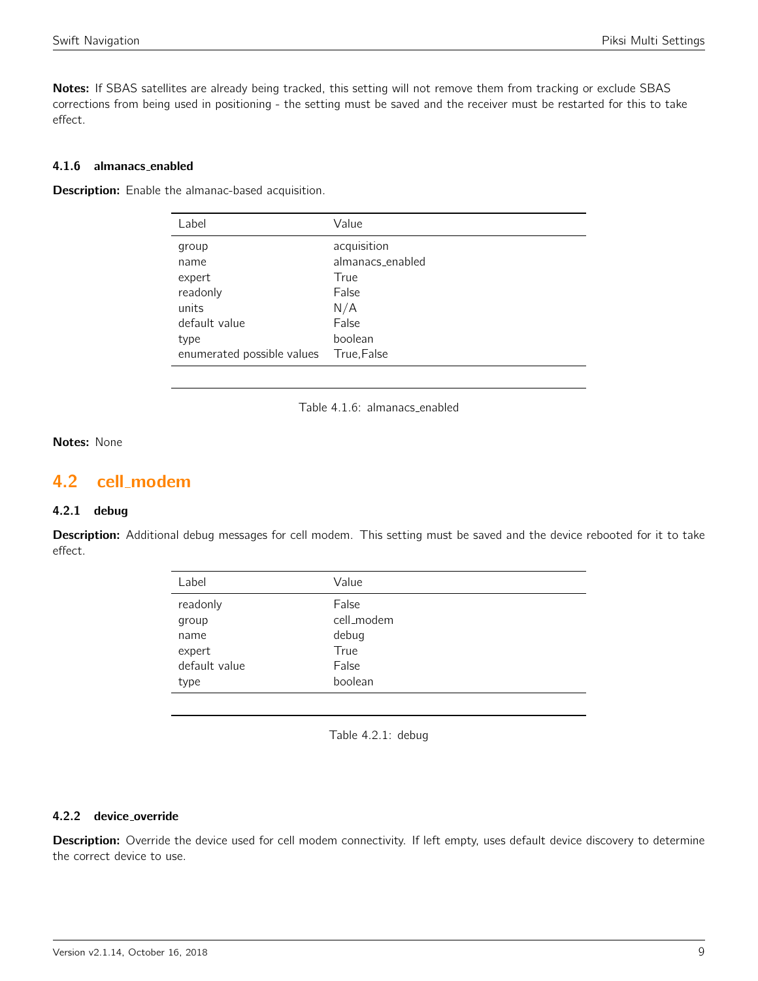Notes: If SBAS satellites are already being tracked, this setting will not remove them from tracking or exclude SBAS corrections from being used in positioning - the setting must be saved and the receiver must be restarted for this to take effect.

# 4.1.6 almanacs enabled

**Description:** Enable the almanac-based acquisition.

| Label                      | Value            |
|----------------------------|------------------|
| group                      | acquisition      |
| name                       | almanacs_enabled |
| expert                     | True             |
| readonly                   | False            |
| units                      | N/A              |
| default value              | False            |
| type                       | boolean          |
| enumerated possible values | True, False      |

Table 4.1.6: almanacs enabled

# Notes: None

# <span id="page-8-0"></span>4.2 cell modem

#### 4.2.1 debug

<span id="page-8-1"></span>Description: Additional debug messages for cell modem. This setting must be saved and the device rebooted for it to take effect.

| Label         | Value      |
|---------------|------------|
| readonly      | False      |
| group         | cell_modem |
| name          | debug      |
| expert        | True       |
| default value | False      |
| type          | boolean    |
|               |            |

Table 4.2.1: debug

#### 4.2.2 device override

Description: Override the device used for cell modem connectivity. If left empty, uses default device discovery to determine the correct device to use.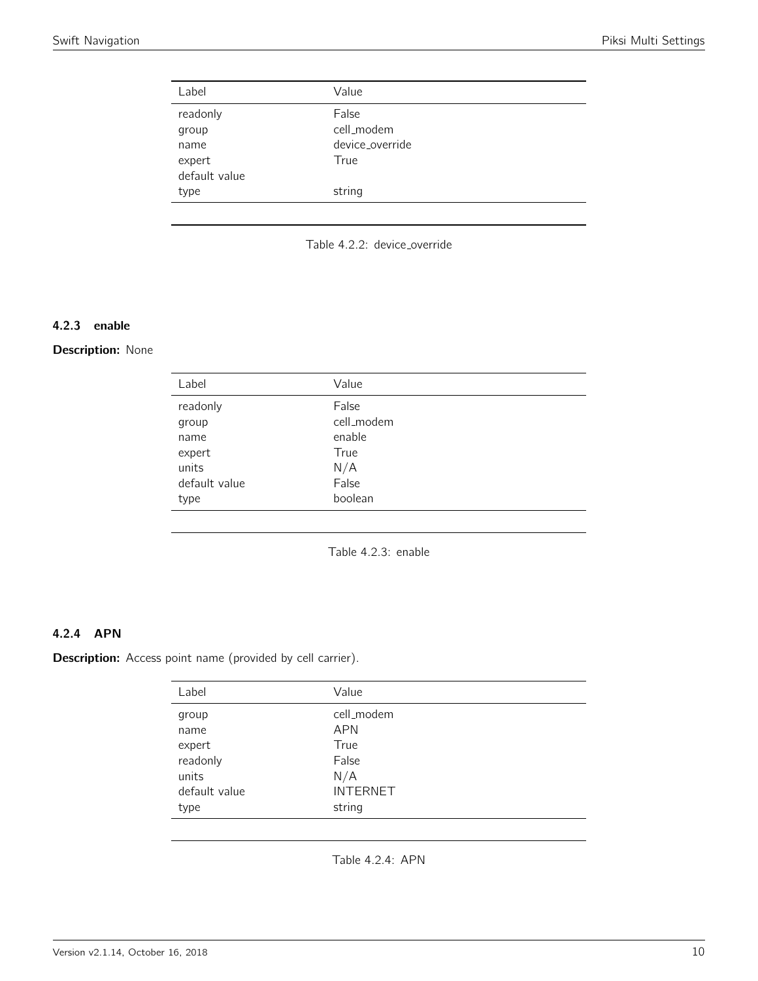<span id="page-9-0"></span>

| Label         | Value           |
|---------------|-----------------|
| readonly      | False           |
| group         | cell_modem      |
| name          | device override |
| expert        | True            |
| default value |                 |
| type          | string          |
|               |                 |

Table 4.2.2: device\_override

# 4.2.3 enable

## <span id="page-9-1"></span>Description: None

| Label         | Value      |
|---------------|------------|
| readonly      | False      |
| group         | cell_modem |
| name          | enable     |
| expert        | True       |
| units         | N/A        |
| default value | False      |
| type          | boolean    |
|               |            |

Table 4.2.3: enable

# 4.2.4 APN

Description: Access point name (provided by cell carrier).

| Label         | Value           |
|---------------|-----------------|
| group         | cell_modem      |
| name          | <b>APN</b>      |
| expert        | True            |
| readonly      | False           |
| units         | N/A             |
| default value | <b>INTERNET</b> |
| type          | string          |

Table 4.2.4: APN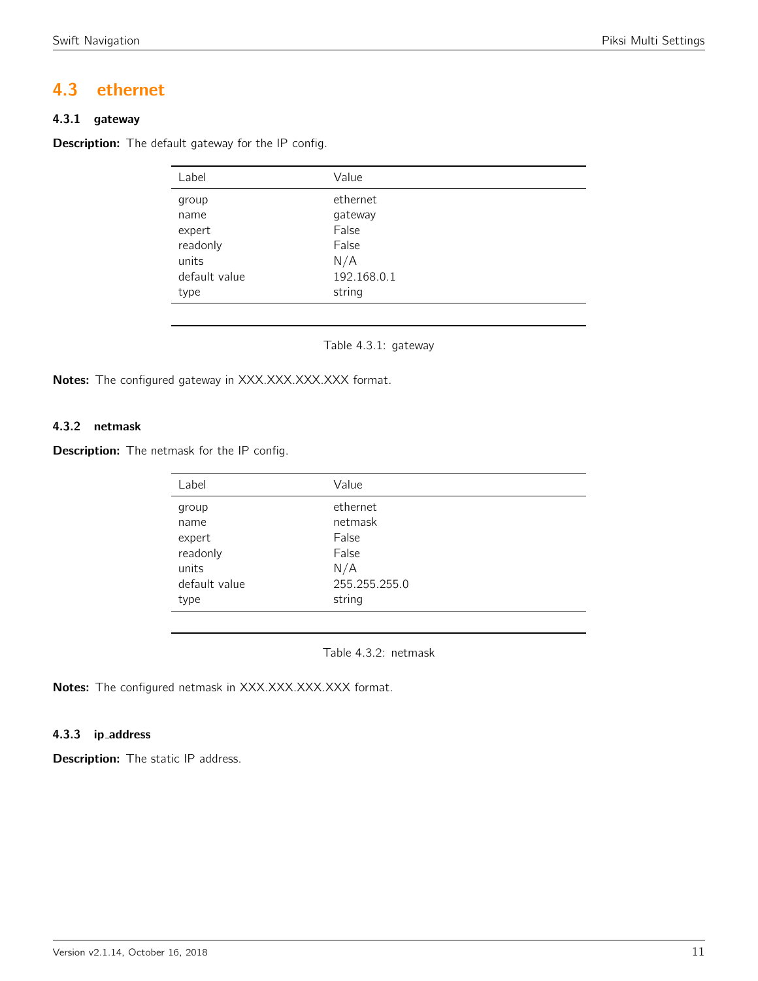# <span id="page-10-0"></span>4.3 ethernet

# 4.3.1 gateway

<span id="page-10-1"></span>Description: The default gateway for the IP config.

| Label         | Value       |
|---------------|-------------|
| group         | ethernet    |
| name          | gateway     |
| expert        | False       |
| readonly      | False       |
| units         | N/A         |
| default value | 192.168.0.1 |
| type          | string      |

Table 4.3.1: gateway

Notes: The configured gateway in XXX.XXX.XXX.XXX format.

# 4.3.2 netmask

<span id="page-10-2"></span>**Description:** The netmask for the IP config.

| Label         | Value         |  |
|---------------|---------------|--|
| group         | ethernet      |  |
| name          | netmask       |  |
| expert        | False         |  |
| readonly      | False         |  |
| units         | N/A           |  |
| default value | 255.255.255.0 |  |
| type          | string        |  |
|               |               |  |

Table 4.3.2: netmask

Notes: The configured netmask in XXX.XXX.XXX.XXX format.

# 4.3.3 ip address

**Description:** The static IP address.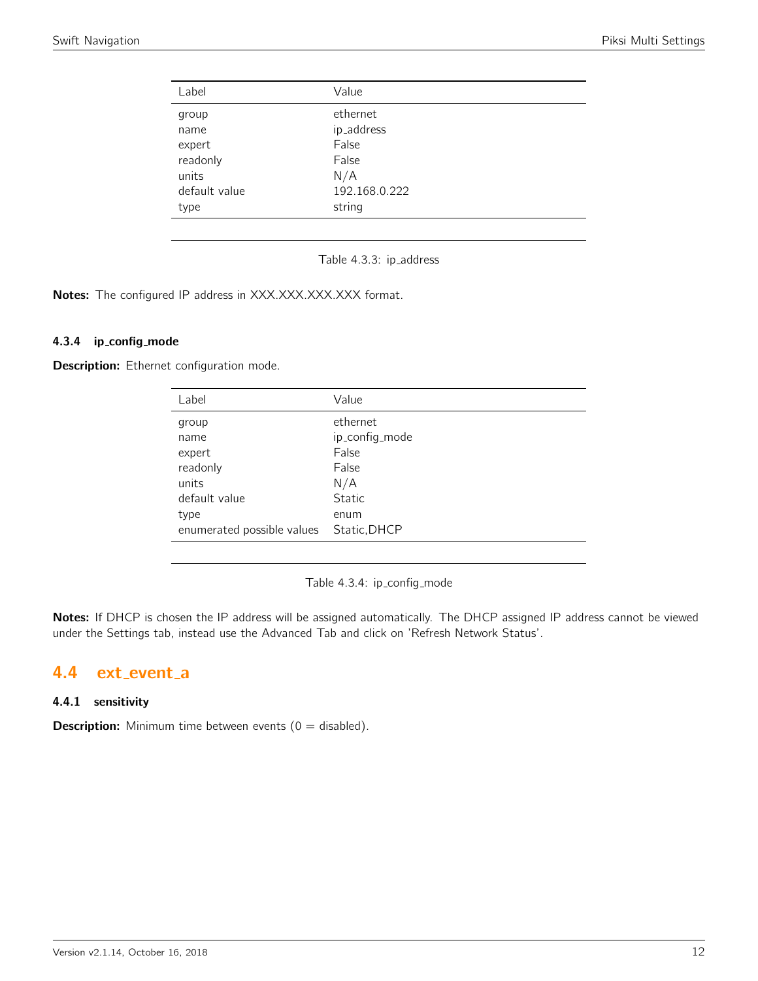<span id="page-11-0"></span>

| Label         | Value         |
|---------------|---------------|
| group         | ethernet      |
| name          | ip_address    |
| expert        | False         |
| readonly      | False         |
| units         | N/A           |
| default value | 192.168.0.222 |
| type          | string        |

Table 4.3.3: ip\_address

Notes: The configured IP address in XXX.XXX.XXX.XXX format.

# 4.3.4 ip config mode

Description: Ethernet configuration mode.

| Label                      | Value          |
|----------------------------|----------------|
| group                      | ethernet       |
| name                       | ip_config_mode |
| expert                     | False          |
| readonly                   | False          |
| units                      | N/A            |
| default value              | <b>Static</b>  |
| type                       | enum           |
| enumerated possible values | Static, DHCP   |

Table 4.3.4: ip\_config\_mode

Notes: If DHCP is chosen the IP address will be assigned automatically. The DHCP assigned IP address cannot be viewed under the Settings tab, instead use the Advanced Tab and click on 'Refresh Network Status'.

# <span id="page-11-1"></span>4.4 ext event a

# 4.4.1 sensitivity

**Description:** Minimum time between events  $(0 = \text{disabled})$ .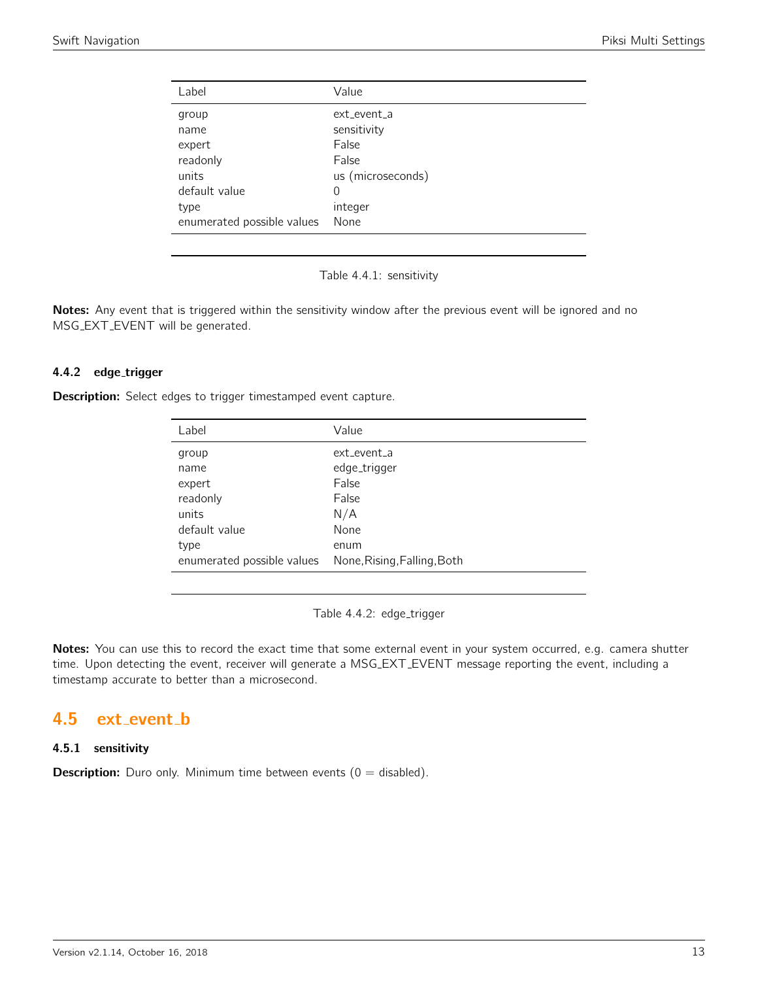<span id="page-12-0"></span>

| Label                      | Value             |
|----------------------------|-------------------|
| group                      | ext event a       |
| name                       | sensitivity       |
| expert                     | False             |
| readonly                   | False             |
| units                      | us (microseconds) |
| default value              | 0                 |
| type                       | integer           |
| enumerated possible values | None              |

Table 4.4.1: sensitivity

Notes: Any event that is triggered within the sensitivity window after the previous event will be ignored and no MSG EXT EVENT will be generated.

# 4.4.2 edge\_trigger

**Description:** Select edges to trigger timestamped event capture.

| Label                      | Value                       |
|----------------------------|-----------------------------|
| group                      | ext event a                 |
| name                       | edge_trigger                |
| expert                     | False                       |
| readonly                   | False                       |
| units                      | N/A                         |
| default value              | None                        |
| type                       | enum                        |
| enumerated possible values | None, Rising, Falling, Both |

Table 4.4.2: edge\_trigger

Notes: You can use this to record the exact time that some external event in your system occurred, e.g. camera shutter time. Upon detecting the event, receiver will generate a MSG EXT EVENT message reporting the event, including a timestamp accurate to better than a microsecond.

# <span id="page-12-1"></span>4.5 ext event b

# 4.5.1 sensitivity

**Description:** Duro only. Minimum time between events  $(0 = \text{disabled})$ .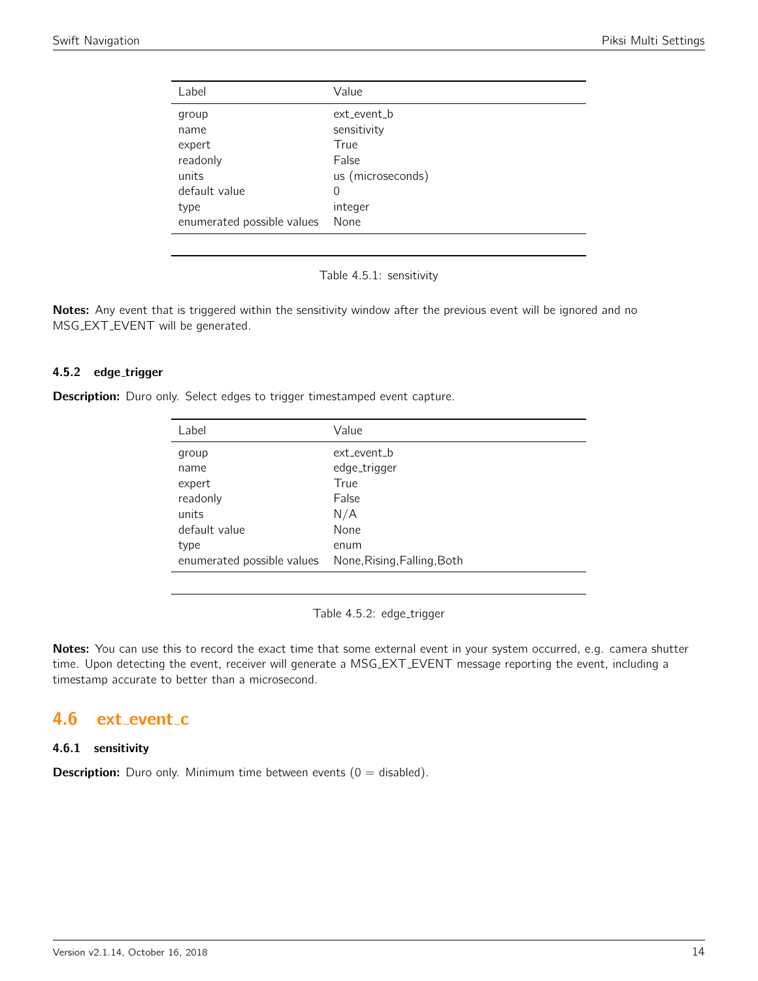<span id="page-13-0"></span>

| Label                      | Value             |
|----------------------------|-------------------|
| group                      | ext_event_b       |
| name                       | sensitivity       |
| expert                     | True              |
| readonly                   | False             |
| units                      | us (microseconds) |
| default value              | $\Omega$          |
| type                       | integer           |
| enumerated possible values | None              |

Table 4.5.1: sensitivity

Notes: Any event that is triggered within the sensitivity window after the previous event will be ignored and no MSG EXT EVENT will be generated.

#### 4.5.2 edge\_trigger

**Description:** Duro only. Select edges to trigger timestamped event capture.

| Label                      | Value                       |
|----------------------------|-----------------------------|
| group                      | ext event b                 |
| name                       | edge_trigger                |
| expert                     | True                        |
| readonly                   | False                       |
| units                      | N/A                         |
| default value              | None                        |
| type                       | enum                        |
| enumerated possible values | None, Rising, Falling, Both |

Table 4.5.2: edge\_trigger

Notes: You can use this to record the exact time that some external event in your system occurred, e.g. camera shutter time. Upon detecting the event, receiver will generate a MSG EXT EVENT message reporting the event, including a timestamp accurate to better than a microsecond.

# <span id="page-13-1"></span>4.6 ext\_event\_c

#### 4.6.1 sensitivity

**Description:** Duro only. Minimum time between events  $(0 = \text{disabled})$ .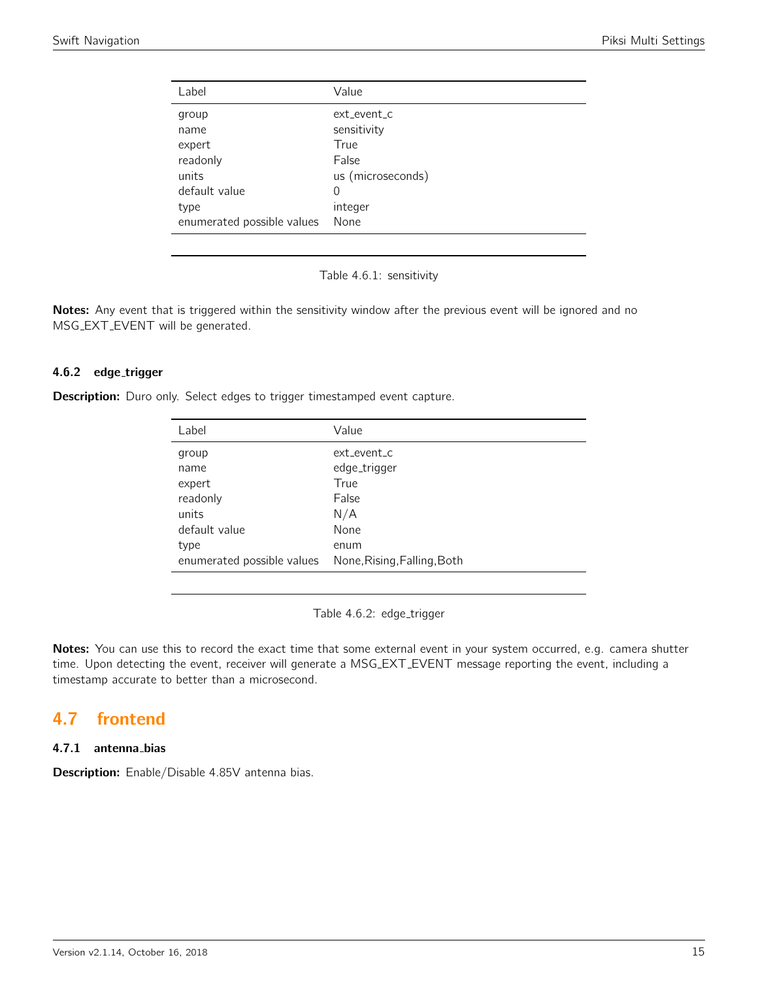<span id="page-14-0"></span>

| Label                      | Value             |
|----------------------------|-------------------|
| group                      | ext event c       |
| name                       | sensitivity       |
| expert                     | True              |
| readonly                   | False             |
| units                      | us (microseconds) |
| default value              | $\Omega$          |
| type                       | integer           |
| enumerated possible values | None              |

Table 4.6.1: sensitivity

Notes: Any event that is triggered within the sensitivity window after the previous event will be ignored and no MSG EXT EVENT will be generated.

# 4.6.2 edge\_trigger

**Description:** Duro only. Select edges to trigger timestamped event capture.

| Label                      | Value                       |
|----------------------------|-----------------------------|
| group                      | ext event c                 |
| name                       | edge_trigger                |
| expert                     | True                        |
| readonly                   | False                       |
| units                      | N/A                         |
| default value              | None                        |
| type                       | enum                        |
| enumerated possible values | None, Rising, Falling, Both |

Table 4.6.2: edge\_trigger

Notes: You can use this to record the exact time that some external event in your system occurred, e.g. camera shutter time. Upon detecting the event, receiver will generate a MSG EXT EVENT message reporting the event, including a timestamp accurate to better than a microsecond.

# <span id="page-14-1"></span>4.7 frontend

# 4.7.1 antenna bias

Description: Enable/Disable 4.85V antenna bias.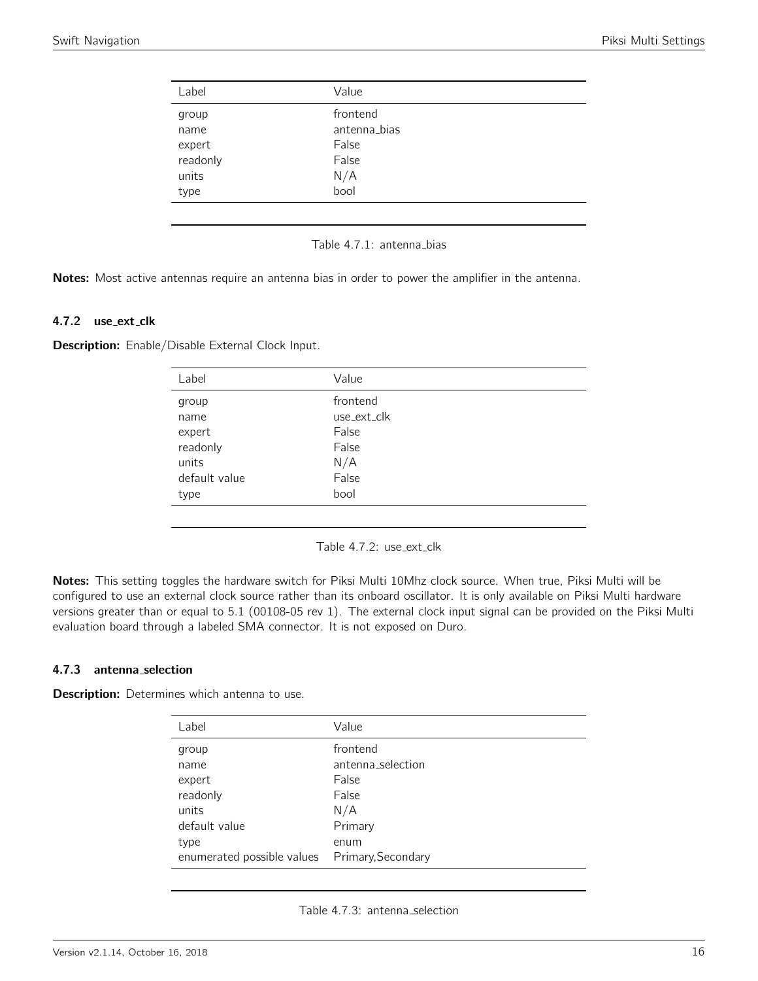<span id="page-15-0"></span>

| Label    | Value        |  |
|----------|--------------|--|
| group    | frontend     |  |
| name     | antenna_bias |  |
| expert   | False        |  |
| readonly | False        |  |
| units    | N/A          |  |
| type     | bool         |  |
|          |              |  |

#### Table 4.7.1: antenna\_bias

Notes: Most active antennas require an antenna bias in order to power the amplifier in the antenna.

#### 4.7.2 use\_ext\_clk

<span id="page-15-1"></span>Description: Enable/Disable External Clock Input.

| Label         | Value       |
|---------------|-------------|
| group         | frontend    |
| name          | use_ext_clk |
| expert        | False       |
| readonly      | False       |
| units         | N/A         |
| default value | False       |
| type          | bool        |
|               |             |

Table 4.7.2: use\_ext\_clk

Notes: This setting toggles the hardware switch for Piksi Multi 10Mhz clock source. When true, Piksi Multi will be configured to use an external clock source rather than its onboard oscillator. It is only available on Piksi Multi hardware versions greater than or equal to 5.1 (00108-05 rev 1). The external clock input signal can be provided on the Piksi Multi evaluation board through a labeled SMA connector. It is not exposed on Duro.

#### 4.7.3 antenna selection

**Description:** Determines which antenna to use.

| Label                                          | Value             |
|------------------------------------------------|-------------------|
| group                                          | frontend          |
| name                                           | antenna_selection |
| expert                                         | False             |
| readonly                                       | False             |
| units                                          | N/A               |
| default value                                  | Primary           |
| type                                           | enum              |
| enumerated possible values  Primary, Secondary |                   |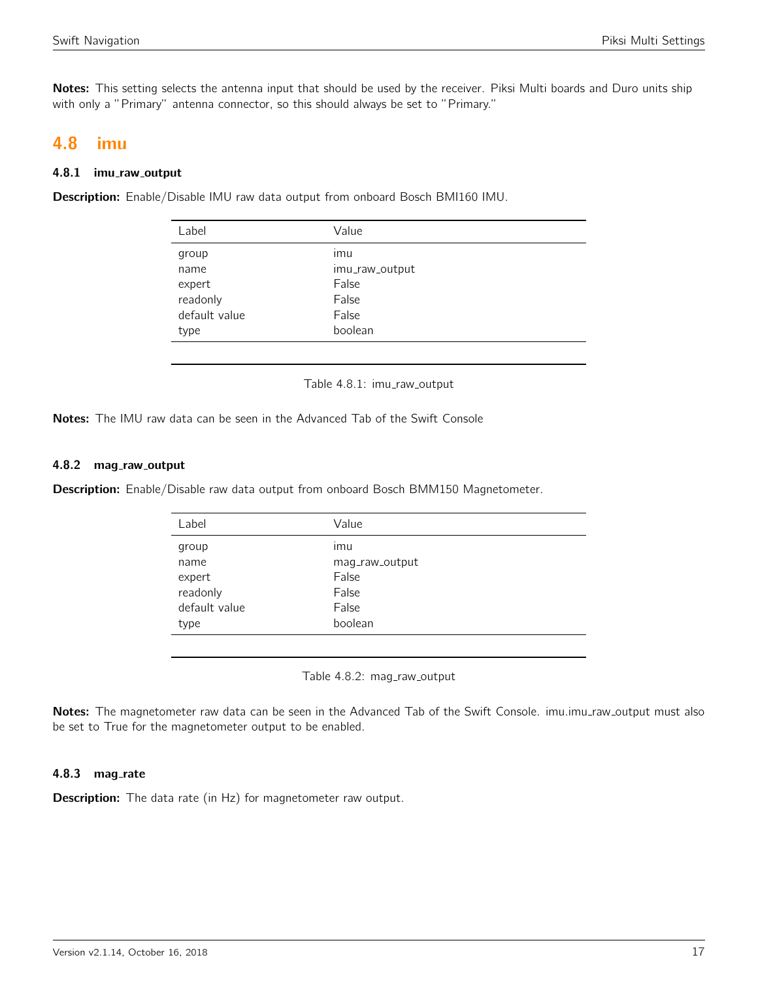Notes: This setting selects the antenna input that should be used by the receiver. Piksi Multi boards and Duro units ship with only a "Primary" antenna connector, so this should always be set to "Primary."

# <span id="page-16-0"></span>4.8 imu

#### 4.8.1 imu\_raw\_output

<span id="page-16-1"></span>Description: Enable/Disable IMU raw data output from onboard Bosch BMI160 IMU.

| Label         | Value          |
|---------------|----------------|
| group         | imu            |
| name          | imu_raw_output |
| expert        | False          |
| readonly      | False          |
| default value | False          |
| type          | boolean        |
|               |                |

Table 4.8.1: imu\_raw\_output

Notes: The IMU raw data can be seen in the Advanced Tab of the Swift Console

#### 4.8.2 mag\_raw\_output

<span id="page-16-2"></span>Description: Enable/Disable raw data output from onboard Bosch BMM150 Magnetometer.

| Label         | Value          |
|---------------|----------------|
| group         | ımu            |
| name          | mag_raw_output |
| expert        | False          |
| readonly      | False          |
| default value | False          |
| type          | boolean        |
|               |                |

Table 4.8.2: mag\_raw\_output

Notes: The magnetometer raw data can be seen in the Advanced Tab of the Swift Console. imu.imu\_raw\_output must also be set to True for the magnetometer output to be enabled.

## 4.8.3 mag\_rate

**Description:** The data rate (in Hz) for magnetometer raw output.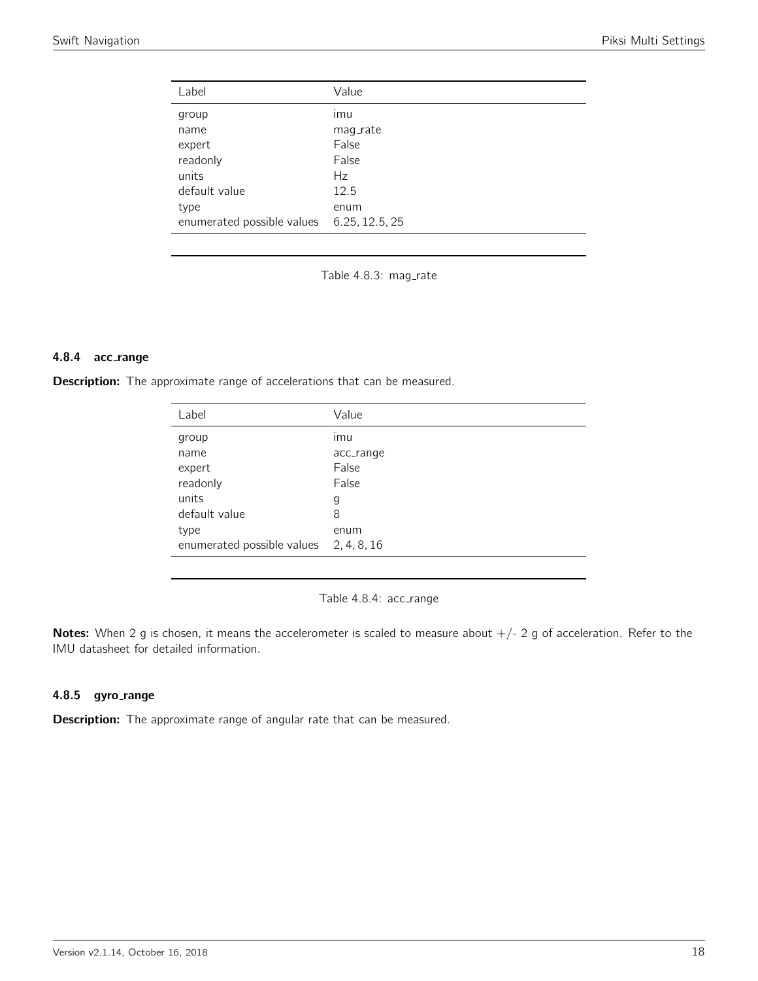<span id="page-17-0"></span>

| Label                      | Value          |
|----------------------------|----------------|
| group                      | imu            |
| name                       | mag_rate       |
| expert                     | False          |
| readonly                   | False          |
| units                      | Hz             |
| default value              | 12.5           |
| type                       | enum           |
| enumerated possible values | 6.25, 12.5, 25 |

Table 4.8.3: mag\_rate

#### 4.8.4 acc range

<span id="page-17-1"></span>Description: The approximate range of accelerations that can be measured.

| Label                                  | Value     |
|----------------------------------------|-----------|
| group                                  | imu       |
| name                                   | acc_range |
| expert                                 | False     |
| readonly                               | False     |
| units                                  | g         |
| default value                          | 8         |
| type                                   | enum      |
| enumerated possible values 2, 4, 8, 16 |           |

Table 4.8.4: acc\_range

Notes: When 2 g is chosen, it means the accelerometer is scaled to measure about  $+/- 2$  g of acceleration. Refer to the IMU datasheet for detailed information.

## 4.8.5 gyro\_range

Description: The approximate range of angular rate that can be measured.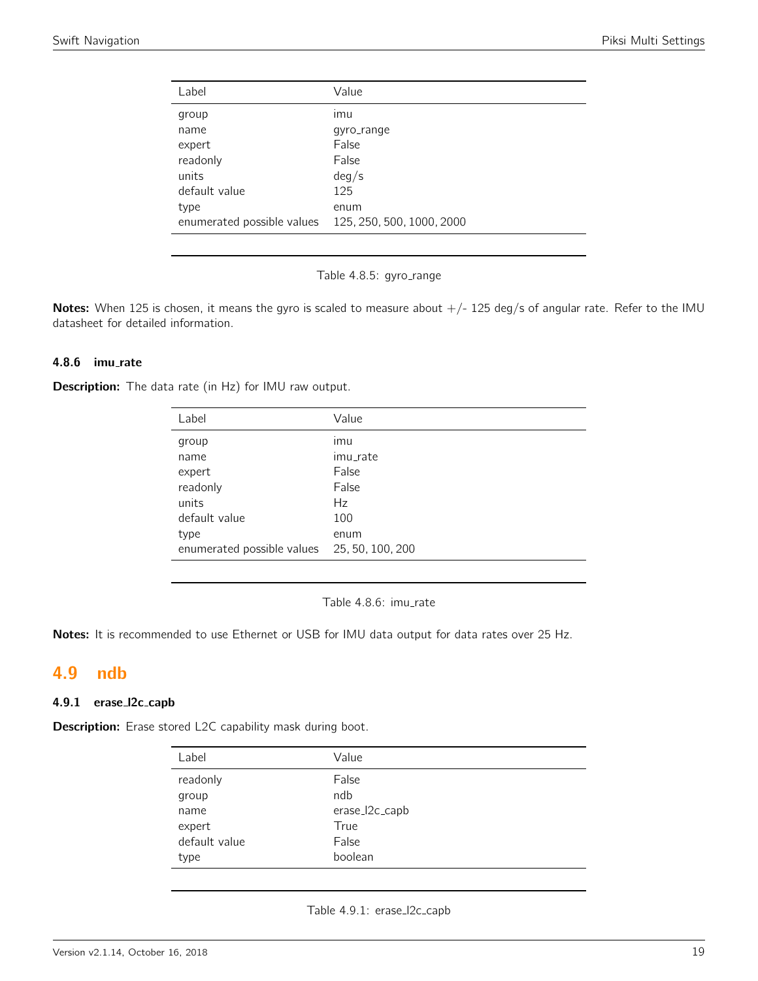<span id="page-18-0"></span>

| Label                      | Value                     |
|----------------------------|---------------------------|
| group                      | ımu                       |
| name                       | gyro_range                |
| expert                     | False                     |
| readonly                   | False                     |
| units                      | deg/s                     |
| default value              | 125                       |
| type                       | enum                      |
| enumerated possible values | 125, 250, 500, 1000, 2000 |
|                            |                           |

Table 4.8.5: gyro\_range

Notes: When 125 is chosen, it means the gyro is scaled to measure about  $+/-$  125 deg/s of angular rate. Refer to the IMU datasheet for detailed information.

## 4.8.6 imu rate

Description: The data rate (in Hz) for IMU raw output.

| Label                                       | Value    |
|---------------------------------------------|----------|
| group                                       | imu      |
| name                                        | imu_rate |
| expert                                      | False    |
| readonly                                    | False    |
| units                                       | Hz       |
| default value                               | 100      |
| type                                        | enum     |
| enumerated possible values 25, 50, 100, 200 |          |
|                                             |          |

Table 4.8.6: imu\_rate

Notes: It is recommended to use Ethernet or USB for IMU data output for data rates over 25 Hz.

# <span id="page-18-1"></span>4.9 ndb

# 4.9.1 erase l2c capb

<span id="page-18-2"></span>Description: Erase stored L2C capability mask during boot.

| Label         | Value          |
|---------------|----------------|
| readonly      | False          |
| group         | ndb            |
| name          | erase_l2c_capb |
| expert        | True           |
| default value | False          |
| type          | boolean        |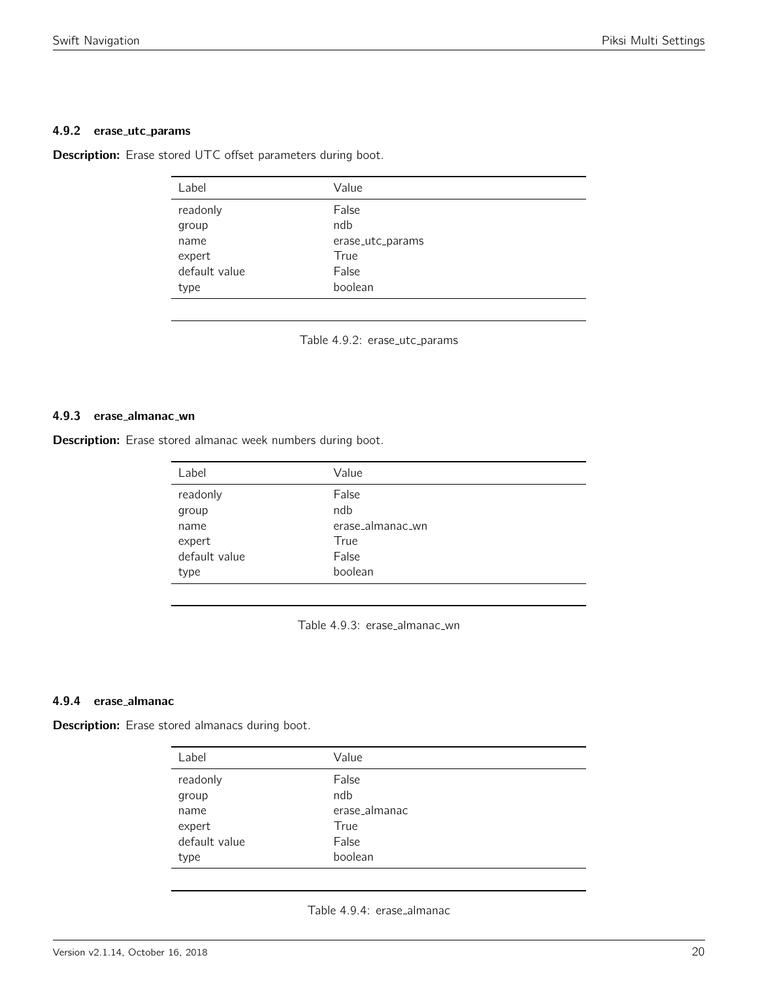#### 4.9.2 erase utc params

<span id="page-19-0"></span>Description: Erase stored UTC offset parameters during boot.

| Label         | Value            |
|---------------|------------------|
| readonly      | False            |
| group         | ndb              |
| name          | erase_utc_params |
| expert        | True             |
| default value | False            |
| type          | boolean          |

Table 4.9.2: erase\_utc\_params

# 4.9.3 erase almanac wn

<span id="page-19-1"></span>Description: Erase stored almanac week numbers during boot.

| Label         | Value            |
|---------------|------------------|
| readonly      | False            |
| group         | ndb              |
| name          | erase_almanac_wn |
| expert        | True             |
| default value | False            |
| type          | boolean          |
|               |                  |

Table 4.9.3: erase\_almanac\_wn

#### 4.9.4 erase almanac

<span id="page-19-2"></span>Description: Erase stored almanacs during boot.

| Label         | Value         |
|---------------|---------------|
| readonly      | False         |
| group         | ndb           |
| name          | erase_almanac |
| expert        | True          |
| default value | False         |
| type          | boolean       |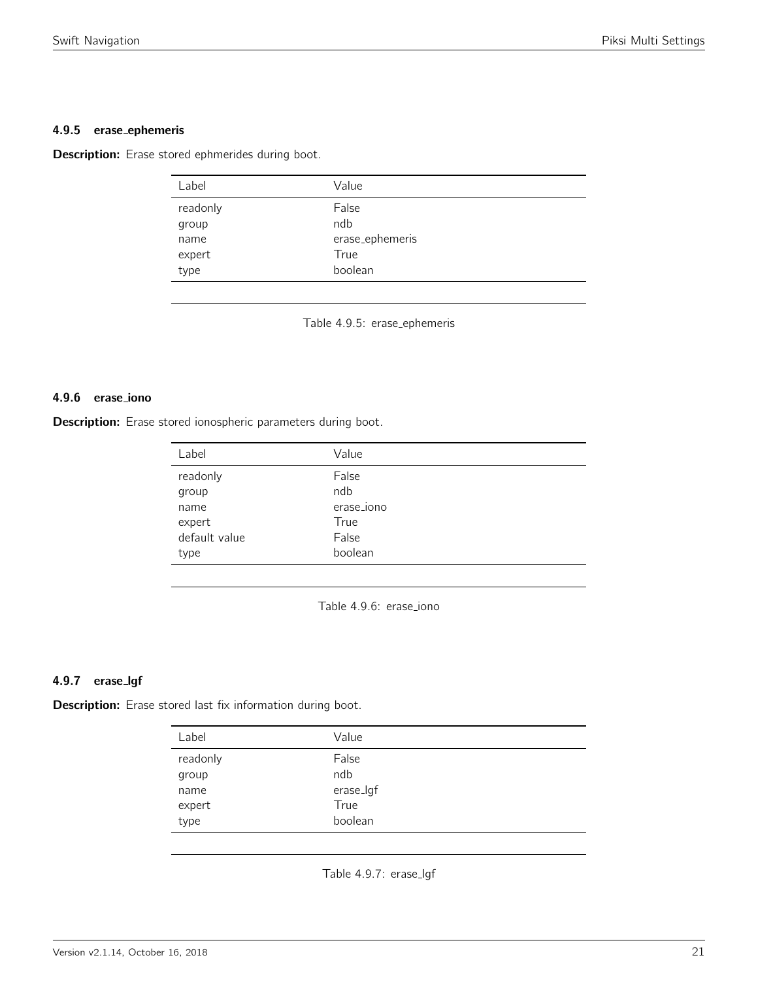# 4.9.5 erase ephemeris

<span id="page-20-0"></span>Description: Erase stored ephmerides during boot.

| Label    | Value           |
|----------|-----------------|
| readonly | False           |
| group    | ndb             |
| name     | erase_ephemeris |
| expert   | True            |
| type     | boolean         |

Table 4.9.5: erase ephemeris

# 4.9.6 erase iono

<span id="page-20-1"></span>Description: Erase stored ionospheric parameters during boot.

| Label         | Value      |
|---------------|------------|
| readonly      | False      |
| group         | ndb        |
| name          | erase_iono |
| expert        | True       |
| default value | False      |
| type          | boolean    |

Table 4.9.6: erase iono

# 4.9.7 erase lgf

<span id="page-20-2"></span>Description: Erase stored last fix information during boot.

| Label         | Value        |
|---------------|--------------|
| readonly      | False<br>ndb |
| group<br>name | erase_lgf    |
| expert        | True         |
| type          | boolean      |

Table 4.9.7: erase\_lgf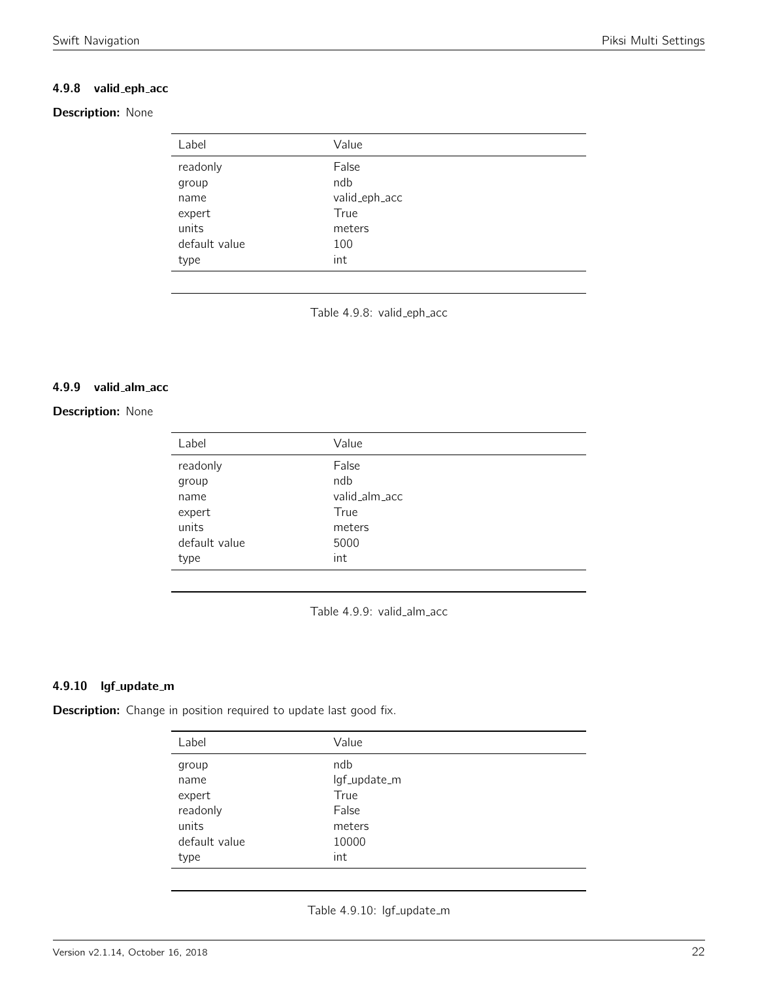# 4.9.8 valid eph acc

# <span id="page-21-0"></span>Description: None

| Label         | Value         |
|---------------|---------------|
| readonly      | False         |
| group         | ndb           |
| name          | valid_eph_acc |
| expert        | True          |
| units         | meters        |
| default value | 100           |
| type          | int           |

Table 4.9.8: valid\_eph\_acc

#### 4.9.9 valid alm acc

# <span id="page-21-1"></span>**Description: None**

| Label         | Value         |
|---------------|---------------|
| readonly      | False         |
| group         | ndb           |
| name          | valid_alm_acc |
| expert        | True          |
| units         | meters        |
| default value | 5000          |
| type          | int           |

Table 4.9.9: valid\_alm\_acc

# 4.9.10 lgf\_update\_m

<span id="page-21-2"></span>Description: Change in position required to update last good fix.

| Label         | Value        |
|---------------|--------------|
| group         | ndb          |
| name          | lgf_update_m |
| expert        | True         |
| readonly      | False        |
| units         | meters       |
| default value | 10000        |
| type          | int          |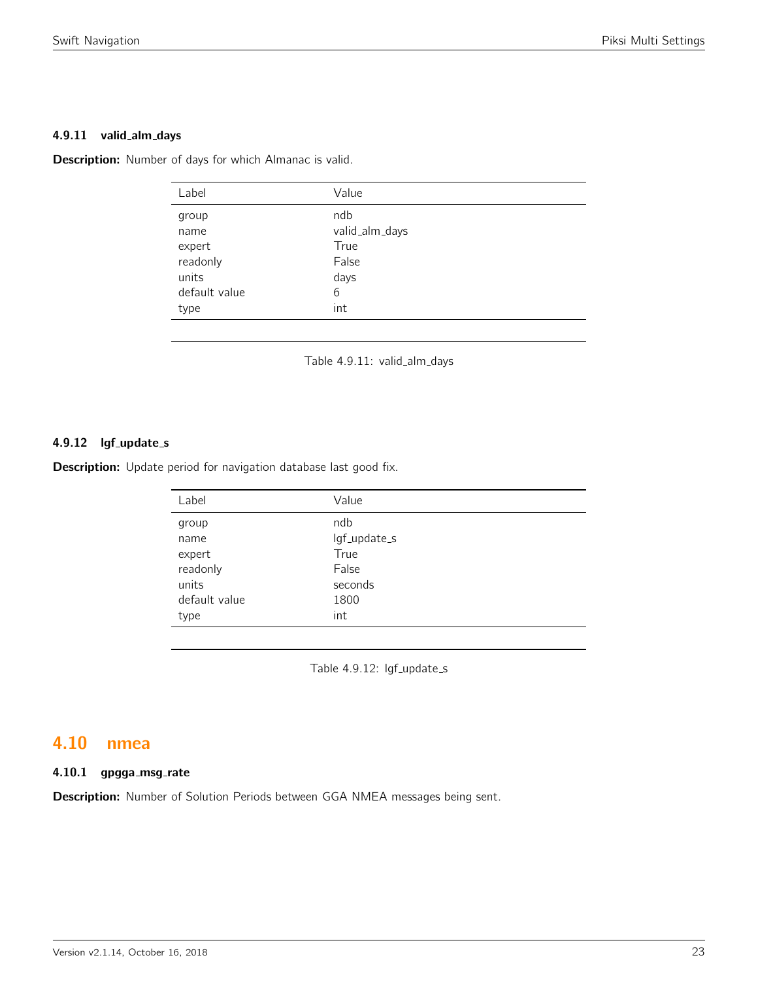#### 4.9.11 valid\_alm\_days

<span id="page-22-0"></span>Description: Number of days for which Almanac is valid.

| Label                   | Value                         |
|-------------------------|-------------------------------|
| group<br>name<br>expert | ndb<br>valid_alm_days<br>True |
| readonly<br>units       | False                         |
|                         | days                          |
| default value           | 6                             |
| type                    | int                           |
|                         |                               |

Table 4.9.11: valid\_alm\_days

# 4.9.12 lgf\_update\_s

Description: Update period for navigation database last good fix.

| Label         | Value        |  |
|---------------|--------------|--|
| group         | ndb          |  |
| name          | lgf_update_s |  |
| expert        | True         |  |
| readonly      | False        |  |
| units         | seconds      |  |
| default value | 1800         |  |
| type          | int          |  |
|               |              |  |

Table 4.9.12: lgf\_update\_s

# <span id="page-22-1"></span>4.10 nmea

# 4.10.1 gpgga\_msg\_rate

Description: Number of Solution Periods between GGA NMEA messages being sent.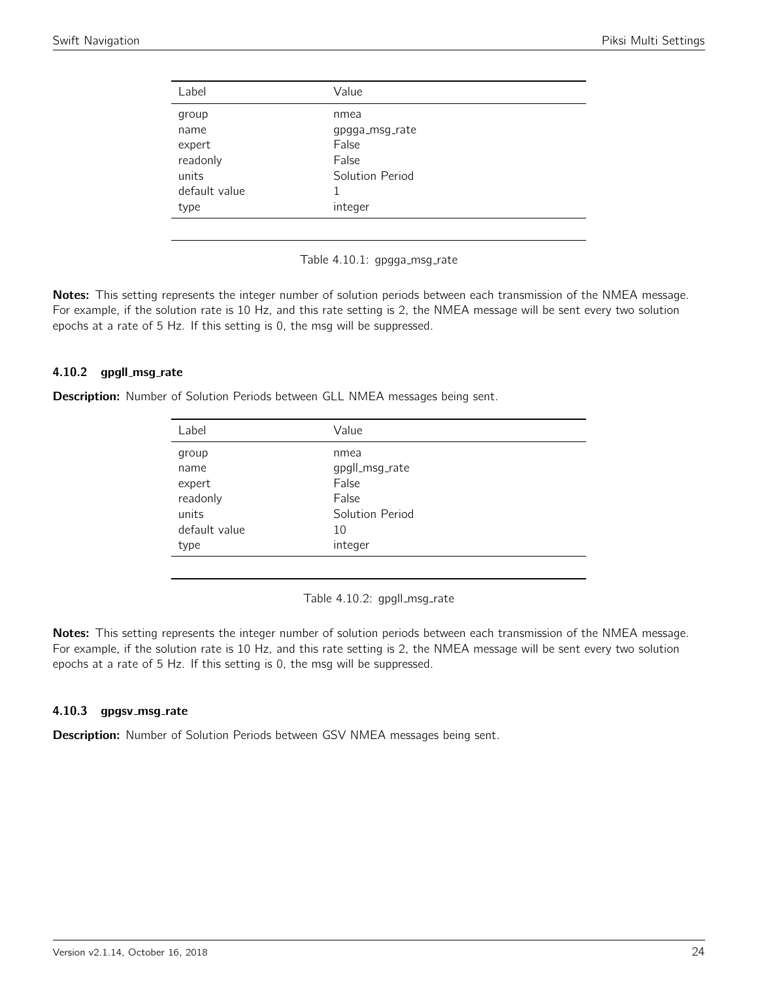<span id="page-23-0"></span>

| Label         | Value           |  |
|---------------|-----------------|--|
| group         | nmea            |  |
| name          | gpgga_msg_rate  |  |
| expert        | False           |  |
| readonly      | False           |  |
| units         | Solution Period |  |
| default value |                 |  |
| type          | integer         |  |
|               |                 |  |

Table 4.10.1: gpgga\_msg\_rate

Notes: This setting represents the integer number of solution periods between each transmission of the NMEA message. For example, if the solution rate is 10 Hz, and this rate setting is 2, the NMEA message will be sent every two solution epochs at a rate of 5 Hz. If this setting is 0, the msg will be suppressed.

## 4.10.2 gpgll\_msg\_rate

<span id="page-23-1"></span>Description: Number of Solution Periods between GLL NMEA messages being sent.

| Label         | Value           |
|---------------|-----------------|
| group         | nmea            |
| name          | gpgll_msg_rate  |
| expert        | False           |
| readonly      | False           |
| units         | Solution Period |
| default value | 10              |
| type          | integer         |
|               |                 |

Table 4.10.2: gpgll\_msg\_rate

Notes: This setting represents the integer number of solution periods between each transmission of the NMEA message. For example, if the solution rate is 10 Hz, and this rate setting is 2, the NMEA message will be sent every two solution epochs at a rate of 5 Hz. If this setting is 0, the msg will be suppressed.

## 4.10.3 gpgsv\_msg\_rate

Description: Number of Solution Periods between GSV NMEA messages being sent.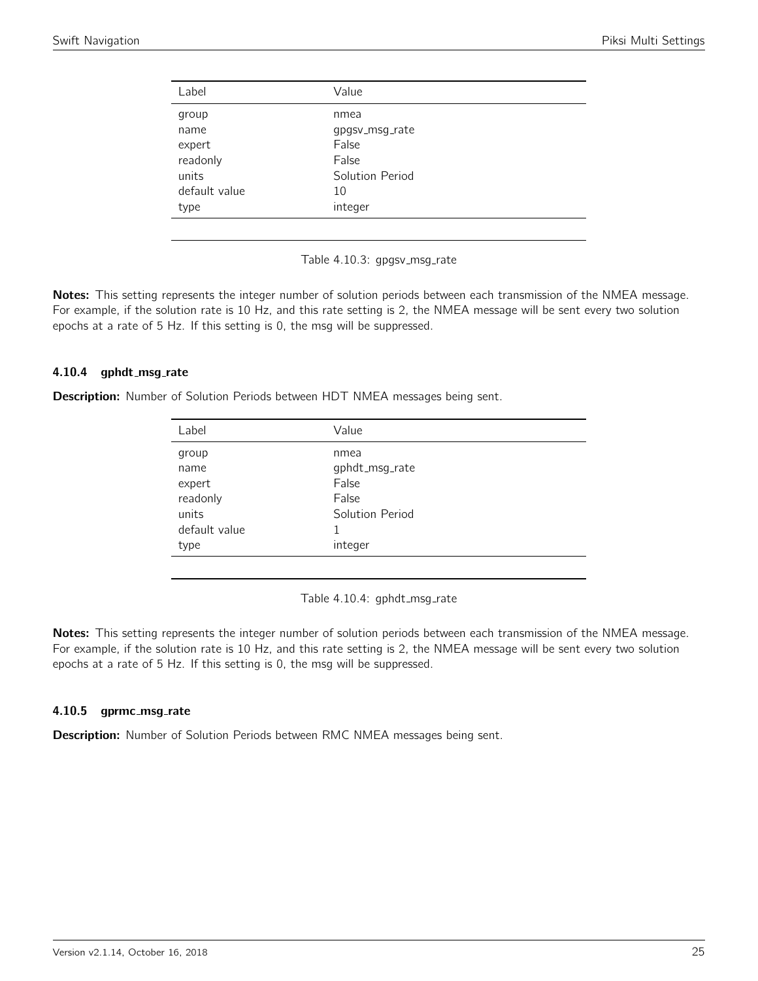<span id="page-24-0"></span>

| Label         | Value           |
|---------------|-----------------|
| group         | nmea            |
| name          | gpgsv_msg_rate  |
| expert        | False           |
| readonly      | False           |
| units         | Solution Period |
| default value | 10              |
| type          | integer         |
|               |                 |

Table 4.10.3: gpgsv\_msg\_rate

Notes: This setting represents the integer number of solution periods between each transmission of the NMEA message. For example, if the solution rate is 10 Hz, and this rate setting is 2, the NMEA message will be sent every two solution epochs at a rate of 5 Hz. If this setting is 0, the msg will be suppressed.

## 4.10.4 gphdt\_msg\_rate

<span id="page-24-1"></span>Description: Number of Solution Periods between HDT NMEA messages being sent.

| Label         | Value           |  |
|---------------|-----------------|--|
| group         | nmea            |  |
| name          | gphdt_msg_rate  |  |
| expert        | False           |  |
| readonly      | False           |  |
| units         | Solution Period |  |
| default value | 1               |  |
| type          | integer         |  |
|               |                 |  |

Table 4.10.4: gphdt\_msg\_rate

Notes: This setting represents the integer number of solution periods between each transmission of the NMEA message. For example, if the solution rate is 10 Hz, and this rate setting is 2, the NMEA message will be sent every two solution epochs at a rate of 5 Hz. If this setting is 0, the msg will be suppressed.

## 4.10.5 gprmc\_msg\_rate

Description: Number of Solution Periods between RMC NMEA messages being sent.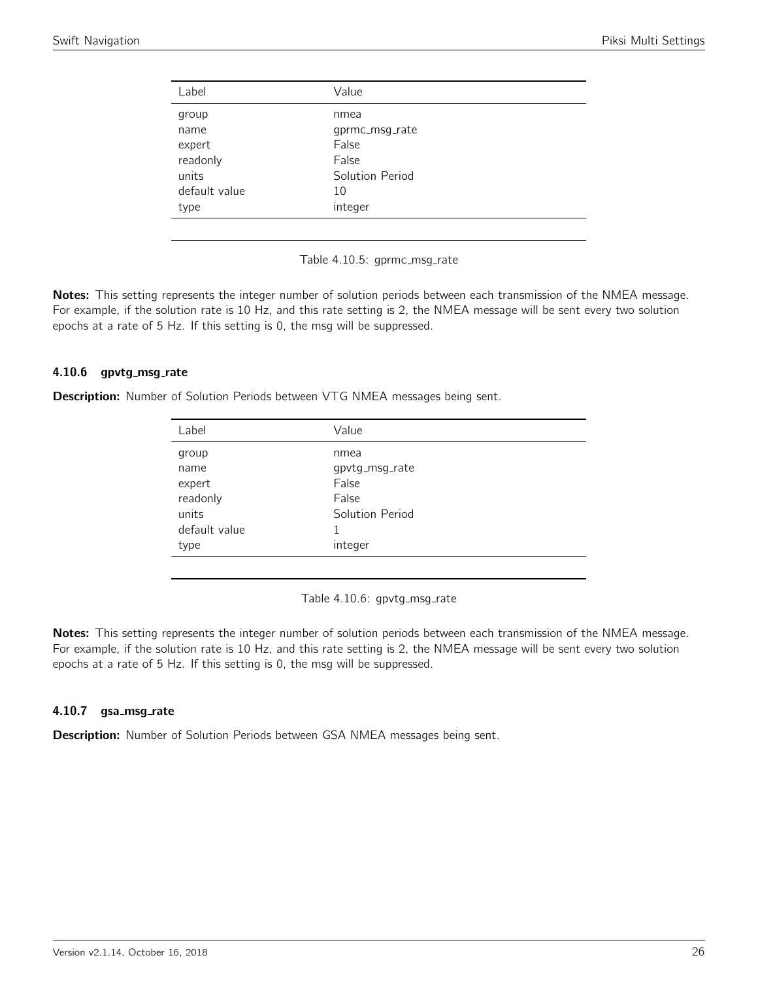<span id="page-25-0"></span>

| gprmc_msg_rate  |
|-----------------|
|                 |
|                 |
| Solution Period |
|                 |
|                 |
|                 |

Table 4.10.5: gprmc\_msg\_rate

Notes: This setting represents the integer number of solution periods between each transmission of the NMEA message. For example, if the solution rate is 10 Hz, and this rate setting is 2, the NMEA message will be sent every two solution epochs at a rate of 5 Hz. If this setting is 0, the msg will be suppressed.

## 4.10.6 gpvtg\_msg\_rate

<span id="page-25-1"></span>Description: Number of Solution Periods between VTG NMEA messages being sent.

| Label         | Value           |  |
|---------------|-----------------|--|
| group         | nmea            |  |
| name          | gpvtg_msg_rate  |  |
| expert        | False           |  |
| readonly      | False           |  |
| units         | Solution Period |  |
| default value | 1               |  |
| type          | integer         |  |
|               |                 |  |

Table 4.10.6: gpvtg\_msg\_rate

Notes: This setting represents the integer number of solution periods between each transmission of the NMEA message. For example, if the solution rate is 10 Hz, and this rate setting is 2, the NMEA message will be sent every two solution epochs at a rate of 5 Hz. If this setting is 0, the msg will be suppressed.

## 4.10.7 gsa\_msg\_rate

Description: Number of Solution Periods between GSA NMEA messages being sent.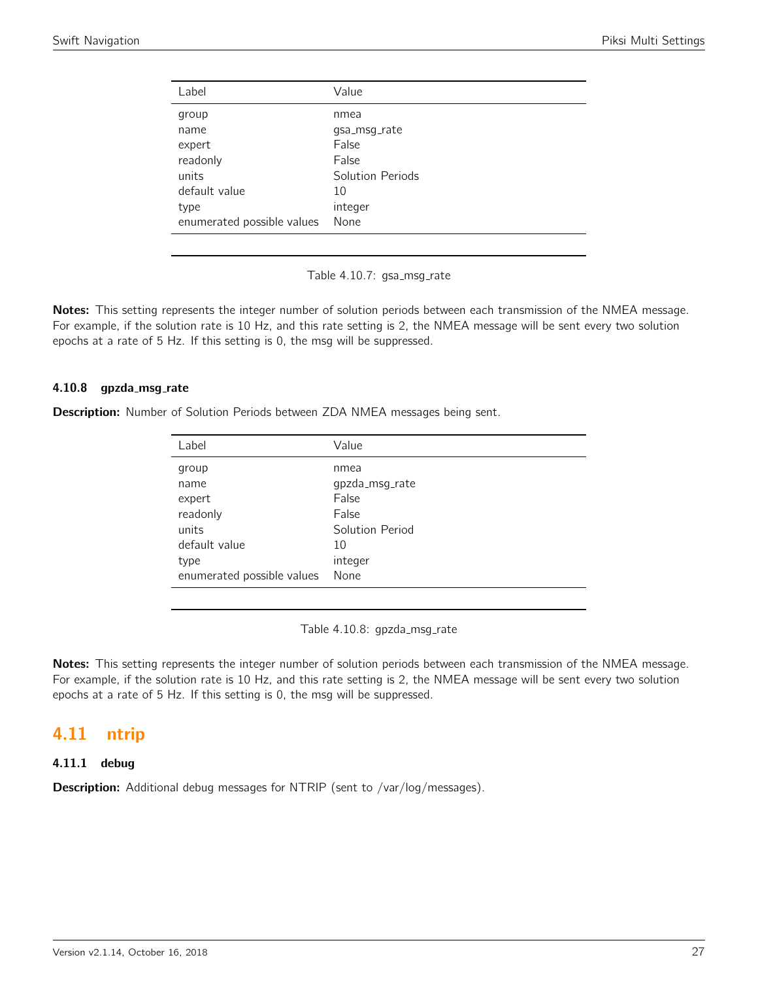<span id="page-26-0"></span>

| Label                      | Value            |
|----------------------------|------------------|
| group                      | nmea             |
| name                       | qsa_msq_rate     |
| expert                     | False            |
| readonly                   | False            |
| units                      | Solution Periods |
| default value              | 10               |
| type                       | integer          |
| enumerated possible values | None             |

Table 4.10.7: gsa\_msg\_rate

Notes: This setting represents the integer number of solution periods between each transmission of the NMEA message. For example, if the solution rate is 10 Hz, and this rate setting is 2, the NMEA message will be sent every two solution epochs at a rate of 5 Hz. If this setting is 0, the msg will be suppressed.

## 4.10.8 gpzda\_msg\_rate

Description: Number of Solution Periods between ZDA NMEA messages being sent.

| Label                      | Value           |
|----------------------------|-----------------|
| group                      | nmea            |
| name                       | gpzda_msg_rate  |
| expert                     | False           |
| readonly                   | False           |
| units                      | Solution Period |
| default value              | 10              |
| type                       | integer         |
| enumerated possible values | None            |

Table 4.10.8: gpzda\_msg\_rate

Notes: This setting represents the integer number of solution periods between each transmission of the NMEA message. For example, if the solution rate is 10 Hz, and this rate setting is 2, the NMEA message will be sent every two solution epochs at a rate of 5 Hz. If this setting is 0, the msg will be suppressed.

# <span id="page-26-1"></span>4.11 ntrip

# 4.11.1 debug

Description: Additional debug messages for NTRIP (sent to /var/log/messages).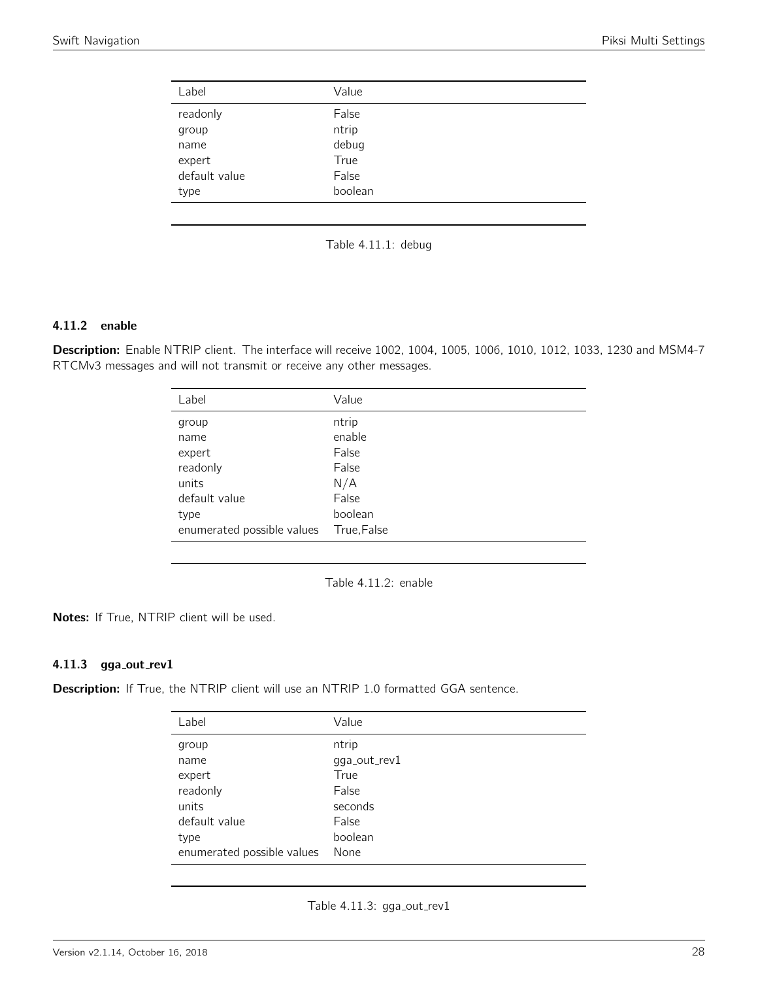<span id="page-27-0"></span>

| Label         | Value   |  |
|---------------|---------|--|
| readonly      | False   |  |
| group         | ntrip   |  |
| name          | debug   |  |
| expert        | True    |  |
| default value | False   |  |
| type          | boolean |  |
|               |         |  |



# 4.11.2 enable

<span id="page-27-1"></span>Description: Enable NTRIP client. The interface will receive 1002, 1004, 1005, 1006, 1010, 1012, 1033, 1230 and MSM4-7 RTCMv3 messages and will not transmit or receive any other messages.

| Label                      | Value       |
|----------------------------|-------------|
| group                      | ntrip       |
| name                       | enable      |
| expert                     | False       |
| readonly                   | False       |
| units                      | N/A         |
| default value              | False       |
| type                       | boolean     |
| enumerated possible values | True, False |
|                            |             |



Notes: If True, NTRIP client will be used.

# 4.11.3 gga\_out\_rev1

<span id="page-27-2"></span>Description: If True, the NTRIP client will use an NTRIP 1.0 formatted GGA sentence.

| Label                      | Value        |
|----------------------------|--------------|
| group                      | ntrip        |
| name                       | gga_out_rev1 |
| expert                     | True         |
| readonly                   | False        |
| units                      | seconds      |
| default value              | False        |
| type                       | boolean      |
| enumerated possible values | None         |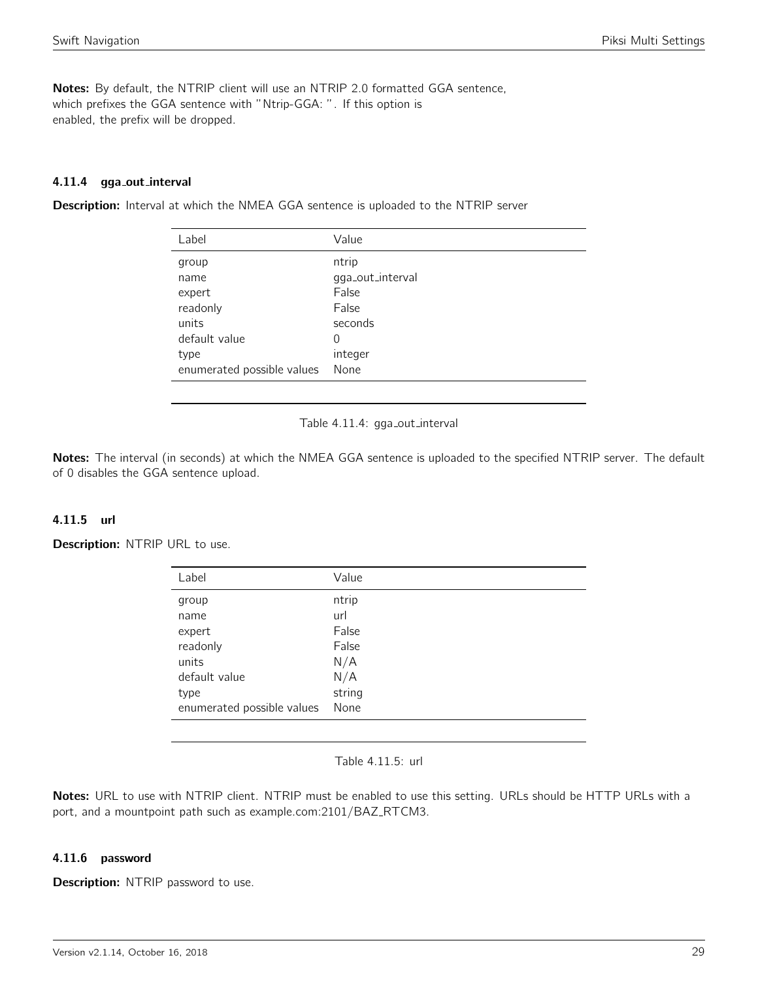Notes: By default, the NTRIP client will use an NTRIP 2.0 formatted GGA sentence, which prefixes the GGA sentence with "Ntrip-GGA: ". If this option is enabled, the prefix will be dropped.

# 4.11.4 gga out interval

<span id="page-28-0"></span>**Description:** Interval at which the NMEA GGA sentence is uploaded to the NTRIP server

| Label                      | Value            |
|----------------------------|------------------|
| group                      | ntrip            |
| name                       | gga_out_interval |
| expert                     | False            |
| readonly                   | False            |
| units                      | seconds          |
| default value              | 0                |
| type                       | integer          |
| enumerated possible values | None             |



Notes: The interval (in seconds) at which the NMEA GGA sentence is uploaded to the specified NTRIP server. The default of 0 disables the GGA sentence upload.

## 4.11.5 url

<span id="page-28-1"></span>Description: NTRIP URL to use.

| Label                      | Value  |
|----------------------------|--------|
| group                      | ntrip  |
| name                       | url    |
| expert                     | False  |
| readonly                   | False  |
| units                      | N/A    |
| default value              | N/A    |
| type                       | string |
| enumerated possible values | None   |
|                            |        |

Table 4.11.5: url

Notes: URL to use with NTRIP client. NTRIP must be enabled to use this setting. URLs should be HTTP URLs with a port, and a mountpoint path such as example.com:2101/BAZ\_RTCM3.

## 4.11.6 password

**Description:** NTRIP password to use.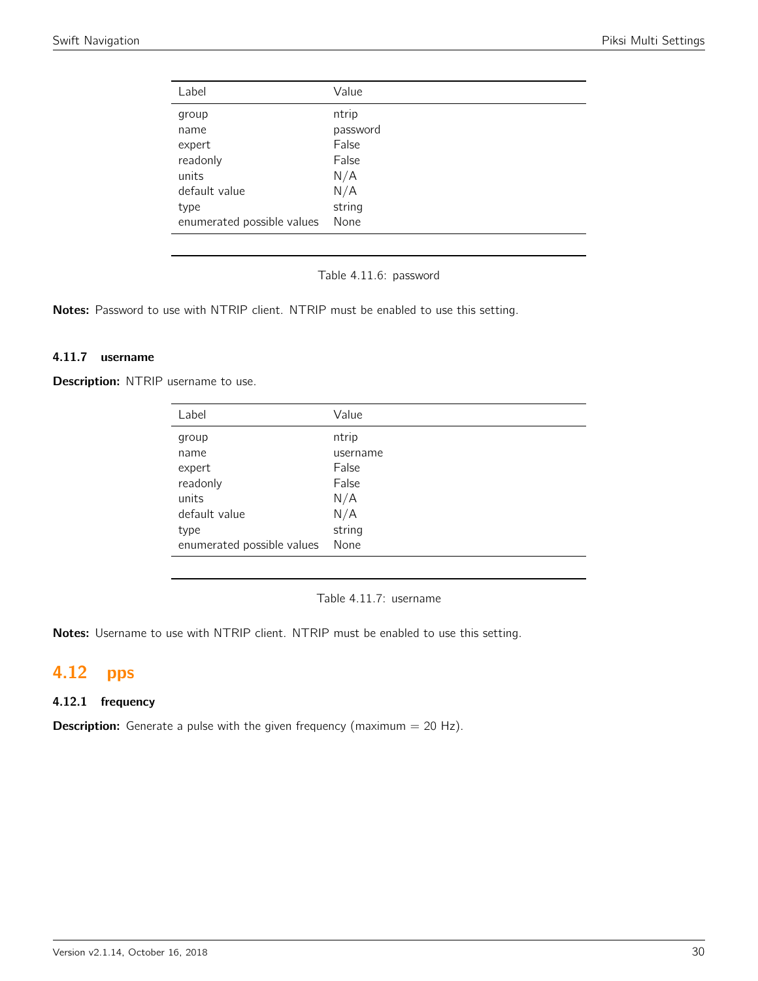<span id="page-29-0"></span>

| Value    |
|----------|
| ntrip    |
| password |
| False    |
| False    |
| N/A      |
| N/A      |
| string   |
| None     |
|          |

Table 4.11.6: password

Notes: Password to use with NTRIP client. NTRIP must be enabled to use this setting.

# 4.11.7 username

Description: NTRIP username to use.

| Value    |
|----------|
| ntrip    |
| username |
| False    |
| False    |
| N/A      |
| N/A      |
| string   |
| None     |
|          |

Table 4.11.7: username

Notes: Username to use with NTRIP client. NTRIP must be enabled to use this setting.

# <span id="page-29-1"></span>4.12 pps

# 4.12.1 frequency

**Description:** Generate a pulse with the given frequency (maximum  $= 20$  Hz).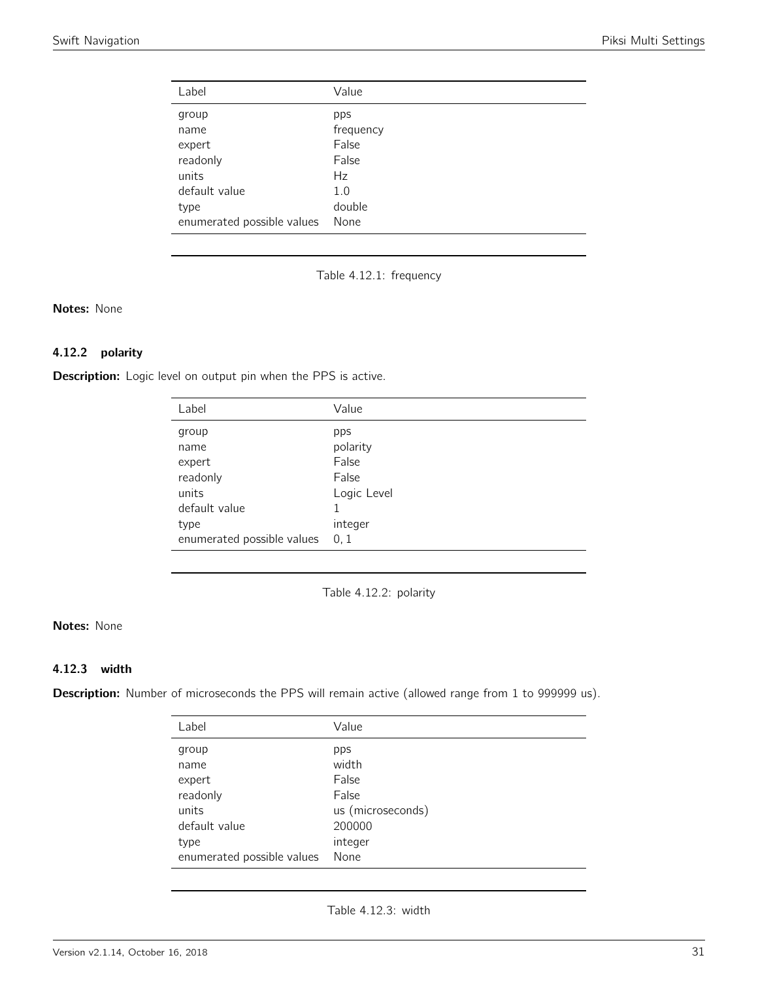<span id="page-30-0"></span>

| Label                      | Value     |
|----------------------------|-----------|
| group                      | pps       |
| name                       | frequency |
| expert                     | False     |
| readonly                   | False     |
| units                      | Hz        |
| default value              | 1.0       |
| type                       | double    |
| enumerated possible values | None      |

Table 4.12.1: frequency

Notes: None

# 4.12.2 polarity

<span id="page-30-1"></span>Description: Logic level on output pin when the PPS is active.

| Label                      | Value       |
|----------------------------|-------------|
| group                      | pps         |
| name                       | polarity    |
| expert                     | False       |
| readonly                   | False       |
| units                      | Logic Level |
| default value              |             |
| type                       | integer     |
| enumerated possible values | 0, 1        |

Table 4.12.2: polarity

# Notes: None

# 4.12.3 width

<span id="page-30-2"></span>Description: Number of microseconds the PPS will remain active (allowed range from 1 to 999999 us).

| Label                      | Value             |
|----------------------------|-------------------|
| group                      | pps               |
| name                       | width             |
| expert                     | False             |
| readonly                   | False             |
| units                      | us (microseconds) |
| default value              | 200000            |
| type                       | integer           |
| enumerated possible values | None              |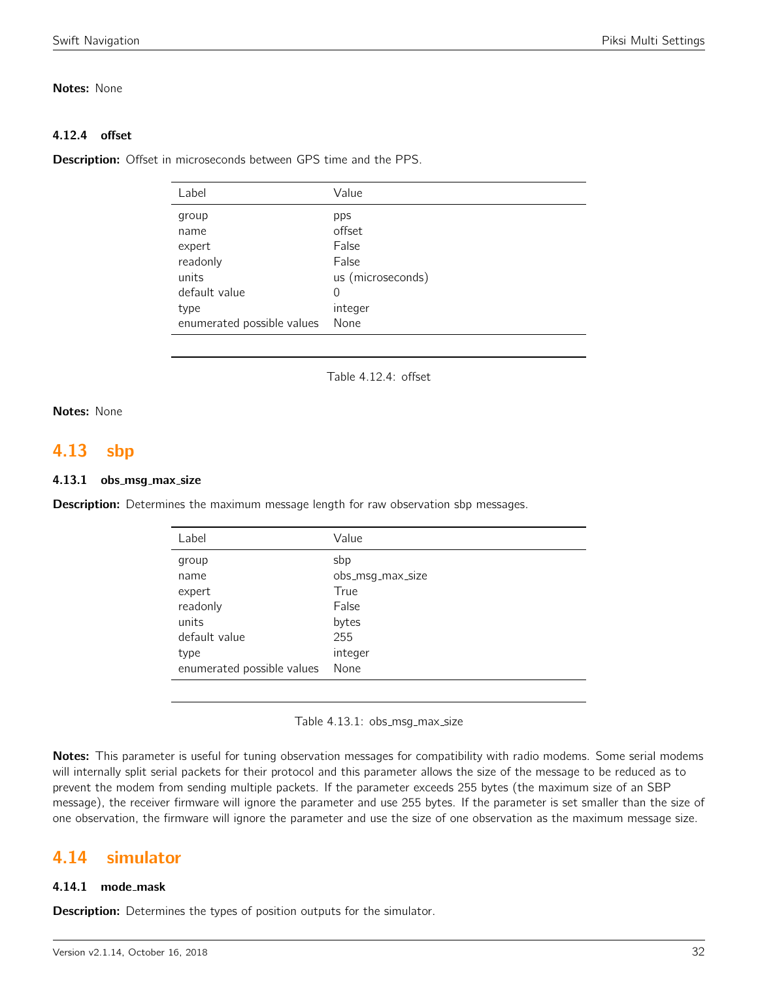# Notes: None

# 4.12.4 offset

Description: Offset in microseconds between GPS time and the PPS.

| Label                      | Value             |
|----------------------------|-------------------|
| group                      | pps               |
| name                       | offset            |
| expert                     | False             |
| readonly                   | False             |
| units                      | us (microseconds) |
| default value              | 0                 |
| type                       | integer           |
| enumerated possible values | None              |
|                            |                   |

Table 4.12.4: offset

# Notes: None

# <span id="page-31-0"></span>4.13 sbp

## 4.13.1 obs\_msg\_max\_size

**Description:** Determines the maximum message length for raw observation sbp messages.

| Label                      | Value            |
|----------------------------|------------------|
| group                      | sbp              |
| name                       | obs_msg_max_size |
| expert                     | True             |
| readonly                   | False            |
| units                      | bytes            |
| default value              | 255              |
| type                       | integer          |
| enumerated possible values | None             |

Table 4.13.1: obs\_msg\_max\_size

Notes: This parameter is useful for tuning observation messages for compatibility with radio modems. Some serial modems will internally split serial packets for their protocol and this parameter allows the size of the message to be reduced as to prevent the modem from sending multiple packets. If the parameter exceeds 255 bytes (the maximum size of an SBP message), the receiver firmware will ignore the parameter and use 255 bytes. If the parameter is set smaller than the size of one observation, the firmware will ignore the parameter and use the size of one observation as the maximum message size.

# <span id="page-31-1"></span>4.14 simulator

## 4.14.1 mode\_mask

**Description:** Determines the types of position outputs for the simulator.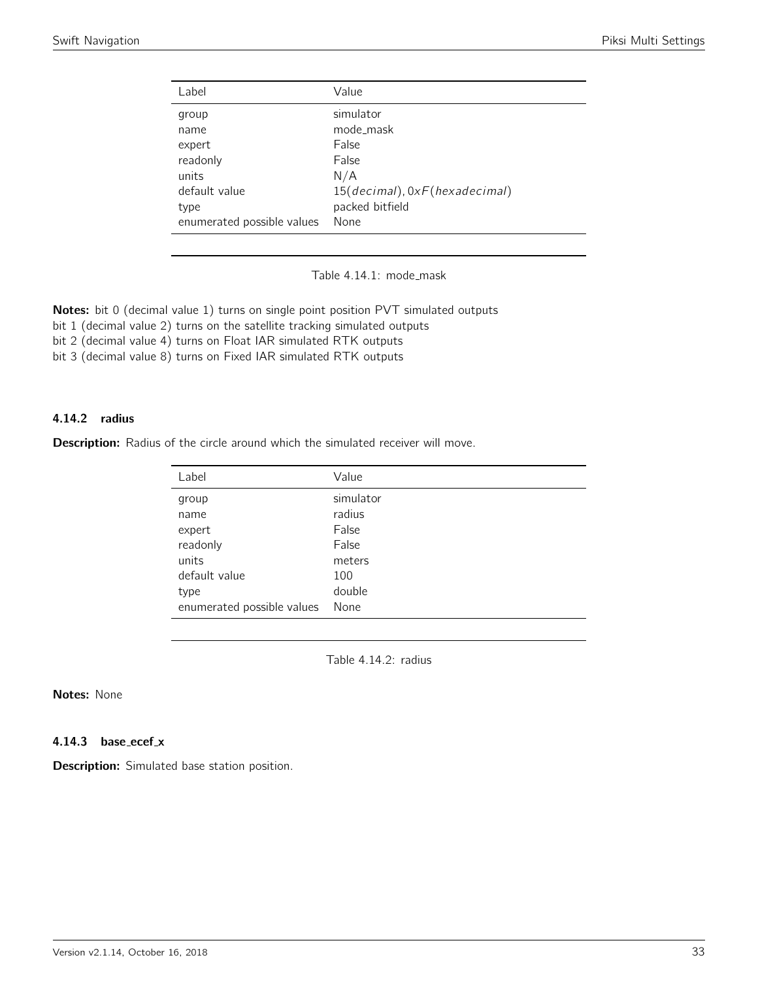<span id="page-32-0"></span>

| Label                      | Value                         |
|----------------------------|-------------------------------|
| group                      | simulator                     |
| name                       | mode_mask                     |
| expert                     | False                         |
| readonly                   | False                         |
| units                      | N/A                           |
| default value              | 15(decimal), 0xF(hexadecimal) |
| type                       | packed bitfield               |
| enumerated possible values | None                          |

Table 4.14.1: mode\_mask

Notes: bit 0 (decimal value 1) turns on single point position PVT simulated outputs

bit 1 (decimal value 2) turns on the satellite tracking simulated outputs

bit 2 (decimal value 4) turns on Float IAR simulated RTK outputs

bit 3 (decimal value 8) turns on Fixed IAR simulated RTK outputs

#### 4.14.2 radius

<span id="page-32-1"></span>Description: Radius of the circle around which the simulated receiver will move.

| Label                      | Value     |
|----------------------------|-----------|
| group                      | simulator |
| name                       | radius    |
| expert                     | False     |
| readonly                   | False     |
| units                      | meters    |
| default value              | 100       |
| type                       | double    |
| enumerated possible values | None      |

Table 4.14.2: radius

Notes: None

4.14.3 base\_ecef\_x

Description: Simulated base station position.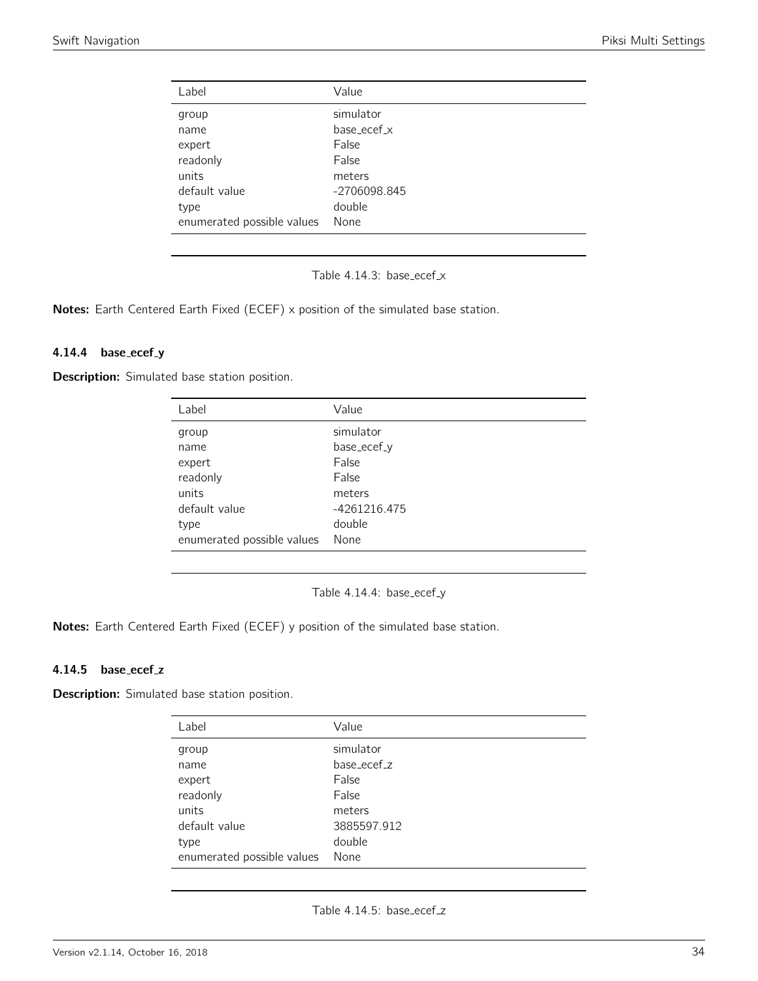<span id="page-33-0"></span>

| Value        |
|--------------|
| simulator    |
| base_ecef_x  |
| False        |
| False        |
| meters       |
| -2706098.845 |
| double       |
| None         |
|              |

Table 4.14.3: base\_ecef\_x

Notes: Earth Centered Earth Fixed (ECEF) x position of the simulated base station.

#### 4.14.4 base\_ecef\_y

<span id="page-33-1"></span>**Description:** Simulated base station position.

| Label                      | Value        |
|----------------------------|--------------|
| group                      | simulator    |
| name                       | base_ecef_y  |
| expert                     | False        |
| readonly                   | False        |
| units                      | meters       |
| default value              | -4261216.475 |
| type                       | double       |
| enumerated possible values | None         |

Table 4.14.4: base\_ecef\_y

Notes: Earth Centered Earth Fixed (ECEF) y position of the simulated base station.

#### 4.14.5 base\_ecef\_z

<span id="page-33-2"></span>Description: Simulated base station position.

| Label                      | Value       |
|----------------------------|-------------|
| group                      | simulator   |
| name                       | base_ecef_z |
| expert                     | False       |
| readonly                   | False       |
| units                      | meters      |
| default value              | 3885597.912 |
| type                       | double      |
| enumerated possible values | None        |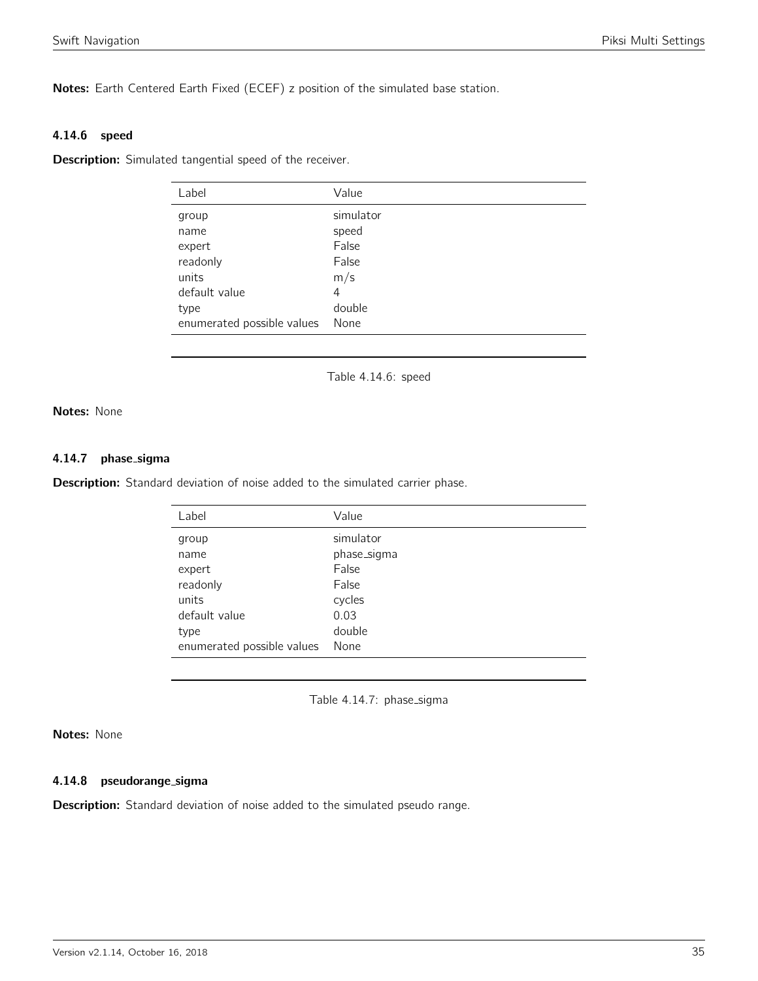Notes: Earth Centered Earth Fixed (ECEF) z position of the simulated base station.

#### 4.14.6 speed

<span id="page-34-0"></span>**Description:** Simulated tangential speed of the receiver.

| Label                      | Value     |
|----------------------------|-----------|
| group                      | simulator |
| name                       | speed     |
| expert                     | False     |
| readonly                   | False     |
| units                      | m/s       |
| default value              | 4         |
| type                       | double    |
| enumerated possible values | None      |

Table 4.14.6: speed

Notes: None

#### 4.14.7 phase sigma

<span id="page-34-1"></span>Description: Standard deviation of noise added to the simulated carrier phase.

| Label                      | Value       |
|----------------------------|-------------|
| group                      | simulator   |
| name                       | phase_sigma |
| expert                     | False       |
| readonly                   | False       |
| units                      | cycles      |
| default value              | 0.03        |
| type                       | double      |
| enumerated possible values | None        |

Table 4.14.7: phase\_sigma

# Notes: None

#### 4.14.8 pseudorange sigma

**Description:** Standard deviation of noise added to the simulated pseudo range.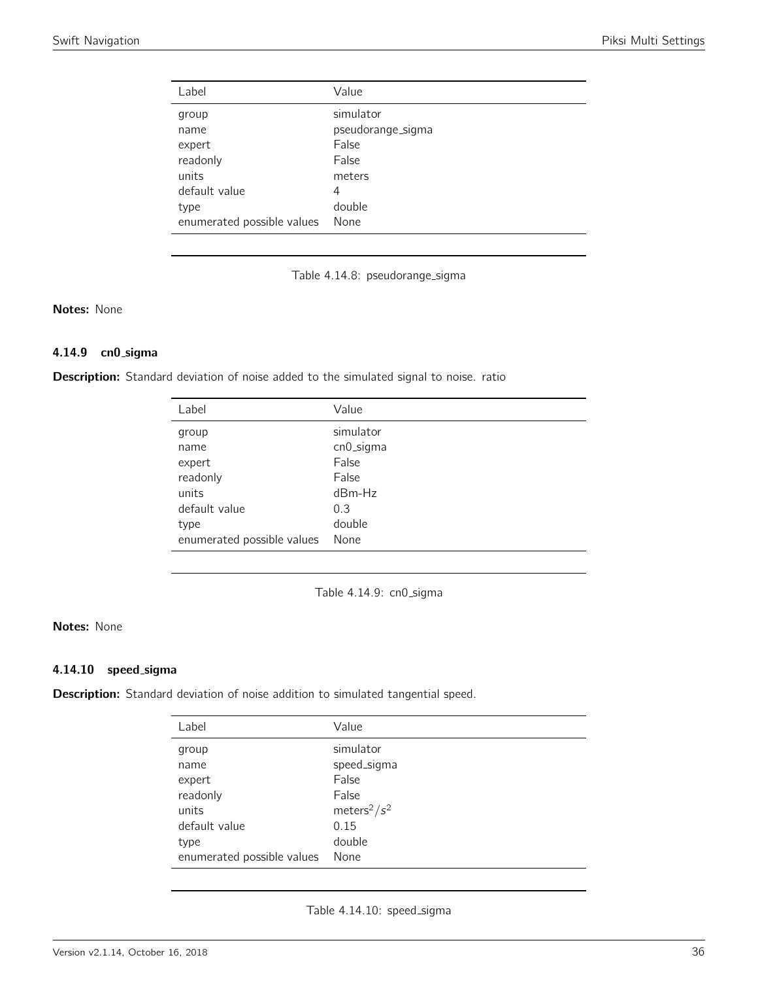<span id="page-35-0"></span>

| Label                      | Value             |
|----------------------------|-------------------|
| group                      | simulator         |
| name                       | pseudorange_sigma |
| expert                     | False             |
| readonly                   | False             |
| units                      | meters            |
| default value              | 4                 |
| type                       | double            |
| enumerated possible values | None              |

Table 4.14.8: pseudorange\_sigma

# Notes: None

# 4.14.9 cn0 sigma

<span id="page-35-1"></span>Description: Standard deviation of noise added to the simulated signal to noise. ratio

| Label                      | Value     |
|----------------------------|-----------|
| group                      | simulator |
| name                       | cn0_sigma |
| expert                     | False     |
| readonly                   | False     |
| units                      | $dBm-Hz$  |
| default value              | 0.3       |
| type                       | double    |
| enumerated possible values | None      |

Table 4.14.9: cn0\_sigma

# Notes: None

#### 4.14.10 speed sigma

<span id="page-35-2"></span>Description: Standard deviation of noise addition to simulated tangential speed.

| Label                      | Value                       |
|----------------------------|-----------------------------|
| group                      | simulator                   |
| name                       | speed_sigma                 |
| expert                     | False                       |
| readonly                   | False                       |
| units                      | meters <sup>2</sup> / $s^2$ |
| default value              | 0.15                        |
| type                       | double                      |
| enumerated possible values | None                        |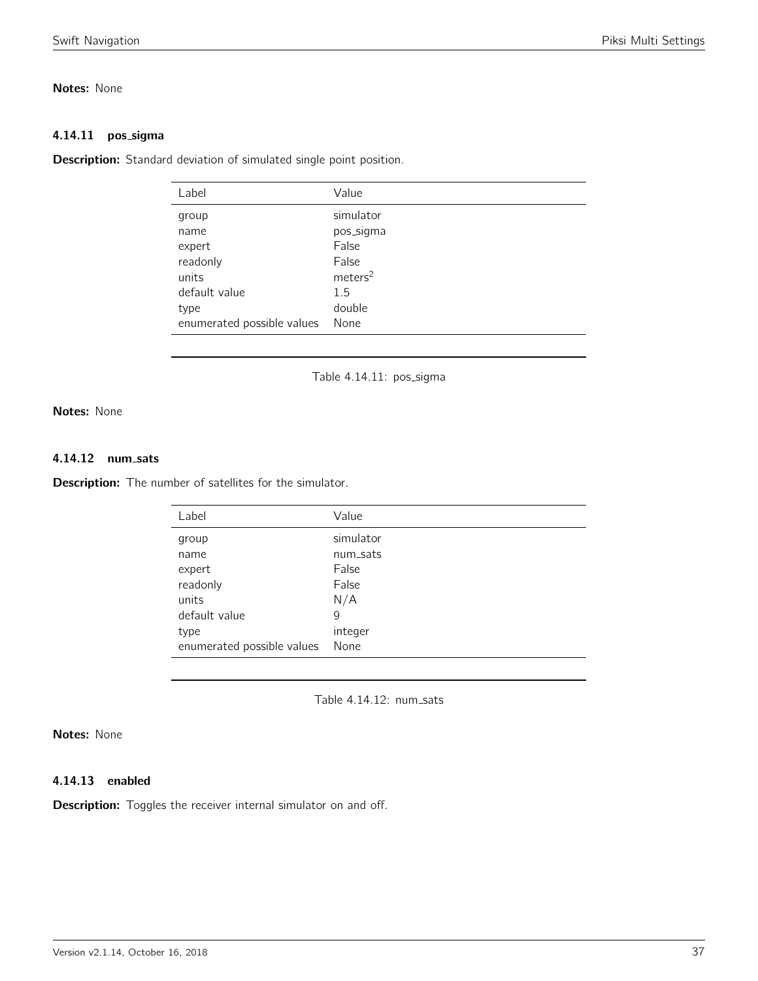## Notes: None

#### 4.14.11 pos\_sigma

Description: Standard deviation of simulated single point position.

| Label                      | Value               |
|----------------------------|---------------------|
| group                      | simulator           |
| name                       | pos_sigma           |
| expert                     | False               |
| readonly                   | False               |
| units                      | meters <sup>2</sup> |
| default value              | 1.5                 |
| type                       | double              |
| enumerated possible values | None                |
|                            |                     |

Table 4.14.11: pos\_sigma

Notes: None

## 4.14.12 num sats

**Description:** The number of satellites for the simulator.

| Label                      | Value     |
|----------------------------|-----------|
| group                      | simulator |
| name                       | num_sats  |
| expert                     | False     |
| readonly                   | False     |
| units                      | N/A       |
| default value              | 9         |
| type                       | integer   |
| enumerated possible values | None      |

Table 4.14.12: num\_sats

## Notes: None

## 4.14.13 enabled

**Description:** Toggles the receiver internal simulator on and off.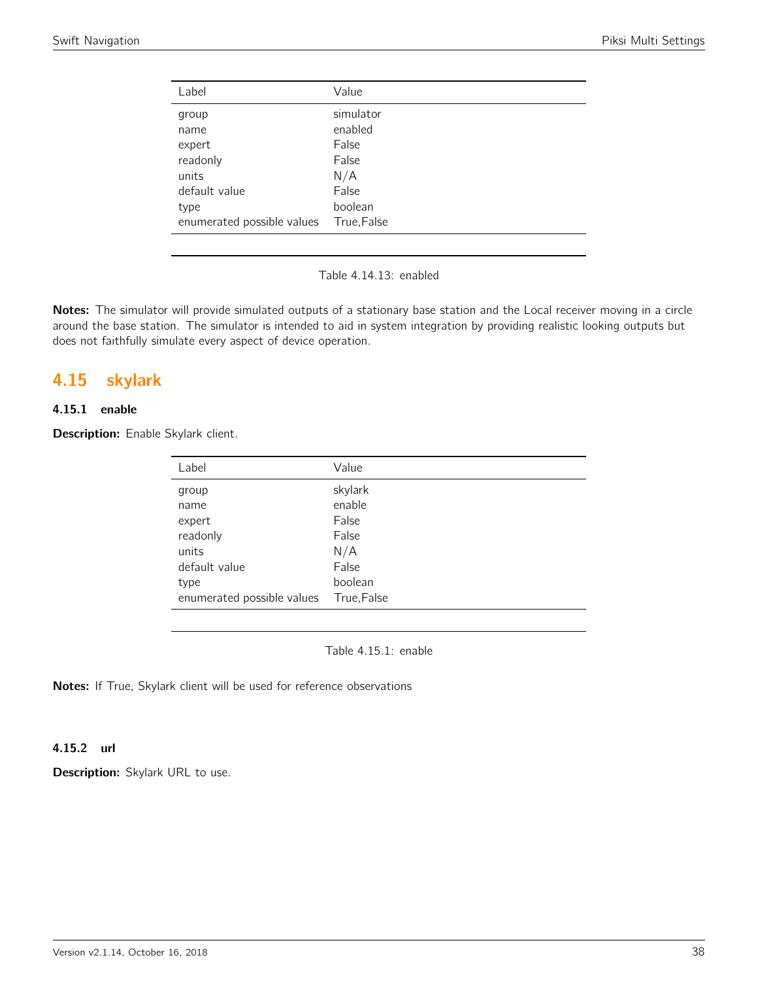| Label                      | Value       |
|----------------------------|-------------|
| group                      | simulator   |
| name                       | enabled     |
| expert                     | False       |
| readonly                   | False       |
| units                      | N/A         |
| default value              | False       |
| type                       | boolean     |
| enumerated possible values | True, False |

Table 4.14.13: enabled

Notes: The simulator will provide simulated outputs of a stationary base station and the Local receiver moving in a circle around the base station. The simulator is intended to aid in system integration by providing realistic looking outputs but does not faithfully simulate every aspect of device operation.

# 4.15 skylark

## 4.15.1 enable

Description: Enable Skylark client.

| Label                      | Value       |
|----------------------------|-------------|
| group                      | skylark     |
| name                       | enable      |
| expert                     | False       |
| readonly                   | False       |
| units                      | N/A         |
| default value              | False       |
| type                       | boolean     |
| enumerated possible values | True, False |

Table 4.15.1: enable

Notes: If True, Skylark client will be used for reference observations

## 4.15.2 url

Description: Skylark URL to use.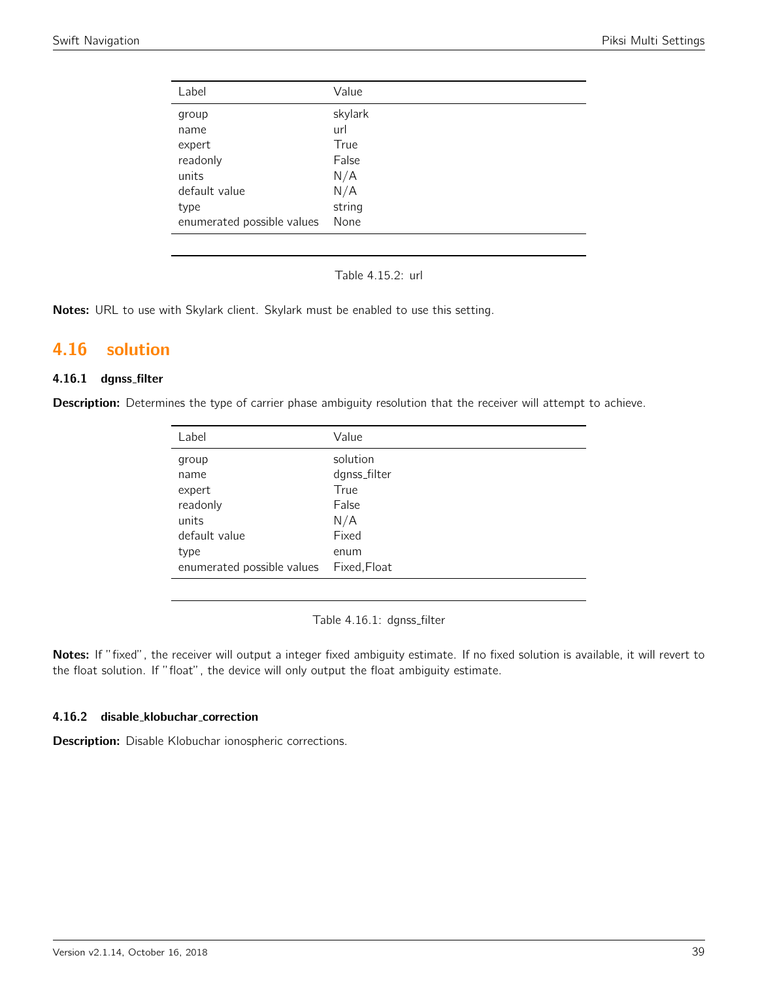| Value   |
|---------|
| skylark |
| url     |
| True    |
| False   |
| N/A     |
| N/A     |
| string  |
| None    |
|         |

Table 4.15.2: url

Notes: URL to use with Skylark client. Skylark must be enabled to use this setting.

## 4.16 solution

## 4.16.1 dgnss filter

Description: Determines the type of carrier phase ambiguity resolution that the receiver will attempt to achieve.

| Label                      | Value        |
|----------------------------|--------------|
| group                      | solution     |
| name                       | dgnss_filter |
| expert                     | True         |
| readonly                   | False        |
| units                      | N/A          |
| default value              | Fixed        |
| type                       | enum         |
| enumerated possible values | Fixed, Float |

Table 4.16.1: dgnss\_filter

Notes: If "fixed", the receiver will output a integer fixed ambiguity estimate. If no fixed solution is available, it will revert to the float solution. If "float", the device will only output the float ambiguity estimate.

#### 4.16.2 disable klobuchar correction

Description: Disable Klobuchar ionospheric corrections.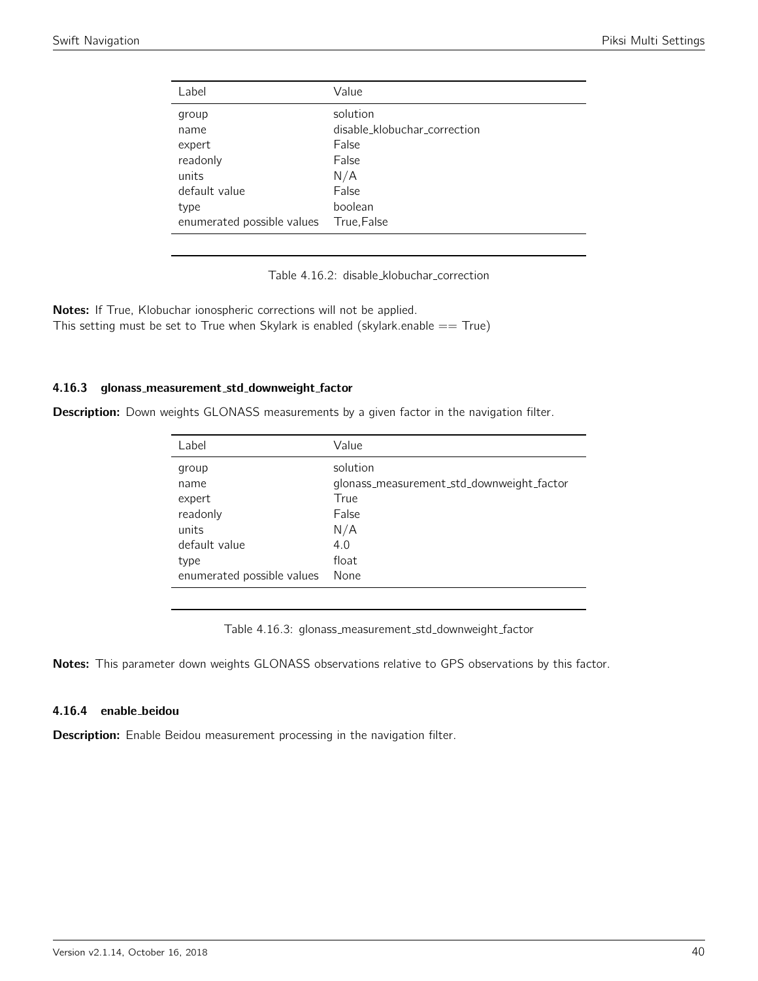| Label                                               | Value                                             |
|-----------------------------------------------------|---------------------------------------------------|
| group<br>name                                       | solution<br>disable_klobuchar_correction<br>False |
| expert<br>readonly<br>units                         | False<br>N/A                                      |
| default value<br>type<br>enumerated possible values | False<br>boolean<br>True, False                   |

Table 4.16.2: disable klobuchar correction

Notes: If True, Klobuchar ionospheric corrections will not be applied. This setting must be set to True when Skylark is enabled (skylark.enable  $==$  True)

## 4.16.3 glonass measurement std downweight factor

**Description:** Down weights GLONASS measurements by a given factor in the navigation filter.

| Label                      | Value                                     |
|----------------------------|-------------------------------------------|
| group                      | solution                                  |
| name                       | glonass_measurement_std_downweight_factor |
| expert                     | True                                      |
| readonly                   | False                                     |
| units                      | N/A                                       |
| default value              | 4.0                                       |
| type                       | float                                     |
| enumerated possible values | None                                      |

Table 4.16.3: glonass\_measurement\_std\_downweight\_factor

Notes: This parameter down weights GLONASS observations relative to GPS observations by this factor.

## 4.16.4 enable beidou

Description: Enable Beidou measurement processing in the navigation filter.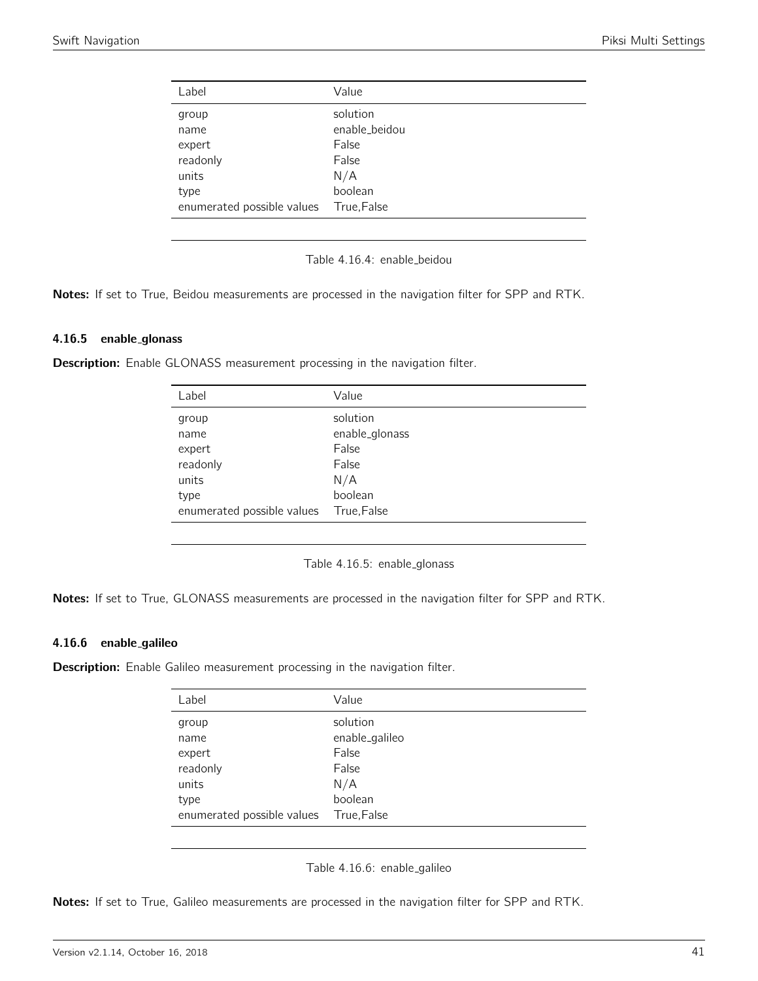| Label                                                | Value                                                         |
|------------------------------------------------------|---------------------------------------------------------------|
| group<br>name<br>expert<br>readonly<br>units<br>type | solution<br>enable_beidou<br>False<br>False<br>N/A<br>boolean |
| enumerated possible values                           | True, False                                                   |

Table 4.16.4: enable\_beidou

Notes: If set to True, Beidou measurements are processed in the navigation filter for SPP and RTK.

#### 4.16.5 enable glonass

**Description:** Enable GLONASS measurement processing in the navigation filter.

| Label                      | Value          |
|----------------------------|----------------|
| group                      | solution       |
| name                       | enable_glonass |
| expert                     | False          |
| readonly                   | False          |
| units                      | N/A            |
| type                       | boolean        |
| enumerated possible values | True, False    |

Table 4.16.5: enable glonass

Notes: If set to True, GLONASS measurements are processed in the navigation filter for SPP and RTK.

#### 4.16.6 enable galileo

**Description:** Enable Galileo measurement processing in the navigation filter.

| Label                      | Value          |
|----------------------------|----------------|
| group                      | solution       |
| name                       | enable_galileo |
| expert                     | False          |
| readonly                   | False          |
| units                      | N/A            |
| type                       | boolean        |
| enumerated possible values | True,False     |

Table 4.16.6: enable galileo

Notes: If set to True, Galileo measurements are processed in the navigation filter for SPP and RTK.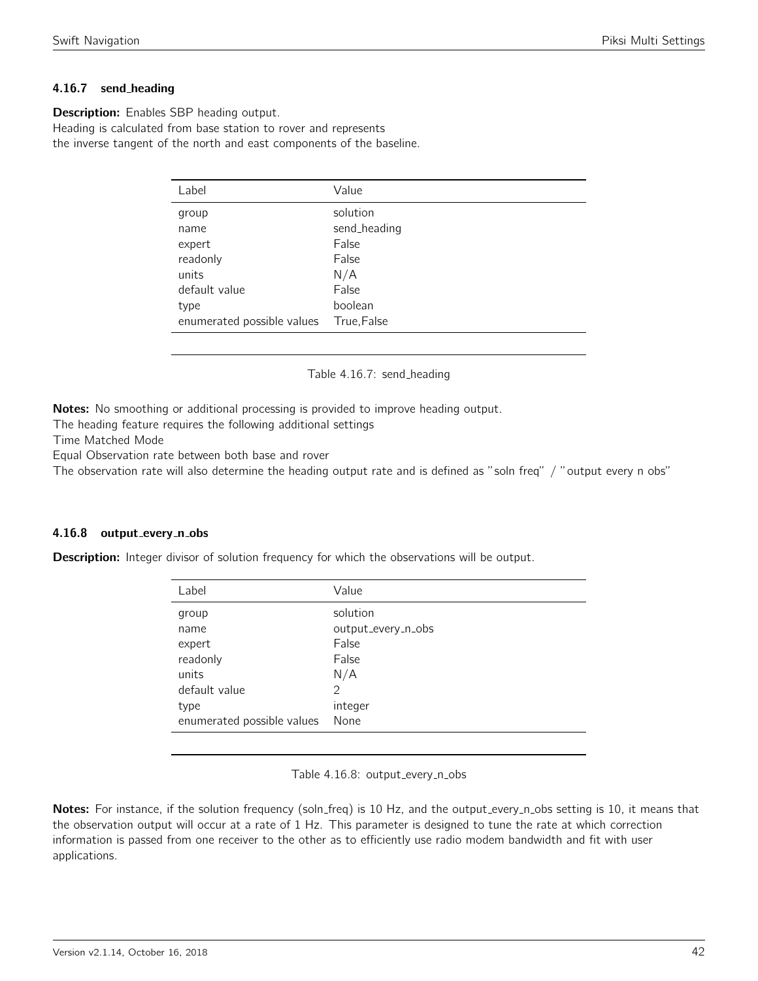## 4.16.7 send heading

**Description:** Enables SBP heading output. Heading is calculated from base station to rover and represents the inverse tangent of the north and east components of the baseline.

| Label                      | Value        |
|----------------------------|--------------|
| group                      | solution     |
| name                       | send_heading |
| expert                     | False        |
| readonly                   | False        |
| units                      | N/A          |
| default value              | False        |
| type                       | boolean      |
| enumerated possible values | True, False  |

#### Table 4.16.7: send\_heading

Notes: No smoothing or additional processing is provided to improve heading output.

The heading feature requires the following additional settings

Time Matched Mode

Equal Observation rate between both base and rover

The observation rate will also determine the heading output rate and is defined as "soln freq" / "output every n obs"

## 4.16.8 output\_every\_n\_obs

**Description:** Integer divisor of solution frequency for which the observations will be output.

| Label                      | Value              |
|----------------------------|--------------------|
| group                      | solution           |
| name                       | output_every_n_obs |
| expert                     | False              |
| readonly                   | False              |
| units                      | N/A                |
| default value              | $\mathcal{P}$      |
| type                       | integer            |
| enumerated possible values | None               |

Table 4.16.8: output\_every\_n\_obs

Notes: For instance, if the solution frequency (soln\_freq) is 10 Hz, and the output\_every\_n\_obs setting is 10, it means that the observation output will occur at a rate of 1 Hz. This parameter is designed to tune the rate at which correction information is passed from one receiver to the other as to efficiently use radio modem bandwidth and fit with user applications.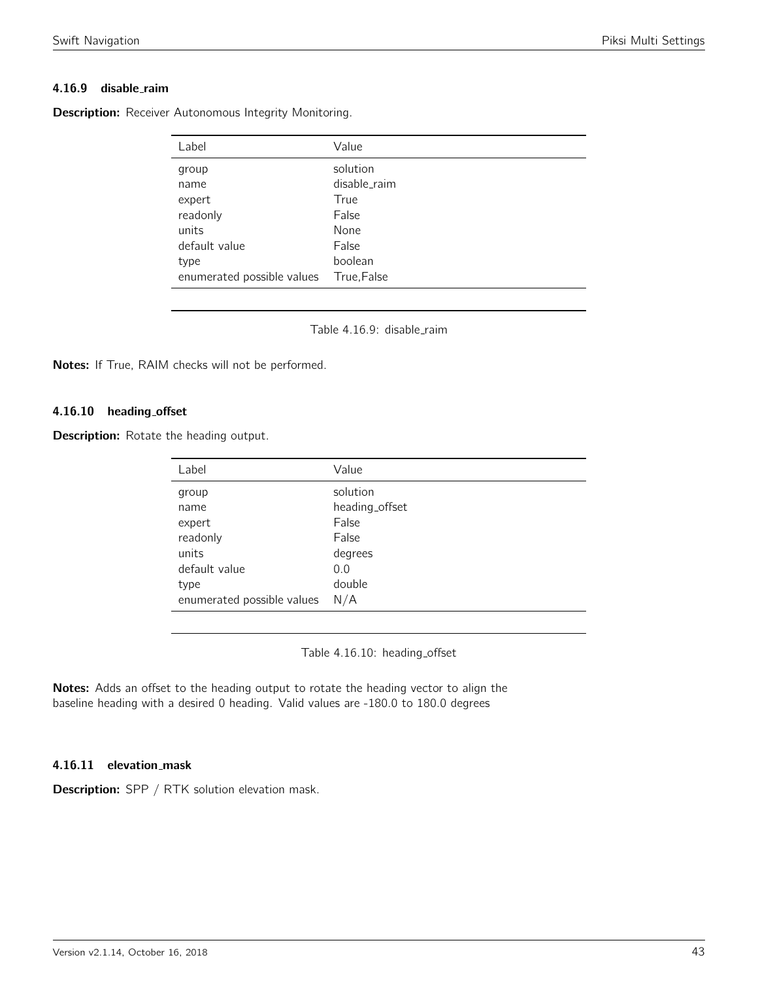## 4.16.9 disable\_raim

Description: Receiver Autonomous Integrity Monitoring.

| Label                      | Value        |
|----------------------------|--------------|
| group                      | solution     |
| name                       | disable_raim |
| expert                     | True         |
| readonly                   | False        |
| units                      | None         |
| default value              | False        |
| type                       | boolean      |
| enumerated possible values | True, False  |

Table 4.16.9: disable\_raim

Notes: If True, RAIM checks will not be performed.

## 4.16.10 heading offset

**Description:** Rotate the heading output.

| Label                      | Value          |
|----------------------------|----------------|
| group                      | solution       |
| name                       | heading_offset |
| expert                     | False          |
| readonly                   | False          |
| units                      | degrees        |
| default value              | 0.0            |
| type                       | double         |
| enumerated possible values | N/A            |

Table 4.16.10: heading\_offset

Notes: Adds an offset to the heading output to rotate the heading vector to align the baseline heading with a desired 0 heading. Valid values are -180.0 to 180.0 degrees

#### 4.16.11 elevation mask

Description: SPP / RTK solution elevation mask.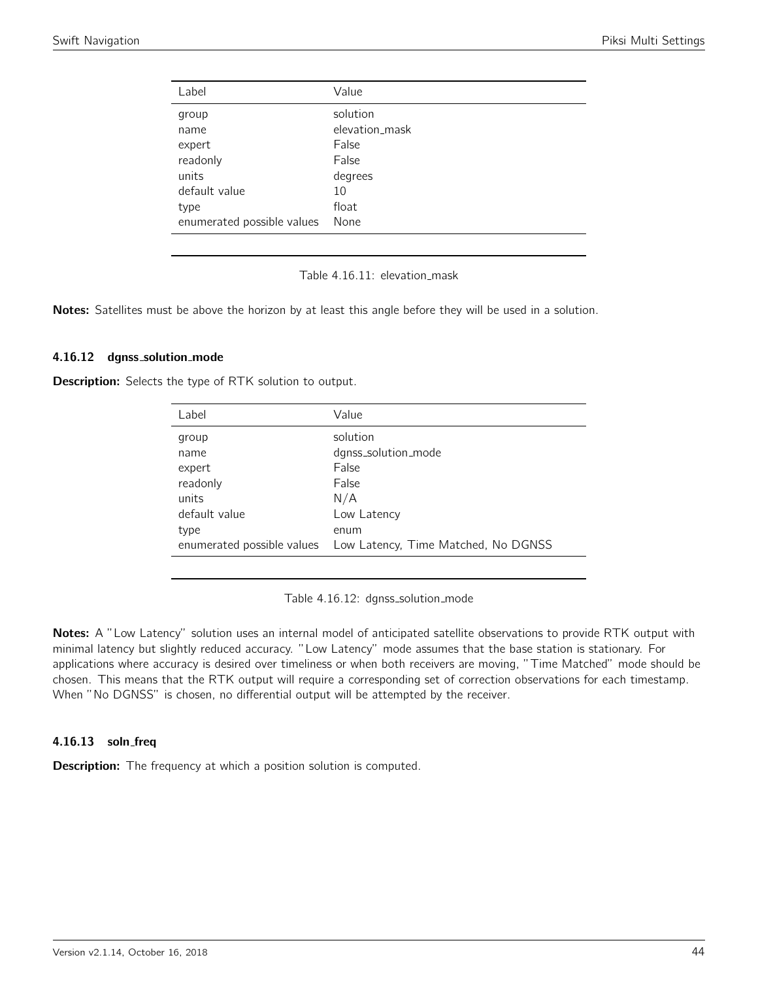| Value          |
|----------------|
| solution       |
| elevation_mask |
| False          |
| False          |
| degrees        |
| 10             |
| float          |
| None           |
|                |

Table 4.16.11: elevation\_mask

Notes: Satellites must be above the horizon by at least this angle before they will be used in a solution.

#### 4.16.12 dgnss solution mode

Description: Selects the type of RTK solution to output.

| Label         | Value                                                           |
|---------------|-----------------------------------------------------------------|
| group         | solution                                                        |
| name          | dgnss_solution_mode                                             |
| expert        | False                                                           |
| readonly      | False                                                           |
| units         | N/A                                                             |
| default value | Low Latency                                                     |
| type          | enum                                                            |
|               | enumerated possible values  Low Latency, Time Matched, No DGNSS |

Table 4.16.12: dgnss\_solution\_mode

Notes: A "Low Latency" solution uses an internal model of anticipated satellite observations to provide RTK output with minimal latency but slightly reduced accuracy. "Low Latency" mode assumes that the base station is stationary. For applications where accuracy is desired over timeliness or when both receivers are moving, "Time Matched" mode should be chosen. This means that the RTK output will require a corresponding set of correction observations for each timestamp. When "No DGNSS" is chosen, no differential output will be attempted by the receiver.

## 4.16.13 soln freq

**Description:** The frequency at which a position solution is computed.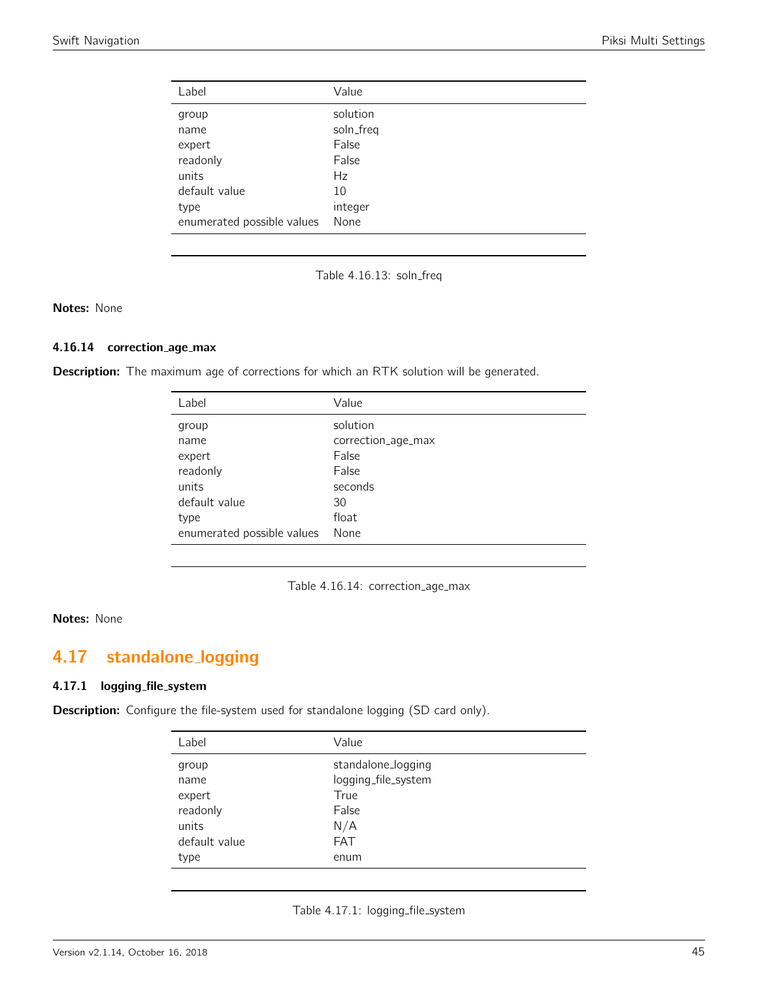| Label                      | Value     |
|----------------------------|-----------|
| group                      | solution  |
| name                       | soln_freq |
| expert                     | False     |
| readonly                   | False     |
| units                      | Hz        |
| default value              | 10        |
| type                       | integer   |
| enumerated possible values | None      |

Table 4.16.13: soln\_freq

Notes: None

## 4.16.14 correction\_age\_max

Description: The maximum age of corrections for which an RTK solution will be generated.

| Label                      | Value              |
|----------------------------|--------------------|
| group                      | solution           |
| name                       | correction_age_max |
| expert                     | False              |
| readonly                   | False              |
| units                      | seconds            |
| default value              | 30                 |
| type                       | float              |
| enumerated possible values | None               |

Table 4.16.14: correction\_age\_max

#### Notes: None

# 4.17 standalone logging

#### 4.17.1 logging file system

Description: Configure the file-system used for standalone logging (SD card only).

| Label         | Value               |
|---------------|---------------------|
| group         | standalone_logging  |
| name          | logging_file_system |
| expert        | True                |
| readonly      | False               |
| units         | N/A                 |
| default value | <b>FAT</b>          |
| type          | enum                |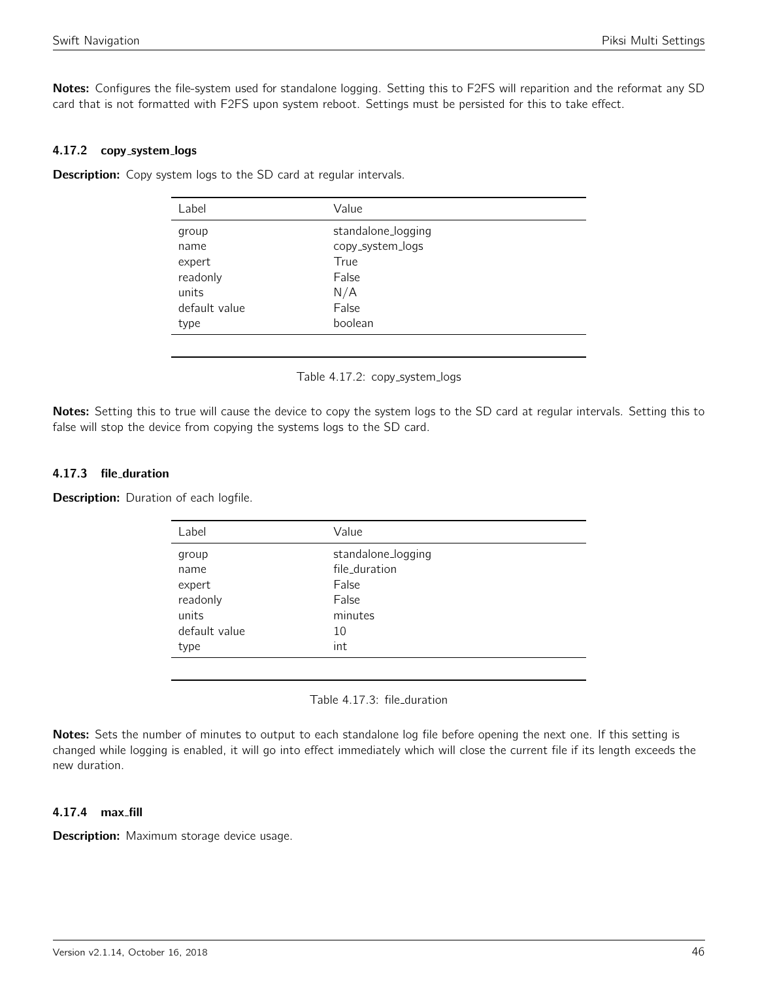Notes: Configures the file-system used for standalone logging. Setting this to F2FS will reparition and the reformat any SD card that is not formatted with F2FS upon system reboot. Settings must be persisted for this to take effect.

#### 4.17.2 copy system logs

**Description:** Copy system logs to the SD card at regular intervals.

| Value              |
|--------------------|
| standalone_logging |
| copy_system_logs   |
| True               |
| False              |
| N/A                |
| False              |
| boolean            |
|                    |

Table 4.17.2: copy\_system\_logs

Notes: Setting this to true will cause the device to copy the system logs to the SD card at regular intervals. Setting this to false will stop the device from copying the systems logs to the SD card.

## 4.17.3 file duration

**Description:** Duration of each logfile.

| Label         | Value              |
|---------------|--------------------|
| group         | standalone_logging |
| name          | file_duration      |
| expert        | False              |
| readonly      | False              |
| units         | minutes            |
| default value | 10                 |
| type          | int                |

Table 4.17.3: file duration

Notes: Sets the number of minutes to output to each standalone log file before opening the next one. If this setting is changed while logging is enabled, it will go into effect immediately which will close the current file if its length exceeds the new duration.

#### 4.17.4 max fill

Description: Maximum storage device usage.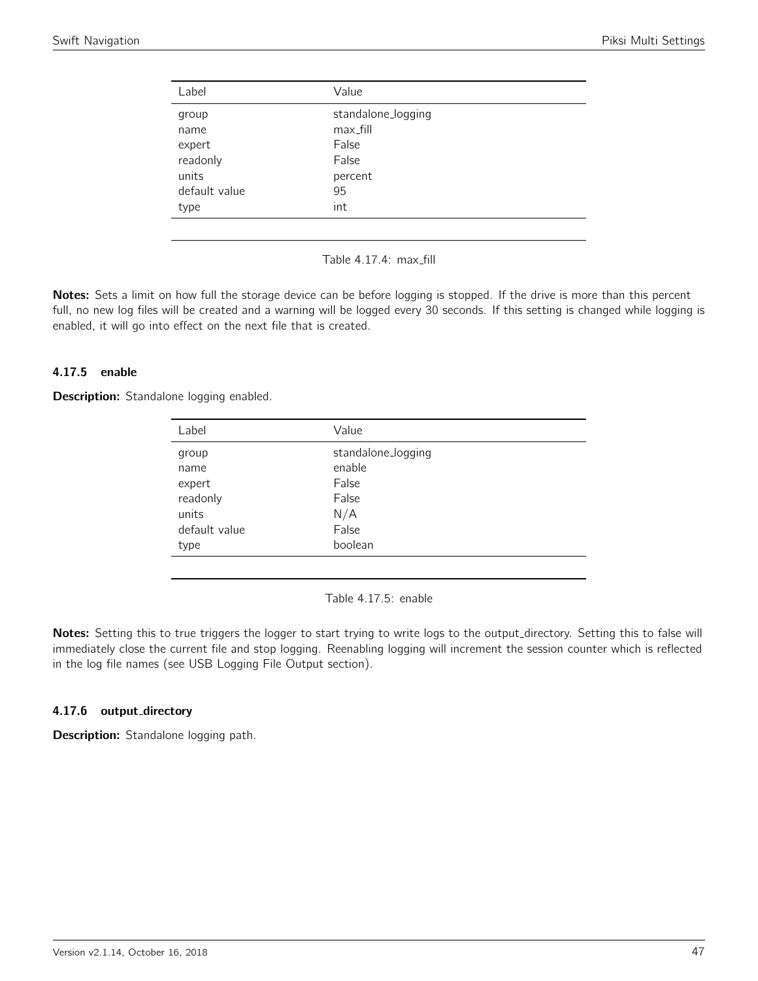| Label         | Value              |
|---------------|--------------------|
| group         | standalone_logging |
| name          | max_fill           |
| expert        | False              |
| readonly      | False              |
| units         | percent            |
| default value | 95                 |
| type          | int                |
|               |                    |

Table 4.17.4: max\_fill

Notes: Sets a limit on how full the storage device can be before logging is stopped. If the drive is more than this percent full, no new log files will be created and a warning will be logged every 30 seconds. If this setting is changed while logging is enabled, it will go into effect on the next file that is created.

## 4.17.5 enable

**Description:** Standalone logging enabled.

| Label         | Value              |
|---------------|--------------------|
| group         | standalone_logging |
| name          | enable             |
| expert        | False              |
| readonly      | False              |
| units         | N/A                |
| default value | False              |
| type          | boolean            |
|               |                    |

Table 4.17.5: enable

Notes: Setting this to true triggers the logger to start trying to write logs to the output\_directory. Setting this to false will immediately close the current file and stop logging. Reenabling logging will increment the session counter which is reflected in the log file names (see USB Logging File Output section).

## 4.17.6 output\_directory

Description: Standalone logging path.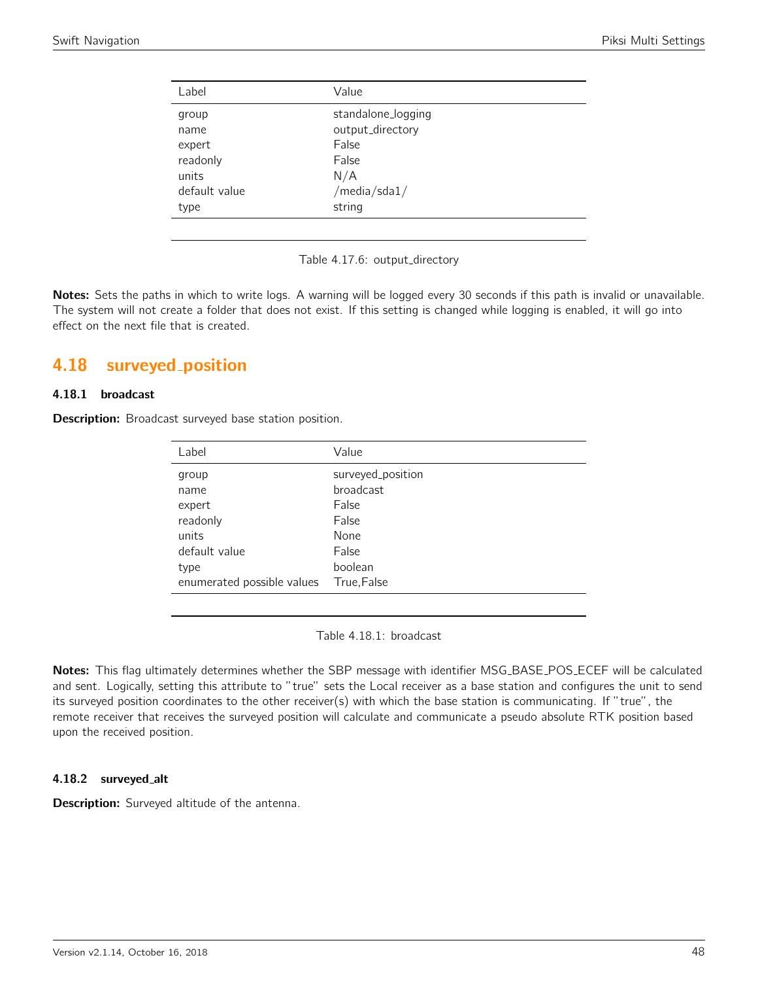| Label                              | Value                                           |  |
|------------------------------------|-------------------------------------------------|--|
| group<br>name<br>expert            | standalone_logging<br>output_directory<br>False |  |
| readonly<br>units<br>default value | False<br>N/A<br>/media/sda1/                    |  |
| type                               | string                                          |  |

Table 4.17.6: output\_directory

Notes: Sets the paths in which to write logs. A warning will be logged every 30 seconds if this path is invalid or unavailable. The system will not create a folder that does not exist. If this setting is changed while logging is enabled, it will go into effect on the next file that is created.

# 4.18 surveyed position

## 4.18.1 broadcast

**Description:** Broadcast surveyed base station position.

| Label                      | Value             |
|----------------------------|-------------------|
| group                      | surveyed_position |
| name                       | <b>broadcast</b>  |
| expert                     | False             |
| readonly                   | False             |
| units                      | None              |
| default value              | False             |
| type                       | boolean           |
| enumerated possible values | True, False       |

Table 4.18.1: broadcast

Notes: This flag ultimately determines whether the SBP message with identifier MSG\_BASE\_POS\_ECEF will be calculated and sent. Logically, setting this attribute to "true" sets the Local receiver as a base station and configures the unit to send its surveyed position coordinates to the other receiver(s) with which the base station is communicating. If "true", the remote receiver that receives the surveyed position will calculate and communicate a pseudo absolute RTK position based upon the received position.

## 4.18.2 surveyed alt

Description: Surveyed altitude of the antenna.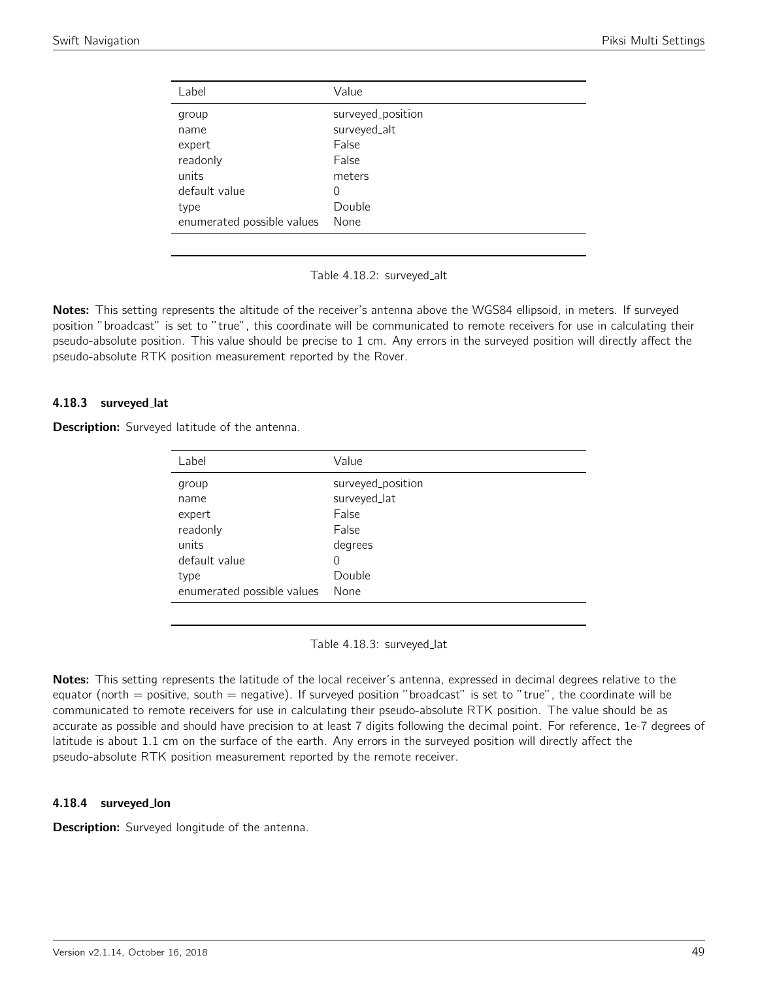| Label                      | Value             |
|----------------------------|-------------------|
| group                      | surveyed_position |
| name                       | surveyed_alt      |
| expert                     | False             |
| readonly                   | False             |
| units                      | meters            |
| default value              | 0                 |
| type                       | Double            |
| enumerated possible values | None              |

Table 4.18.2: surveyed\_alt

Notes: This setting represents the altitude of the receiver's antenna above the WGS84 ellipsoid, in meters. If surveyed position "broadcast" is set to "true", this coordinate will be communicated to remote receivers for use in calculating their pseudo-absolute position. This value should be precise to 1 cm. Any errors in the surveyed position will directly affect the pseudo-absolute RTK position measurement reported by the Rover.

## 4.18.3 surveyed lat

Description: Surveyed latitude of the antenna.

| Label                      | Value             |
|----------------------------|-------------------|
| group                      | surveyed_position |
| name                       | surveyed_lat      |
| expert                     | False             |
| readonly                   | False             |
| units                      | degrees           |
| default value              | 0                 |
| type                       | Double            |
| enumerated possible values | None              |
|                            |                   |

Table 4.18.3: surveyed lat

Notes: This setting represents the latitude of the local receiver's antenna, expressed in decimal degrees relative to the equator (north  $=$  positive, south  $=$  negative). If surveyed position "broadcast" is set to "true", the coordinate will be communicated to remote receivers for use in calculating their pseudo-absolute RTK position. The value should be as accurate as possible and should have precision to at least 7 digits following the decimal point. For reference, 1e-7 degrees of latitude is about 1.1 cm on the surface of the earth. Any errors in the surveyed position will directly affect the pseudo-absolute RTK position measurement reported by the remote receiver.

## 4.18.4 surveyed lon

**Description:** Surveyed longitude of the antenna.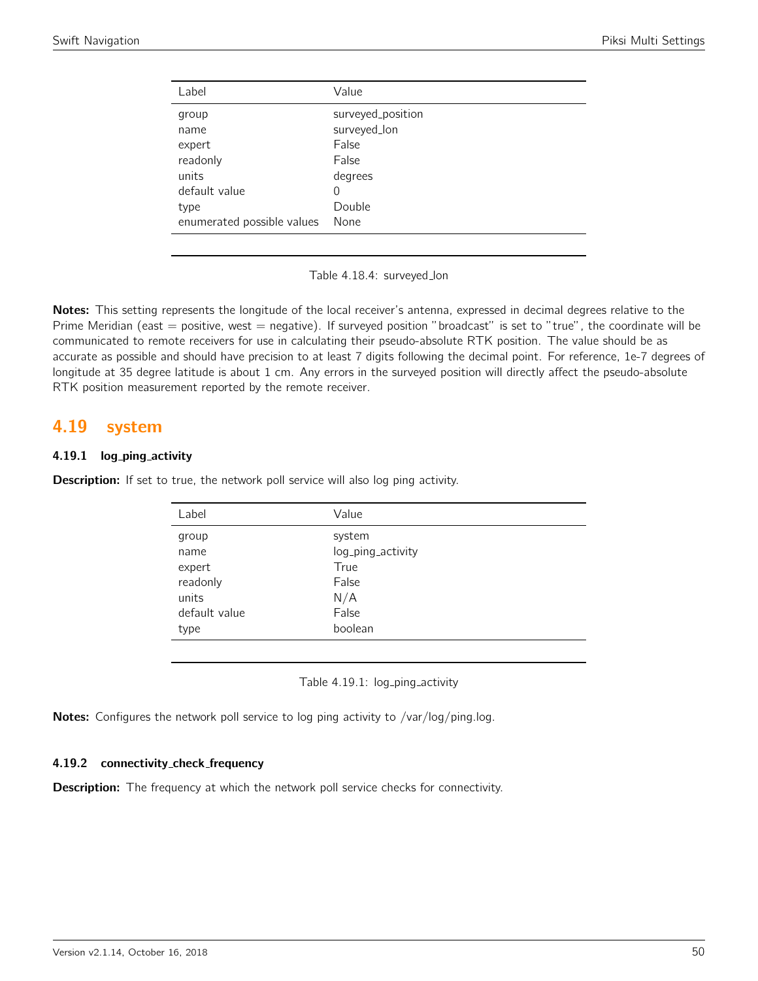| Label                      | Value             |
|----------------------------|-------------------|
| group                      | surveyed_position |
| name                       | surveyed_lon      |
| expert                     | False             |
| readonly                   | False             |
| units                      | degrees           |
| default value              | 0                 |
| type                       | Double            |
| enumerated possible values | None              |

Table 4.18.4: surveyed lon

Notes: This setting represents the longitude of the local receiver's antenna, expressed in decimal degrees relative to the Prime Meridian (east  $=$  positive, west  $=$  negative). If surveyed position "broadcast" is set to "true", the coordinate will be communicated to remote receivers for use in calculating their pseudo-absolute RTK position. The value should be as accurate as possible and should have precision to at least 7 digits following the decimal point. For reference, 1e-7 degrees of longitude at 35 degree latitude is about 1 cm. Any errors in the surveyed position will directly affect the pseudo-absolute RTK position measurement reported by the remote receiver.

## 4.19 system

## 4.19.1 log\_ping\_activity

**Description:** If set to true, the network poll service will also log ping activity.

| Label         | Value             |
|---------------|-------------------|
| group         | system            |
| name          | log_ping_activity |
| expert        | True              |
| readonly      | False             |
| units         | N/A               |
| default value | False             |
| type          | boolean           |
|               |                   |

Table 4.19.1: log\_ping\_activity

Notes: Configures the network poll service to log ping activity to /var/log/ping.log.

## 4.19.2 connectivity\_check\_frequency

**Description:** The frequency at which the network poll service checks for connectivity.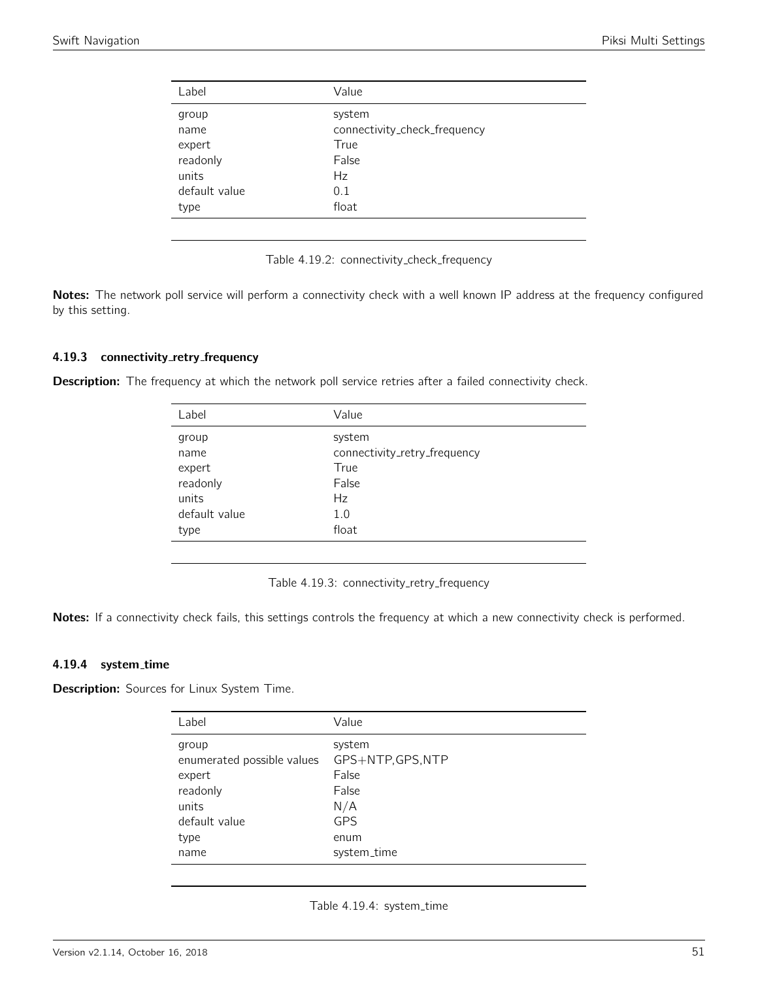| Label         | Value                        |
|---------------|------------------------------|
| group         | system                       |
| name          | connectivity_check_frequency |
| expert        | True                         |
| readonly      | False                        |
| units         | Hz                           |
| default value | 0.1                          |
| type          | float                        |
|               |                              |

Table 4.19.2: connectivity check frequency

Notes: The network poll service will perform a connectivity check with a well known IP address at the frequency configured by this setting.

#### 4.19.3 connectivity\_retry\_frequency

Description: The frequency at which the network poll service retries after a failed connectivity check.

| Label         | Value                        |
|---------------|------------------------------|
| group         | system                       |
| name          | connectivity_retry_frequency |
| expert        | True                         |
| readonly      | False                        |
| units         | Hz                           |
| default value | 1.0                          |
| type          | float                        |

Table 4.19.3: connectivity\_retry\_frequency

Notes: If a connectivity check fails, this settings controls the frequency at which a new connectivity check is performed.

#### 4.19.4 system time

**Description:** Sources for Linux System Time.

| Label                                                                                               | Value                                                                                     |
|-----------------------------------------------------------------------------------------------------|-------------------------------------------------------------------------------------------|
| group<br>enumerated possible values<br>expert<br>readonly<br>units<br>default value<br>type<br>name | system<br>GPS+NTP, GPS, NTP<br>False<br>False<br>N/A<br><b>GPS</b><br>enum<br>system_time |
|                                                                                                     |                                                                                           |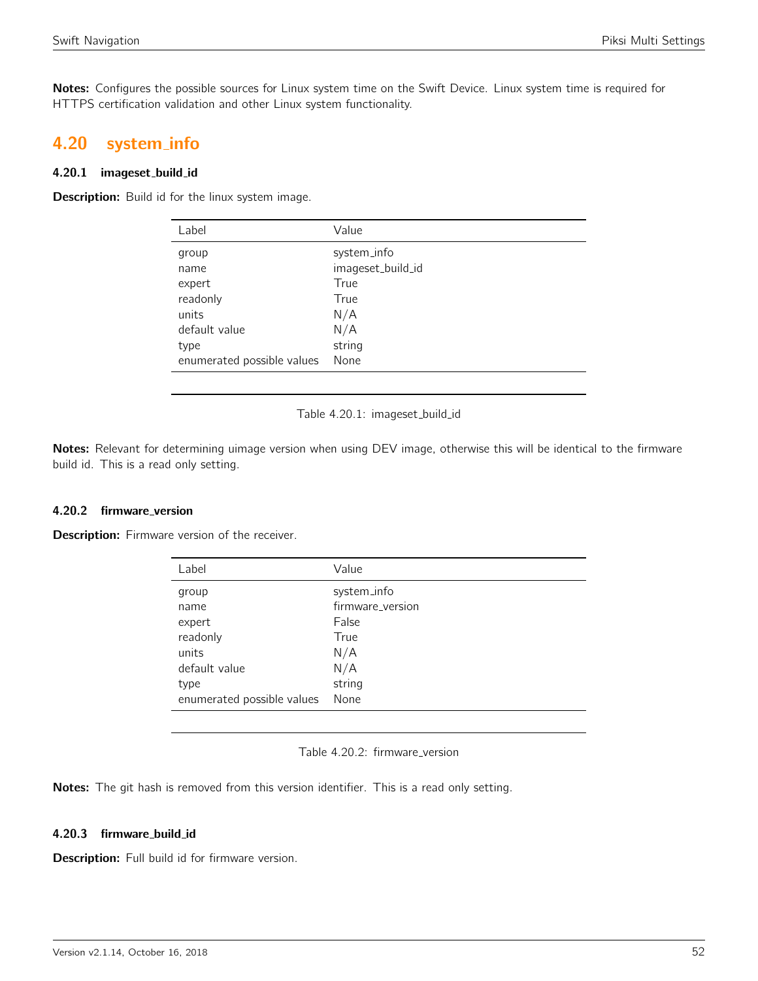Notes: Configures the possible sources for Linux system time on the Swift Device. Linux system time is required for HTTPS certification validation and other Linux system functionality.

# 4.20 system info

## 4.20.1 imageset build id

Description: Build id for the linux system image.

| Label                      | Value             |
|----------------------------|-------------------|
| group                      | system_info       |
| name                       | imageset_build_id |
| expert                     | True              |
| readonly                   | True              |
| units                      | N/A               |
| default value              | N/A               |
| type                       | string            |
| enumerated possible values | None              |

Table 4.20.1: imageset\_build\_id

Notes: Relevant for determining uimage version when using DEV image, otherwise this will be identical to the firmware build id. This is a read only setting.

## 4.20.2 firmware\_version

Description: Firmware version of the receiver.

| Label                      | Value            |
|----------------------------|------------------|
| group                      | system_info      |
| name                       | firmware_version |
| expert                     | False            |
| readonly                   | True             |
| units                      | N/A              |
| default value              | N/A              |
| type                       | string           |
| enumerated possible values | None             |
|                            |                  |

|  | Table 4.20.2: firmware_version |  |
|--|--------------------------------|--|
|  |                                |  |

Notes: The git hash is removed from this version identifier. This is a read only setting.

## 4.20.3 firmware build id

Description: Full build id for firmware version.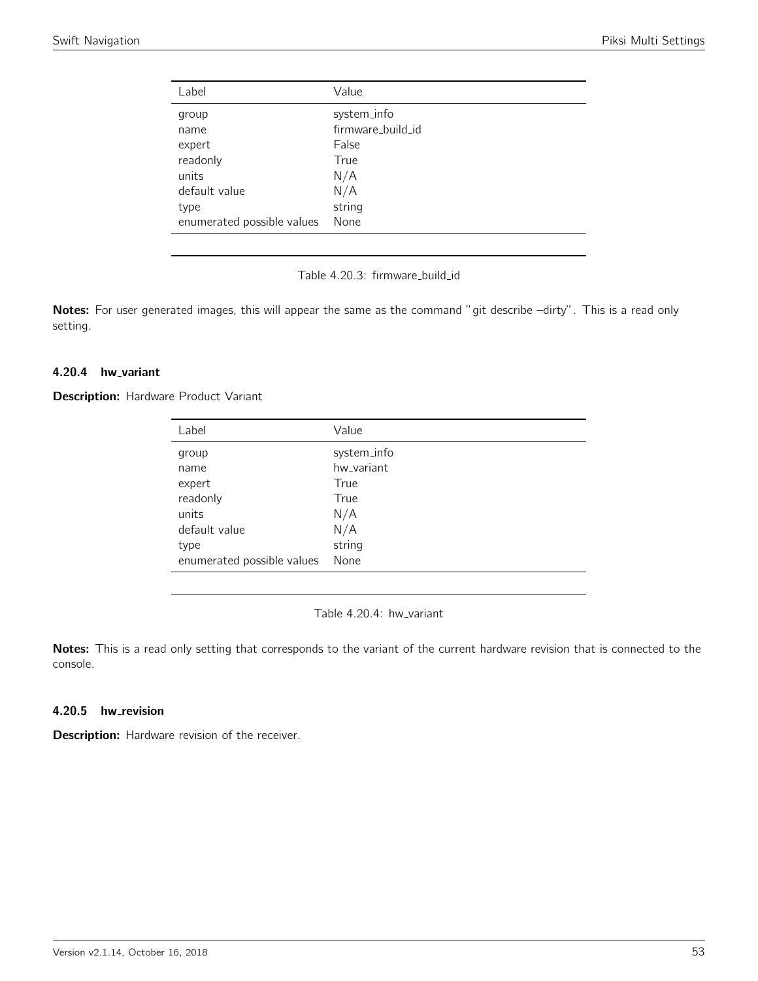| Label                      | Value             |
|----------------------------|-------------------|
| group                      | system_info       |
| name                       | firmware_build_id |
| expert                     | False             |
| readonly                   | True              |
| units                      | N/A               |
| default value              | N/A               |
| type                       | string            |
| enumerated possible values | None              |
|                            |                   |

Table 4.20.3: firmware\_build\_id

Notes: For user generated images, this will appear the same as the command "git describe -dirty". This is a read only setting.

## 4.20.4 hw\_variant

**Description:** Hardware Product Variant

| Label                      | Value       |
|----------------------------|-------------|
| group                      | system_info |
| name                       | hw variant  |
| expert                     | True        |
| readonly                   | True        |
| units                      | N/A         |
| default value              | N/A         |
| type                       | string      |
| enumerated possible values | None        |

Table 4.20.4: hw\_variant

Notes: This is a read only setting that corresponds to the variant of the current hardware revision that is connected to the console.

## 4.20.5 hw\_revision

Description: Hardware revision of the receiver.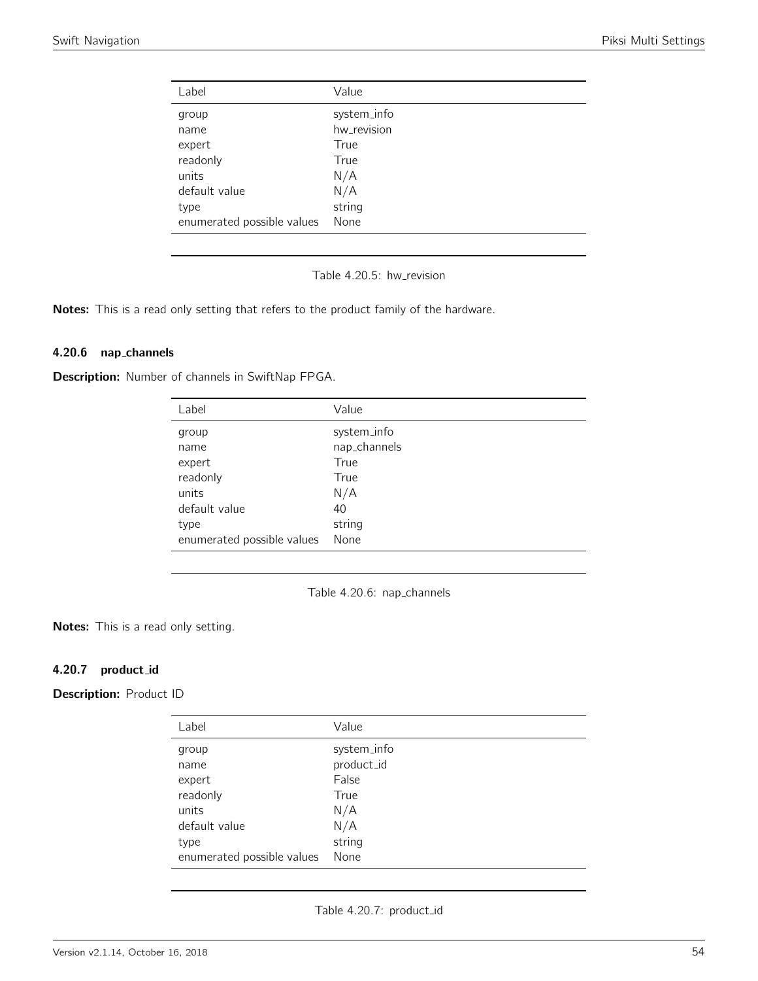| Value       |
|-------------|
| system_info |
| hw_revision |
| True        |
| True        |
| N/A         |
| N/A         |
| string      |
| None        |
|             |

Table 4.20.5: hw\_revision

Notes: This is a read only setting that refers to the product family of the hardware.

#### 4.20.6 nap channels

Description: Number of channels in SwiftNap FPGA.

| Label                      | Value        |
|----------------------------|--------------|
| group                      | system_info  |
| name                       | nap_channels |
| expert                     | True         |
| readonly                   | True         |
| units                      | N/A          |
| default value              | 40           |
| type                       | string       |
| enumerated possible values | None         |

Table 4.20.6: nap channels

Notes: This is a read only setting.

## 4.20.7 product id

Description: Product ID

| Label                      | Value       |
|----------------------------|-------------|
| group                      | system_info |
| name                       | product_id  |
| expert                     | False       |
| readonly                   | True        |
| units                      | N/A         |
| default value              | N/A         |
| type                       | string      |
| enumerated possible values | None        |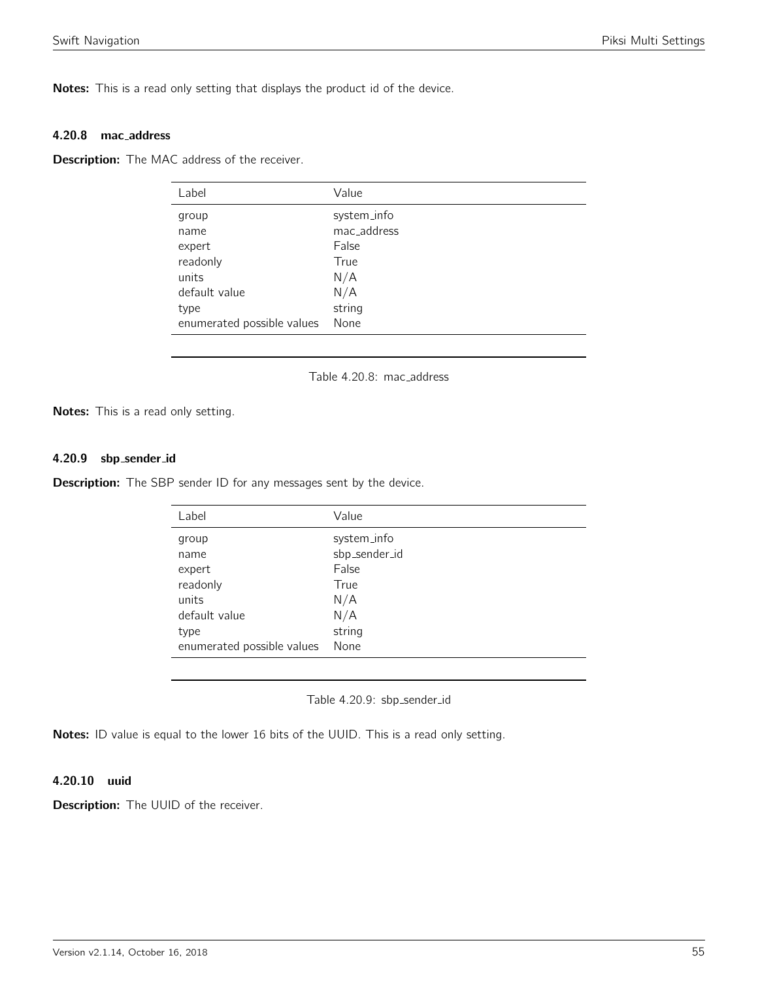Notes: This is a read only setting that displays the product id of the device.

#### 4.20.8 mac address

**Description:** The MAC address of the receiver.

| Label                      | Value       |
|----------------------------|-------------|
| group                      | system_info |
| name                       | mac_address |
| expert                     | False       |
| readonly                   | True        |
| units                      | N/A         |
| default value              | N/A         |
| type                       | string      |
| enumerated possible values | None        |
|                            |             |

Table 4.20.8: mac address

Notes: This is a read only setting.

## 4.20.9 sbp sender id

**Description:** The SBP sender ID for any messages sent by the device.

| Label                      | Value         |
|----------------------------|---------------|
| group                      | system_info   |
| name                       | sbp_sender_id |
| expert                     | False         |
| readonly                   | True          |
| units                      | N/A           |
| default value              | N/A           |
| type                       | string        |
| enumerated possible values | None          |

Table 4.20.9: sbp sender id

Notes: ID value is equal to the lower 16 bits of the UUID. This is a read only setting.

## 4.20.10 uuid

**Description:** The UUID of the receiver.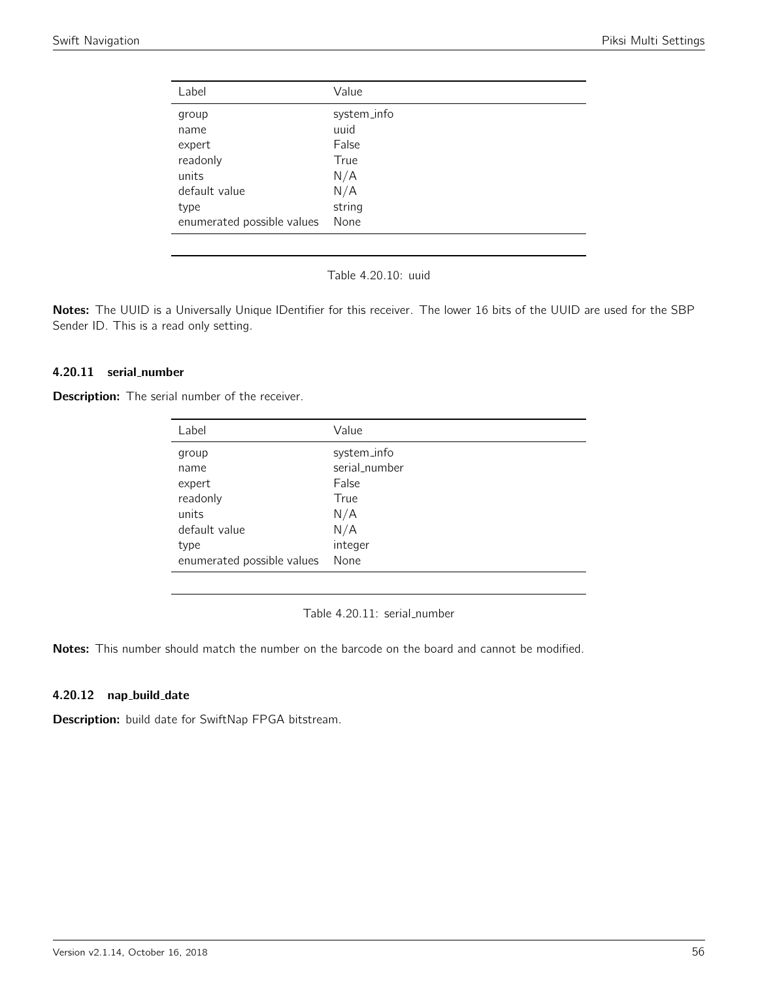| Label                      | Value       |
|----------------------------|-------------|
| group                      | system_info |
| name                       | uuid        |
| expert                     | False       |
| readonly                   | True        |
| units                      | N/A         |
| default value              | N/A         |
| type                       | string      |
| enumerated possible values | None        |
|                            |             |

Table 4.20.10: uuid

Notes: The UUID is a Universally Unique IDentifier for this receiver. The lower 16 bits of the UUID are used for the SBP Sender ID. This is a read only setting.

## 4.20.11 serial number

**Description:** The serial number of the receiver.

| Label                      | Value         |
|----------------------------|---------------|
| group                      | system_info   |
| name                       | serial_number |
| expert                     | False         |
| readonly                   | True          |
| units                      | N/A           |
| default value              | N/A           |
| type                       | integer       |
| enumerated possible values | None          |

Table 4.20.11: serial\_number

Notes: This number should match the number on the barcode on the board and cannot be modified.

## 4.20.12 nap build date

Description: build date for SwiftNap FPGA bitstream.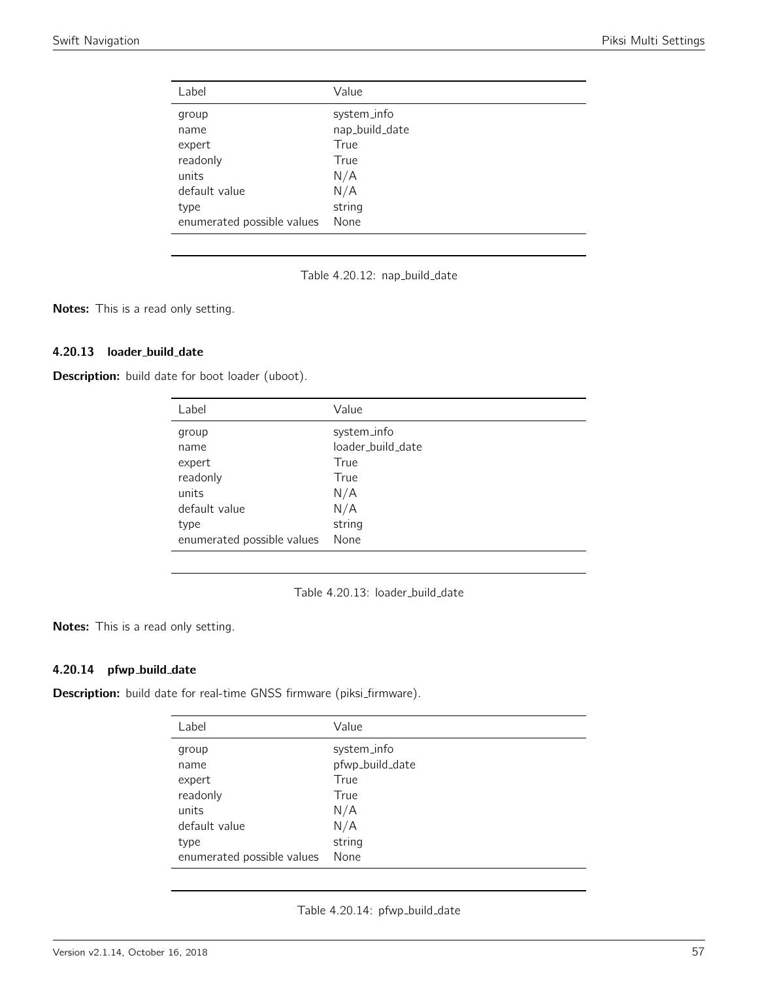| Label                      | Value          |
|----------------------------|----------------|
| group                      | system_info    |
| name                       | nap_build_date |
| expert                     | True           |
| readonly                   | True           |
| units                      | N/A            |
| default value              | N/A            |
| type                       | string         |
| enumerated possible values | None           |

Table 4.20.12: nap\_build\_date

Notes: This is a read only setting.

## 4.20.13 loader\_build\_date

Description: build date for boot loader (uboot).

| Label                      | Value             |
|----------------------------|-------------------|
| group                      | system_info       |
| name                       | loader_build_date |
| expert                     | True              |
| readonly                   | True              |
| units                      | N/A               |
| default value              | N/A               |
| type                       | string            |
| enumerated possible values | None              |

Table 4.20.13: loader\_build\_date

Notes: This is a read only setting.

## 4.20.14 pfwp\_build\_date

Description: build date for real-time GNSS firmware (piksi\_firmware).

| Label                      | Value           |
|----------------------------|-----------------|
| group                      | system_info     |
| name                       | pfwp_build_date |
| expert                     | True            |
| readonly                   | True            |
| units                      | N/A             |
| default value              | N/A             |
| type                       | string          |
| enumerated possible values | None            |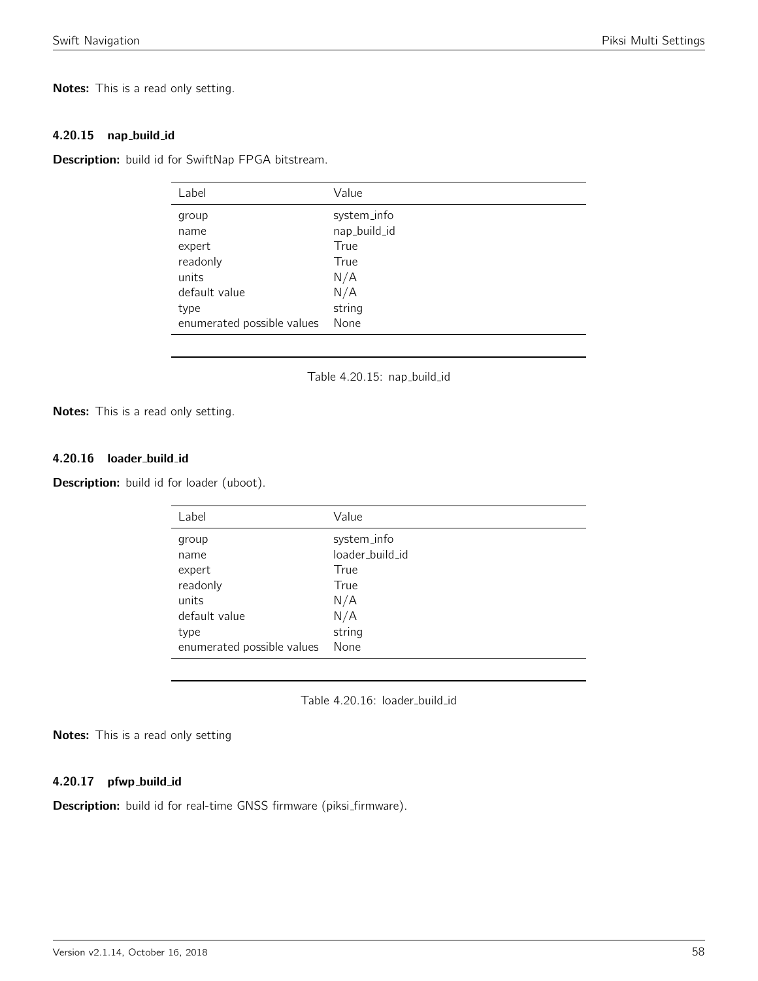Notes: This is a read only setting.

#### 4.20.15 nap build id

Description: build id for SwiftNap FPGA bitstream.

| Label                      | Value        |
|----------------------------|--------------|
| group                      | system_info  |
| name                       | nap_build_id |
| expert                     | True         |
| readonly                   | True         |
| units                      | N/A          |
| default value              | N/A          |
| type                       | string       |
| enumerated possible values | None         |
|                            |              |

Table 4.20.15: nap\_build\_id

Notes: This is a read only setting.

## 4.20.16 loader\_build\_id

Description: build id for loader (uboot).

| Label                      | Value           |
|----------------------------|-----------------|
| group                      | system_info     |
| name                       | loader_build_id |
| expert                     | True            |
| readonly                   | True            |
| units                      | N/A             |
| default value              | N/A             |
| type                       | string          |
| enumerated possible values | None            |

Table 4.20.16: loader\_build\_id

Notes: This is a read only setting

#### 4.20.17 pfwp\_build\_id

Description: build id for real-time GNSS firmware (piksi\_firmware).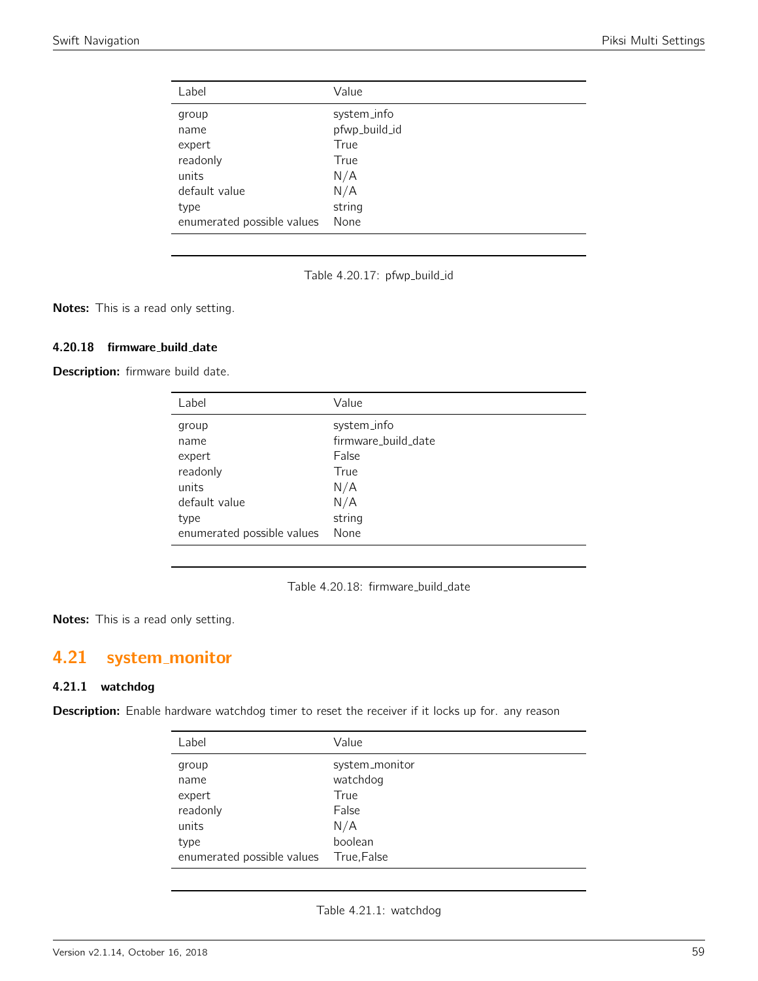| Label                      | Value         |
|----------------------------|---------------|
| group                      | system_info   |
| name                       | pfwp_build_id |
| expert                     | True          |
| readonly                   | True          |
| units                      | N/A           |
| default value              | N/A           |
| type                       | string        |
| enumerated possible values | None          |

Table 4.20.17: pfwp\_build\_id

Notes: This is a read only setting.

## 4.20.18 firmware build date

Description: firmware build date.

| Label                      | Value               |
|----------------------------|---------------------|
| group                      | system_info         |
| name                       | firmware_build_date |
| expert                     | False               |
| readonly                   | True                |
| units                      | N/A                 |
| default value              | N/A                 |
| type                       | string              |
| enumerated possible values | None                |
|                            |                     |

Table 4.20.18: firmware\_build\_date

Notes: This is a read only setting.

# 4.21 system monitor

#### 4.21.1 watchdog

Description: Enable hardware watchdog timer to reset the receiver if it locks up for. any reason

| Label                      | Value          |
|----------------------------|----------------|
| group                      | system_monitor |
| name                       | watchdog       |
| expert                     | True           |
| readonly                   | False          |
| units                      | N/A            |
| type                       | boolean        |
| enumerated possible values | True, False    |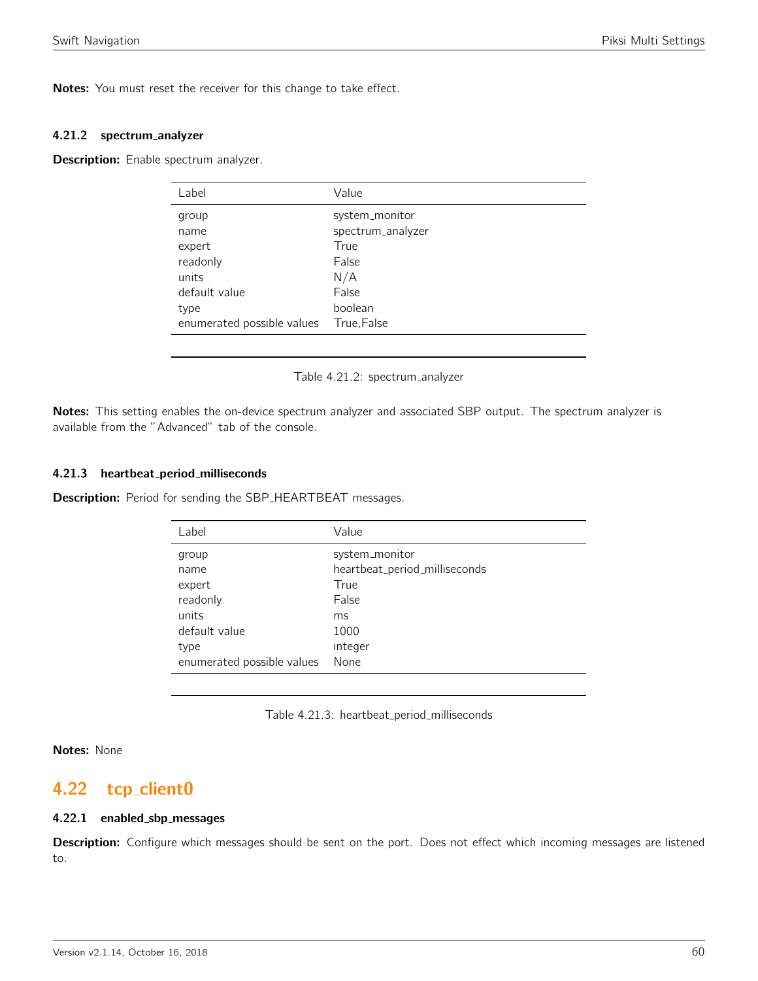Notes: You must reset the receiver for this change to take effect.

#### 4.21.2 spectrum analyzer

Description: Enable spectrum analyzer.

| Label                      | Value             |
|----------------------------|-------------------|
| group                      | system_monitor    |
| name                       | spectrum_analyzer |
| expert                     | True              |
| readonly                   | False             |
| units                      | N/A               |
| default value              | False             |
| type                       | boolean           |
| enumerated possible values | True, False       |

Table 4.21.2: spectrum analyzer

Notes: This setting enables the on-device spectrum analyzer and associated SBP output. The spectrum analyzer is available from the "Advanced" tab of the console.

#### 4.21.3 heartbeat period milliseconds

**Description:** Period for sending the SBP\_HEARTBEAT messages.

| Label                      | Value                         |
|----------------------------|-------------------------------|
| group                      | system_monitor                |
| name                       | heartbeat_period_milliseconds |
| expert                     | True                          |
| readonly                   | False                         |
| units                      | ms                            |
| default value              | 1000                          |
| type                       | integer                       |
| enumerated possible values | None                          |

Table 4.21.3: heartbeat\_period\_milliseconds

Notes: None

## 4.22 tcp\_client0

## 4.22.1 enabled sbp messages

Description: Configure which messages should be sent on the port. Does not effect which incoming messages are listened to.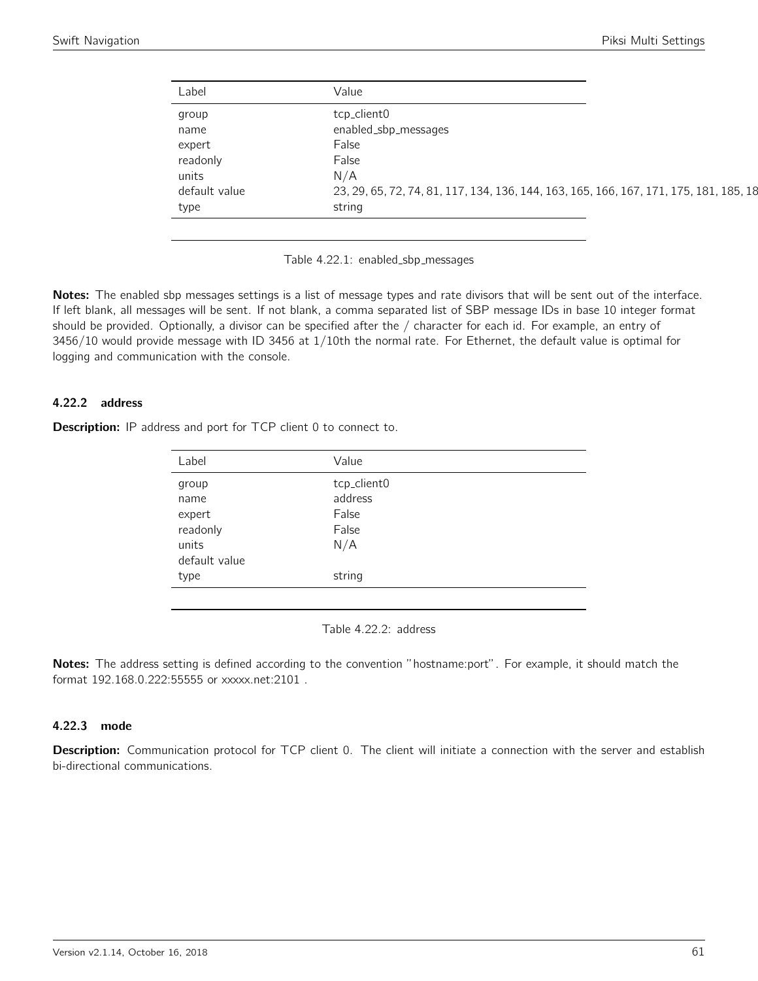| Label         | Value                                                                                  |
|---------------|----------------------------------------------------------------------------------------|
| group         | tcp_client0                                                                            |
| name          | enabled_sbp_messages                                                                   |
| expert        | False                                                                                  |
| readonly      | False                                                                                  |
| units         | N/A                                                                                    |
| default value | 23, 29, 65, 72, 74, 81, 117, 134, 136, 144, 163, 165, 166, 167, 171, 175, 181, 185, 18 |
| type          | string                                                                                 |

Table 4.22.1: enabled\_sbp\_messages

Notes: The enabled sbp messages settings is a list of message types and rate divisors that will be sent out of the interface. If left blank, all messages will be sent. If not blank, a comma separated list of SBP message IDs in base 10 integer format should be provided. Optionally, a divisor can be specified after the / character for each id. For example, an entry of 3456/10 would provide message with ID 3456 at 1/10th the normal rate. For Ethernet, the default value is optimal for logging and communication with the console.

#### 4.22.2 address

**Description:** IP address and port for TCP client 0 to connect to.

| Label         | Value       |
|---------------|-------------|
| group         | tcp_client0 |
| name          | address     |
| expert        | False       |
| readonly      | False       |
| units         | N/A         |
| default value |             |
| type          | string      |
|               |             |

Table 4.22.2: address

Notes: The address setting is defined according to the convention "hostname:port". For example, it should match the format 192.168.0.222:55555 or xxxxx.net:2101 .

## 4.22.3 mode

Description: Communication protocol for TCP client 0. The client will initiate a connection with the server and establish bi-directional communications.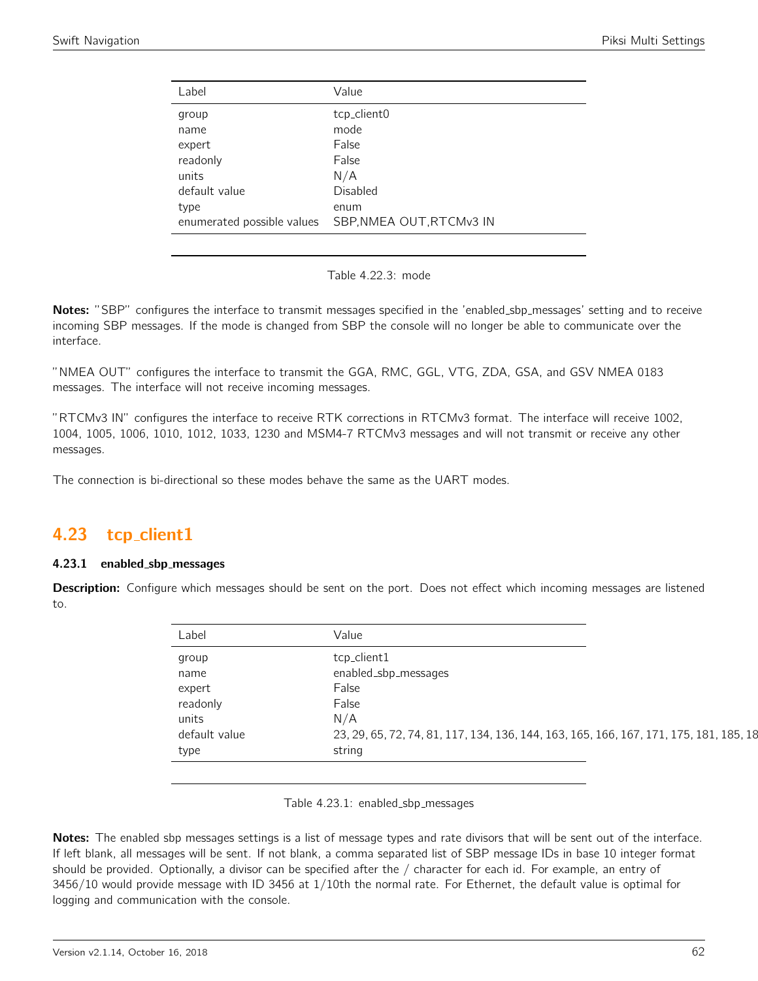| Label                      | Value                    |
|----------------------------|--------------------------|
| group                      | tcp_client0              |
| name                       | mode                     |
| expert                     | False                    |
| readonly                   | False                    |
| units                      | N/A                      |
| default value              | Disabled                 |
| type                       | enum                     |
| enumerated possible values | SBP, NMEA OUT, RTCMv3 IN |
|                            |                          |

| Table 4.22.3: mode |  |
|--------------------|--|
|--------------------|--|

Notes: "SBP" configures the interface to transmit messages specified in the 'enabled\_sbp\_messages' setting and to receive incoming SBP messages. If the mode is changed from SBP the console will no longer be able to communicate over the interface.

"NMEA OUT" configures the interface to transmit the GGA, RMC, GGL, VTG, ZDA, GSA, and GSV NMEA 0183 messages. The interface will not receive incoming messages.

"RTCMv3 IN" configures the interface to receive RTK corrections in RTCMv3 format. The interface will receive 1002, 1004, 1005, 1006, 1010, 1012, 1033, 1230 and MSM4-7 RTCMv3 messages and will not transmit or receive any other messages.

The connection is bi-directional so these modes behave the same as the UART modes.

## 4.23 tcp client1

## 4.23.1 enabled sbp messages

Description: Configure which messages should be sent on the port. Does not effect which incoming messages are listened to.

| Label         | Value                                                                                  |
|---------------|----------------------------------------------------------------------------------------|
| group         | tcp_client1                                                                            |
| name          | enabled_sbp_messages                                                                   |
| expert        | False                                                                                  |
| readonly      | False                                                                                  |
| units         | N/A                                                                                    |
| default value | 23, 29, 65, 72, 74, 81, 117, 134, 136, 144, 163, 165, 166, 167, 171, 175, 181, 185, 18 |
| type          | string                                                                                 |

Table 4.23.1: enabled\_sbp\_messages

Notes: The enabled sbp messages settings is a list of message types and rate divisors that will be sent out of the interface. If left blank, all messages will be sent. If not blank, a comma separated list of SBP message IDs in base 10 integer format should be provided. Optionally, a divisor can be specified after the / character for each id. For example, an entry of 3456/10 would provide message with ID 3456 at 1/10th the normal rate. For Ethernet, the default value is optimal for logging and communication with the console.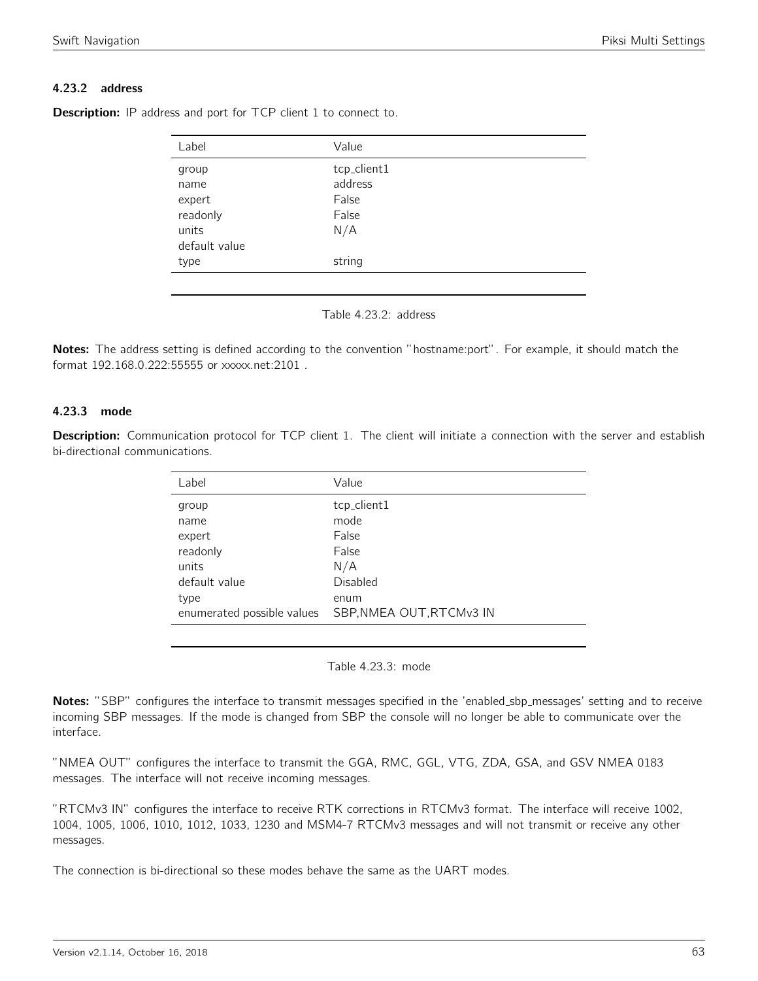## 4.23.2 address

| Label         | Value       |  |
|---------------|-------------|--|
| group         | tcp_client1 |  |
| name          | address     |  |
| expert        | False       |  |
| readonly      | False       |  |
| units         | N/A         |  |
| default value |             |  |
| type          | string      |  |
|               |             |  |

**Description:** IP address and port for TCP client 1 to connect to.



Notes: The address setting is defined according to the convention "hostname:port". For example, it should match the format 192.168.0.222:55555 or xxxxx.net:2101 .

## 4.23.3 mode

Description: Communication protocol for TCP client 1. The client will initiate a connection with the server and establish bi-directional communications.

| Label                      | Value                    |
|----------------------------|--------------------------|
| group                      | tcp_client1              |
| name                       | mode                     |
| expert                     | False                    |
| readonly                   | False                    |
| units                      | N/A                      |
| default value              | <b>Disabled</b>          |
| type                       | enum                     |
| enumerated possible values | SBP, NMEA OUT, RTCMv3 IN |
|                            |                          |

Table 4.23.3: mode

Notes: "SBP" configures the interface to transmit messages specified in the 'enabled\_sbp\_messages' setting and to receive incoming SBP messages. If the mode is changed from SBP the console will no longer be able to communicate over the interface.

"NMEA OUT" configures the interface to transmit the GGA, RMC, GGL, VTG, ZDA, GSA, and GSV NMEA 0183 messages. The interface will not receive incoming messages.

"RTCMv3 IN" configures the interface to receive RTK corrections in RTCMv3 format. The interface will receive 1002, 1004, 1005, 1006, 1010, 1012, 1033, 1230 and MSM4-7 RTCMv3 messages and will not transmit or receive any other messages.

The connection is bi-directional so these modes behave the same as the UART modes.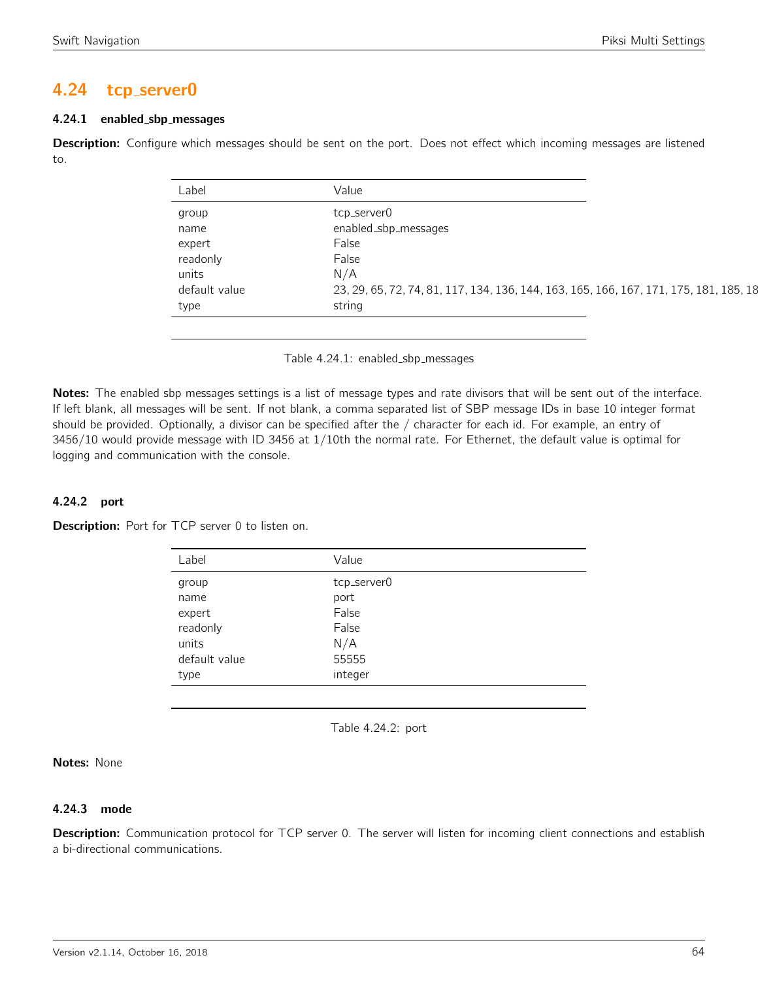## 4.24 tcp server0

## 4.24.1 enabled sbp messages

Description: Configure which messages should be sent on the port. Does not effect which incoming messages are listened to.

| Label         | Value                                                                                  |
|---------------|----------------------------------------------------------------------------------------|
| group         | tcp_server0                                                                            |
| name          | enabled_sbp_messages                                                                   |
| expert        | False                                                                                  |
| readonly      | False                                                                                  |
| units         | N/A                                                                                    |
| default value | 23, 29, 65, 72, 74, 81, 117, 134, 136, 144, 163, 165, 166, 167, 171, 175, 181, 185, 18 |
| type          | string                                                                                 |

Table 4.24.1: enabled sbp messages

Notes: The enabled sbp messages settings is a list of message types and rate divisors that will be sent out of the interface. If left blank, all messages will be sent. If not blank, a comma separated list of SBP message IDs in base 10 integer format should be provided. Optionally, a divisor can be specified after the / character for each id. For example, an entry of 3456/10 would provide message with ID 3456 at 1/10th the normal rate. For Ethernet, the default value is optimal for logging and communication with the console.

## 4.24.2 port

Description: Port for TCP server 0 to listen on.

| Value       |
|-------------|
| tcp_server0 |
| port        |
| False       |
| False       |
| N/A         |
| 55555       |
| integer     |
|             |

Table 4.24.2: port

Notes: None

## 4.24.3 mode

Description: Communication protocol for TCP server 0. The server will listen for incoming client connections and establish a bi-directional communications.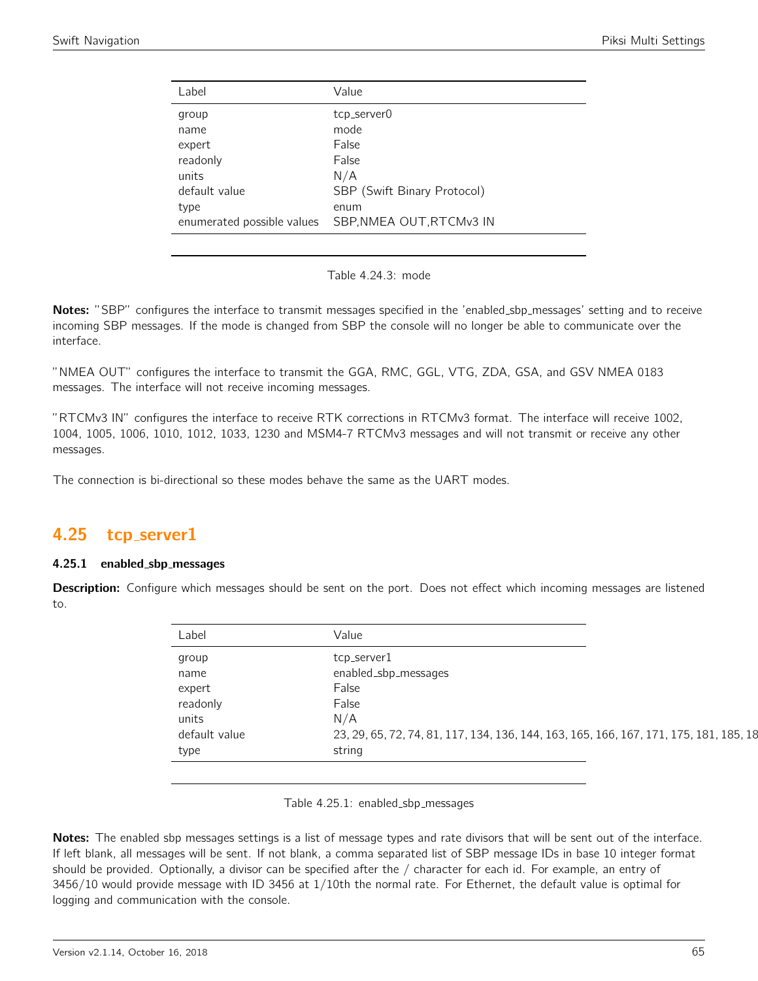| Label                                        | Value                                        |
|----------------------------------------------|----------------------------------------------|
| group<br>name<br>expert<br>readonly<br>units | tcp_server0<br>mode<br>False<br>False<br>N/A |
| default value<br>type                        | SBP (Swift Binary Protocol)<br>enum          |
| enumerated possible values                   | SBP, NMEA OUT, RTCMv3 IN                     |
|                                              |                                              |

Table 4.24.3: mode

Notes: "SBP" configures the interface to transmit messages specified in the 'enabled\_sbp\_messages' setting and to receive incoming SBP messages. If the mode is changed from SBP the console will no longer be able to communicate over the interface.

"NMEA OUT" configures the interface to transmit the GGA, RMC, GGL, VTG, ZDA, GSA, and GSV NMEA 0183 messages. The interface will not receive incoming messages.

"RTCMv3 IN" configures the interface to receive RTK corrections in RTCMv3 format. The interface will receive 1002, 1004, 1005, 1006, 1010, 1012, 1033, 1230 and MSM4-7 RTCMv3 messages and will not transmit or receive any other messages.

The connection is bi-directional so these modes behave the same as the UART modes.

## 4.25 tcp server1

## 4.25.1 enabled sbp messages

Description: Configure which messages should be sent on the port. Does not effect which incoming messages are listened to.

| Label         | Value                                                                                  |
|---------------|----------------------------------------------------------------------------------------|
| group         | tcp_server1                                                                            |
| name          | enabled_sbp_messages                                                                   |
| expert        | False                                                                                  |
| readonly      | False                                                                                  |
| units         | N/A                                                                                    |
| default value | 23, 29, 65, 72, 74, 81, 117, 134, 136, 144, 163, 165, 166, 167, 171, 175, 181, 185, 18 |
| type          | string                                                                                 |

Table 4.25.1: enabled\_sbp\_messages

Notes: The enabled sbp messages settings is a list of message types and rate divisors that will be sent out of the interface. If left blank, all messages will be sent. If not blank, a comma separated list of SBP message IDs in base 10 integer format should be provided. Optionally, a divisor can be specified after the / character for each id. For example, an entry of 3456/10 would provide message with ID 3456 at 1/10th the normal rate. For Ethernet, the default value is optimal for logging and communication with the console.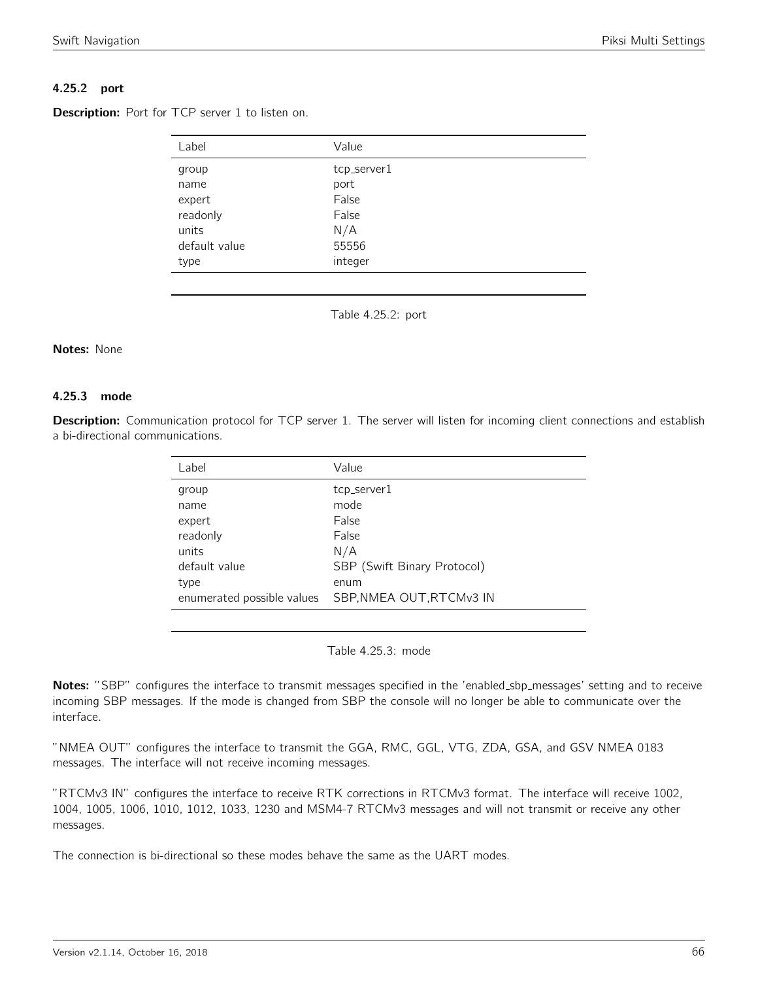## 4.25.2 port

Description: Port for TCP server 1 to listen on.

| Label         | Value       |
|---------------|-------------|
| group         | tcp_server1 |
| name          | port        |
| expert        | False       |
| readonly      | False       |
| units         | N/A         |
| default value | 55556       |
| type          | integer     |

Table 4.25.2: port

#### Notes: None

#### 4.25.3 mode

Description: Communication protocol for TCP server 1. The server will listen for incoming client connections and establish a bi-directional communications.

| Label                      | Value                       |
|----------------------------|-----------------------------|
| group                      | tcp_server1                 |
| name                       | mode                        |
| expert                     | False                       |
| readonly                   | False                       |
| units                      | N/A                         |
| default value              | SBP (Swift Binary Protocol) |
| type                       | enum                        |
| enumerated possible values | SBP, NMEA OUT, RTCMv3 IN    |
|                            |                             |

Table 4.25.3: mode

Notes: "SBP" configures the interface to transmit messages specified in the 'enabled\_sbp\_messages' setting and to receive incoming SBP messages. If the mode is changed from SBP the console will no longer be able to communicate over the interface.

"NMEA OUT" configures the interface to transmit the GGA, RMC, GGL, VTG, ZDA, GSA, and GSV NMEA 0183 messages. The interface will not receive incoming messages.

"RTCMv3 IN" configures the interface to receive RTK corrections in RTCMv3 format. The interface will receive 1002, 1004, 1005, 1006, 1010, 1012, 1033, 1230 and MSM4-7 RTCMv3 messages and will not transmit or receive any other messages.

The connection is bi-directional so these modes behave the same as the UART modes.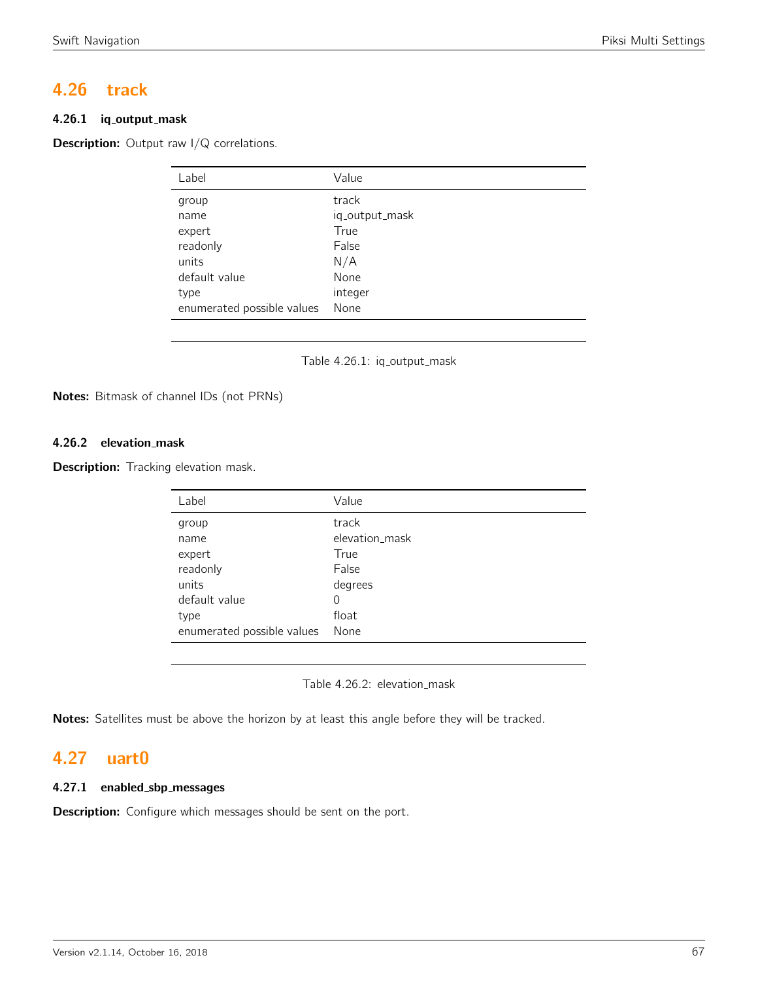# 4.26 track

## 4.26.1 iq output mask

**Description:** Output raw I/Q correlations.

| Label                      | Value          |
|----------------------------|----------------|
| group                      | track          |
| name                       | iq_output_mask |
| expert                     | True           |
| readonly                   | False          |
| units                      | N/A            |
| default value              | None           |
| type                       | integer        |
| enumerated possible values | None           |
|                            |                |



Notes: Bitmask of channel IDs (not PRNs)

## 4.26.2 elevation mask

Description: Tracking elevation mask.

| Label                      | Value          |
|----------------------------|----------------|
| group                      | track          |
| name                       | elevation mask |
| expert                     | True           |
| readonly                   | False          |
| units                      | degrees        |
| default value              | 0              |
| type                       | float          |
| enumerated possible values | None           |
|                            |                |

Table 4.26.2: elevation\_mask

Notes: Satellites must be above the horizon by at least this angle before they will be tracked.

# 4.27 uart0

## 4.27.1 enabled sbp messages

**Description:** Configure which messages should be sent on the port.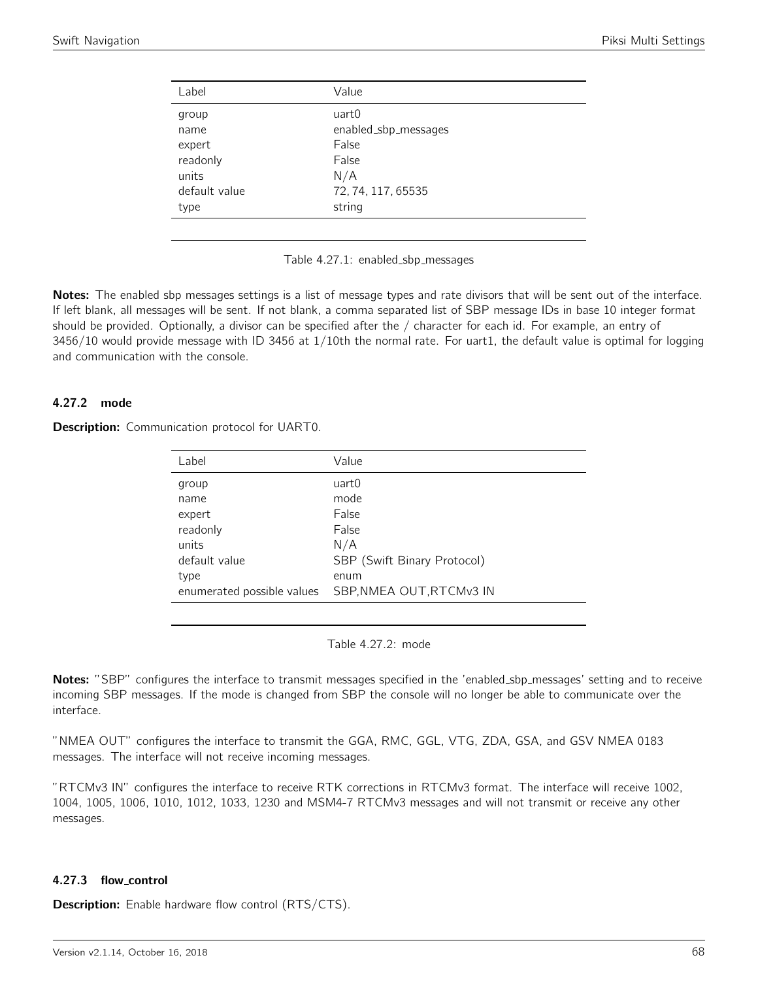| Label         | Value                |
|---------------|----------------------|
| group         | uart0                |
| name          | enabled_sbp_messages |
| expert        | False                |
| readonly      | False                |
| units         | N/A                  |
| default value | 72, 74, 117, 65535   |
| type          | string               |



Notes: The enabled sbp messages settings is a list of message types and rate divisors that will be sent out of the interface. If left blank, all messages will be sent. If not blank, a comma separated list of SBP message IDs in base 10 integer format should be provided. Optionally, a divisor can be specified after the / character for each id. For example, an entry of 3456/10 would provide message with ID 3456 at 1/10th the normal rate. For uart1, the default value is optimal for logging and communication with the console.

## 4.27.2 mode

**Description:** Communication protocol for UART0.

| Label                      | Value                       |
|----------------------------|-----------------------------|
| group                      | uart0                       |
| name                       | mode                        |
| expert                     | False                       |
| readonly                   | False                       |
| units                      | N/A                         |
| default value              | SBP (Swift Binary Protocol) |
| type                       | enum                        |
| enumerated possible values | SBP, NMEA OUT, RTCMv3 IN    |
|                            |                             |

Table 4.27.2: mode

Notes: "SBP" configures the interface to transmit messages specified in the 'enabled\_sbp\_messages' setting and to receive incoming SBP messages. If the mode is changed from SBP the console will no longer be able to communicate over the interface.

"NMEA OUT" configures the interface to transmit the GGA, RMC, GGL, VTG, ZDA, GSA, and GSV NMEA 0183 messages. The interface will not receive incoming messages.

"RTCMv3 IN" configures the interface to receive RTK corrections in RTCMv3 format. The interface will receive 1002, 1004, 1005, 1006, 1010, 1012, 1033, 1230 and MSM4-7 RTCMv3 messages and will not transmit or receive any other messages.

## 4.27.3 flow control

**Description:** Enable hardware flow control (RTS/CTS).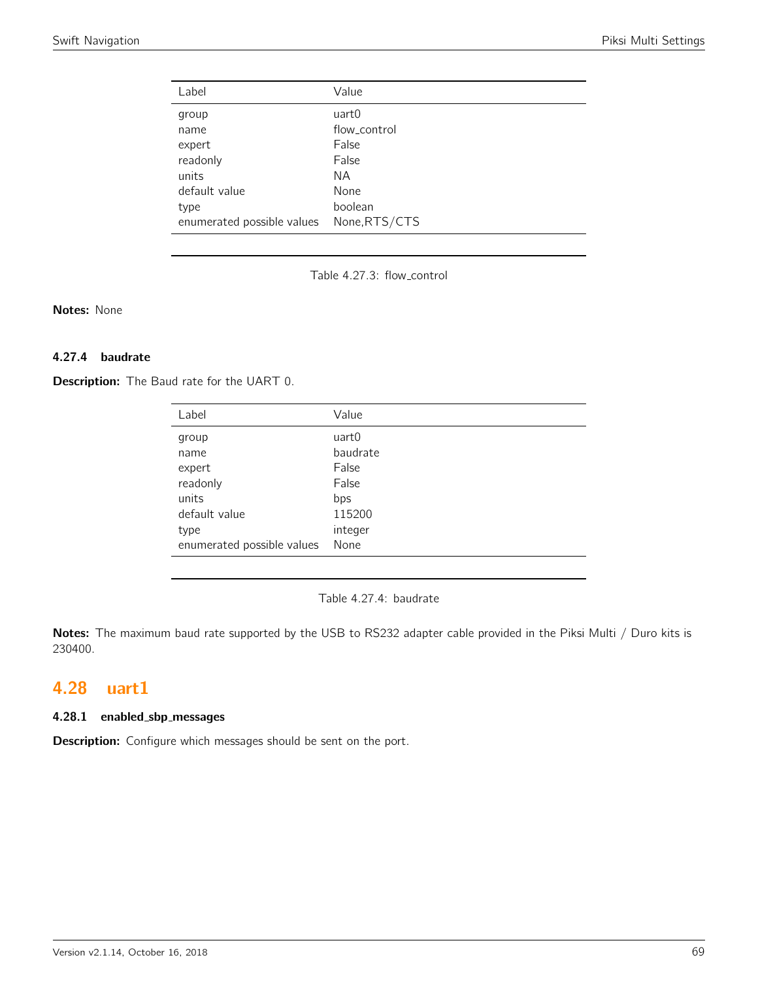| Label                      | Value         |
|----------------------------|---------------|
| group                      | uart0         |
| name                       | flow_control  |
| expert                     | False         |
| readonly                   | False         |
| units                      | NА            |
| default value              | None          |
| type                       | boolean       |
| enumerated possible values | None, RTS/CTS |

Table 4.27.3: flow control

Notes: None

## 4.27.4 baudrate

Description: The Baud rate for the UART 0.

| Label                      | Value    |
|----------------------------|----------|
| group                      | uart0    |
| name                       | baudrate |
| expert                     | False    |
| readonly                   | False    |
| units                      | bps      |
| default value              | 115200   |
| type                       | integer  |
| enumerated possible values | None     |

Table 4.27.4: baudrate

Notes: The maximum baud rate supported by the USB to RS232 adapter cable provided in the Piksi Multi / Duro kits is 230400.

# 4.28 uart1

## 4.28.1 enabled sbp messages

Description: Configure which messages should be sent on the port.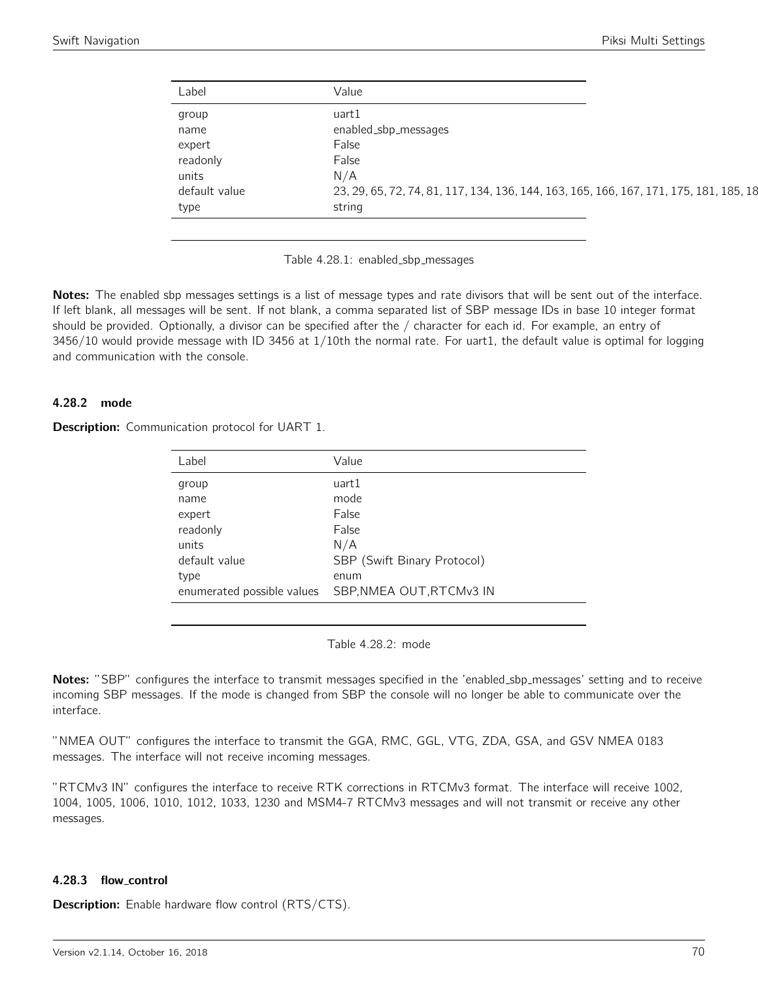| Label         | Value                                                                                  |
|---------------|----------------------------------------------------------------------------------------|
| group         | uart1                                                                                  |
| name          | enabled_sbp_messages                                                                   |
| expert        | False                                                                                  |
| readonly      | False                                                                                  |
| units         | N/A                                                                                    |
| default value | 23, 29, 65, 72, 74, 81, 117, 134, 136, 144, 163, 165, 166, 167, 171, 175, 181, 185, 18 |
| type          | string                                                                                 |

Table 4.28.1: enabled\_sbp\_messages

Notes: The enabled sbp messages settings is a list of message types and rate divisors that will be sent out of the interface. If left blank, all messages will be sent. If not blank, a comma separated list of SBP message IDs in base 10 integer format should be provided. Optionally, a divisor can be specified after the / character for each id. For example, an entry of 3456/10 would provide message with ID 3456 at 1/10th the normal rate. For uart1, the default value is optimal for logging and communication with the console.

## 4.28.2 mode

**Description:** Communication protocol for UART 1.

| Label                      | Value                       |
|----------------------------|-----------------------------|
| group                      | uart1                       |
| name                       | mode                        |
| expert                     | False                       |
| readonly                   | False                       |
| units                      | N/A                         |
| default value              | SBP (Swift Binary Protocol) |
| type                       | enum                        |
| enumerated possible values | SBP, NMEA OUT, RTCMv3 IN    |

Table 4.28.2: mode

Notes: "SBP" configures the interface to transmit messages specified in the 'enabled\_sbp\_messages' setting and to receive incoming SBP messages. If the mode is changed from SBP the console will no longer be able to communicate over the interface.

"NMEA OUT" configures the interface to transmit the GGA, RMC, GGL, VTG, ZDA, GSA, and GSV NMEA 0183 messages. The interface will not receive incoming messages.

"RTCMv3 IN" configures the interface to receive RTK corrections in RTCMv3 format. The interface will receive 1002, 1004, 1005, 1006, 1010, 1012, 1033, 1230 and MSM4-7 RTCMv3 messages and will not transmit or receive any other messages.

#### 4.28.3 flow control

**Description:** Enable hardware flow control (RTS/CTS).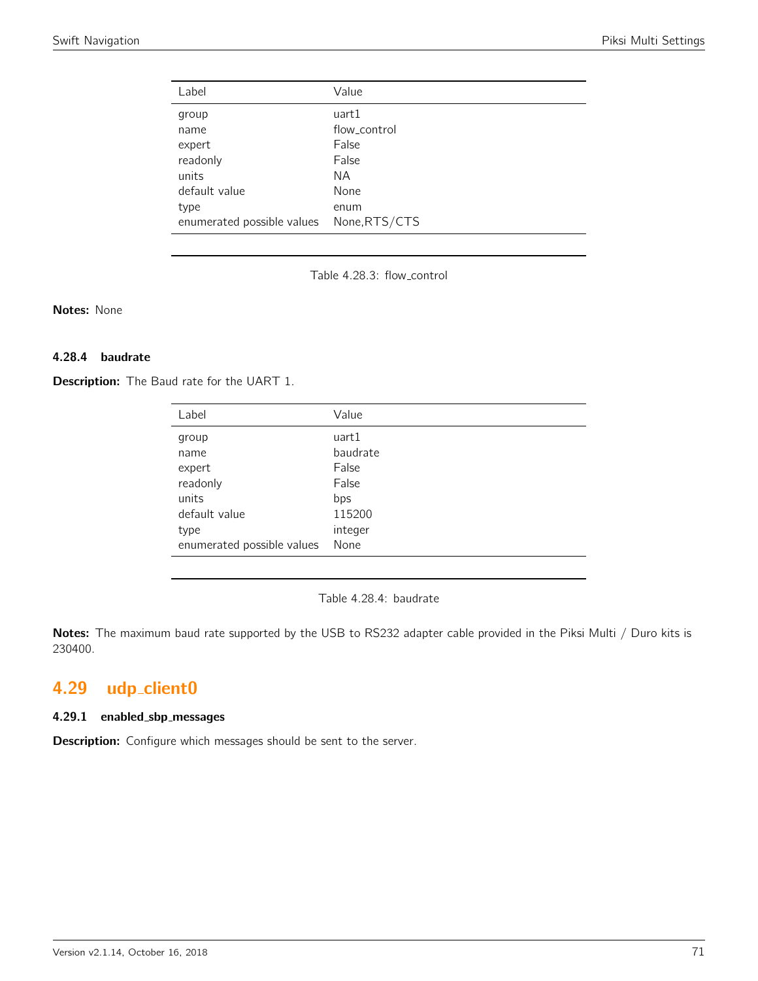| Label                      | Value         |
|----------------------------|---------------|
| group                      | uart1         |
| name                       | flow_control  |
| expert                     | False         |
| readonly                   | False         |
| units                      | NА            |
| default value              | None          |
| type                       | enum          |
| enumerated possible values | None, RTS/CTS |

Table 4.28.3: flow control

Notes: None

## 4.28.4 baudrate

Description: The Baud rate for the UART 1.

| Label                      | Value    |
|----------------------------|----------|
| group                      | uart1    |
| name                       | baudrate |
| expert                     | False    |
| readonly                   | False    |
| units                      | bps      |
| default value              | 115200   |
| type                       | integer  |
| enumerated possible values | None     |

Table 4.28.4: baudrate

Notes: The maximum baud rate supported by the USB to RS232 adapter cable provided in the Piksi Multi / Duro kits is 230400.

# 4.29 udp\_client0

#### 4.29.1 enabled sbp messages

Description: Configure which messages should be sent to the server.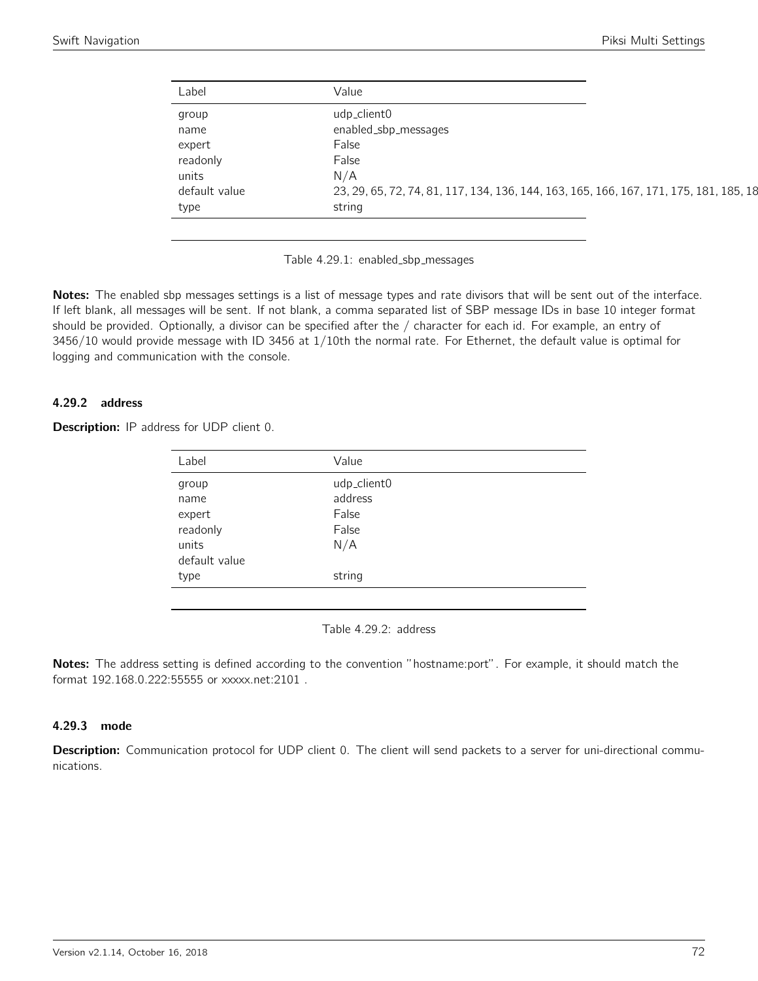| Label         | Value                                                                                  |
|---------------|----------------------------------------------------------------------------------------|
| group         | udp_client0                                                                            |
| name          | enabled_sbp_messages                                                                   |
| expert        | False                                                                                  |
| readonly      | False                                                                                  |
| units         | N/A                                                                                    |
| default value | 23, 29, 65, 72, 74, 81, 117, 134, 136, 144, 163, 165, 166, 167, 171, 175, 181, 185, 18 |
| type          | string                                                                                 |

Table 4.29.1: enabled\_sbp\_messages

Notes: The enabled sbp messages settings is a list of message types and rate divisors that will be sent out of the interface. If left blank, all messages will be sent. If not blank, a comma separated list of SBP message IDs in base 10 integer format should be provided. Optionally, a divisor can be specified after the / character for each id. For example, an entry of 3456/10 would provide message with ID 3456 at 1/10th the normal rate. For Ethernet, the default value is optimal for logging and communication with the console.

## 4.29.2 address

| <b>Description:</b> IP address for UDP client 0. |  |  |  |  |  |  |
|--------------------------------------------------|--|--|--|--|--|--|
|--------------------------------------------------|--|--|--|--|--|--|

| Label         | Value       |
|---------------|-------------|
| group         | udp_client0 |
| name          | address     |
| expert        | False       |
| readonly      | False       |
| units         | N/A         |
| default value |             |
| type          | string      |
|               |             |

Table 4.29.2: address

Notes: The address setting is defined according to the convention "hostname:port". For example, it should match the format 192.168.0.222:55555 or xxxxx.net:2101 .

## 4.29.3 mode

Description: Communication protocol for UDP client 0. The client will send packets to a server for uni-directional communications.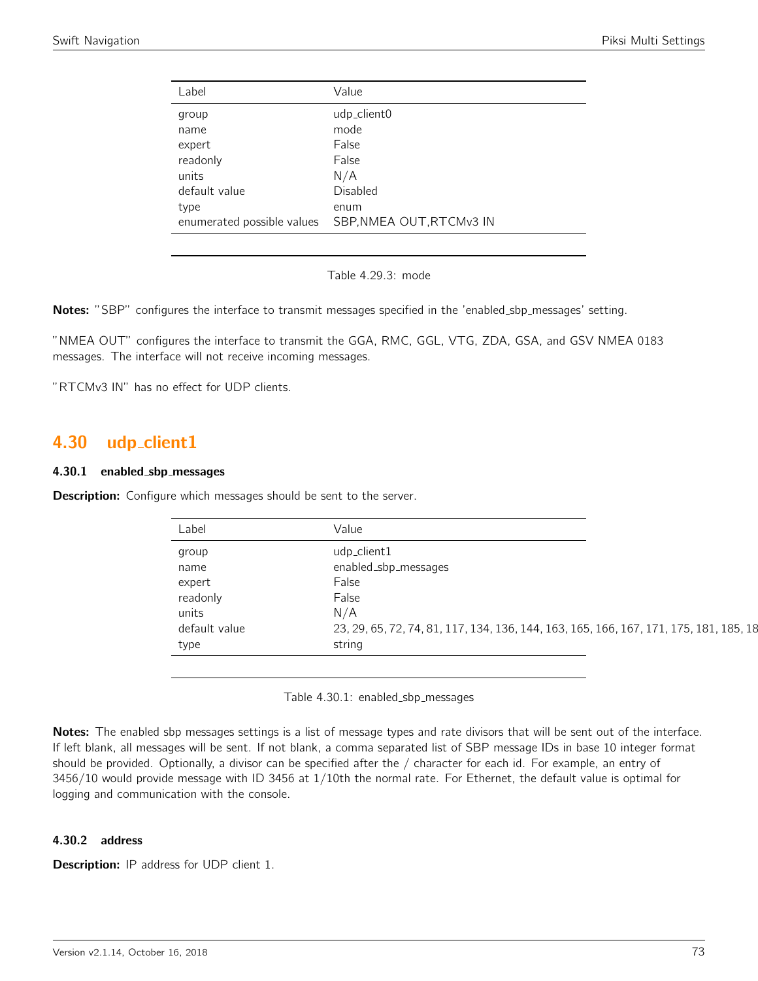| Label                      | Value                    |
|----------------------------|--------------------------|
| group                      | udp_client0              |
| name                       | mode                     |
| expert                     | False                    |
| readonly                   | False                    |
| units                      | N/A                      |
| default value              | Disabled                 |
| type                       | enum                     |
| enumerated possible values | SBP, NMEA OUT, RTCMv3 IN |
|                            |                          |

Table 4.29.3: mode

Notes: "SBP" configures the interface to transmit messages specified in the 'enabled\_sbp\_messages' setting.

"NMEA OUT" configures the interface to transmit the GGA, RMC, GGL, VTG, ZDA, GSA, and GSV NMEA 0183 messages. The interface will not receive incoming messages.

"RTCMv3 IN" has no effect for UDP clients.

# 4.30 udp\_client1

### 4.30.1 enabled sbp messages

**Description:** Configure which messages should be sent to the server.

| Label         | Value                                                                                  |
|---------------|----------------------------------------------------------------------------------------|
| group         | udp_client1                                                                            |
| name          | enabled_sbp_messages                                                                   |
| expert        | False                                                                                  |
| readonly      | False                                                                                  |
| units         | N/A                                                                                    |
| default value | 23, 29, 65, 72, 74, 81, 117, 134, 136, 144, 163, 165, 166, 167, 171, 175, 181, 185, 18 |
| type          | string                                                                                 |

Table 4.30.1: enabled\_sbp\_messages

Notes: The enabled sbp messages settings is a list of message types and rate divisors that will be sent out of the interface. If left blank, all messages will be sent. If not blank, a comma separated list of SBP message IDs in base 10 integer format should be provided. Optionally, a divisor can be specified after the / character for each id. For example, an entry of 3456/10 would provide message with ID 3456 at 1/10th the normal rate. For Ethernet, the default value is optimal for logging and communication with the console.

## 4.30.2 address

**Description:** IP address for UDP client 1.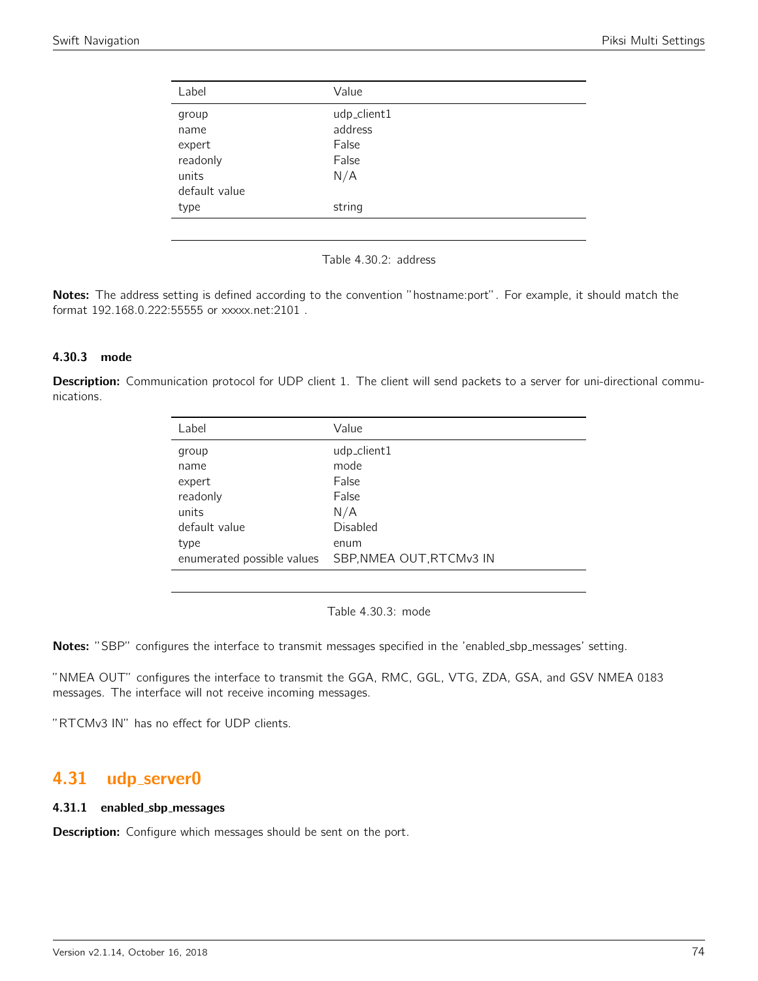| Label         | Value       |  |
|---------------|-------------|--|
| group         | udp_client1 |  |
| name          | address     |  |
| expert        | False       |  |
| readonly      | False       |  |
| units         | N/A         |  |
| default value |             |  |
| type          | string      |  |
|               |             |  |

Table 4.30.2: address

Notes: The address setting is defined according to the convention "hostname:port". For example, it should match the format 192.168.0.222:55555 or xxxxx.net:2101 .

## 4.30.3 mode

Description: Communication protocol for UDP client 1. The client will send packets to a server for uni-directional communications.

| Label         | Value                                                  |
|---------------|--------------------------------------------------------|
| group         | udp_client1                                            |
| name          | mode                                                   |
| expert        | False                                                  |
| readonly      | False                                                  |
| units         | N/A                                                    |
| default value | Disabled                                               |
| type          | enum                                                   |
|               | enumerated possible values    SBP, NMEA OUT, RTCMv3 IN |

Table 4.30.3: mode

Notes: "SBP" configures the interface to transmit messages specified in the 'enabled\_sbp\_messages' setting.

"NMEA OUT" configures the interface to transmit the GGA, RMC, GGL, VTG, ZDA, GSA, and GSV NMEA 0183 messages. The interface will not receive incoming messages.

"RTCMv3 IN" has no effect for UDP clients.

# 4.31 udp server0

#### 4.31.1 enabled sbp messages

**Description:** Configure which messages should be sent on the port.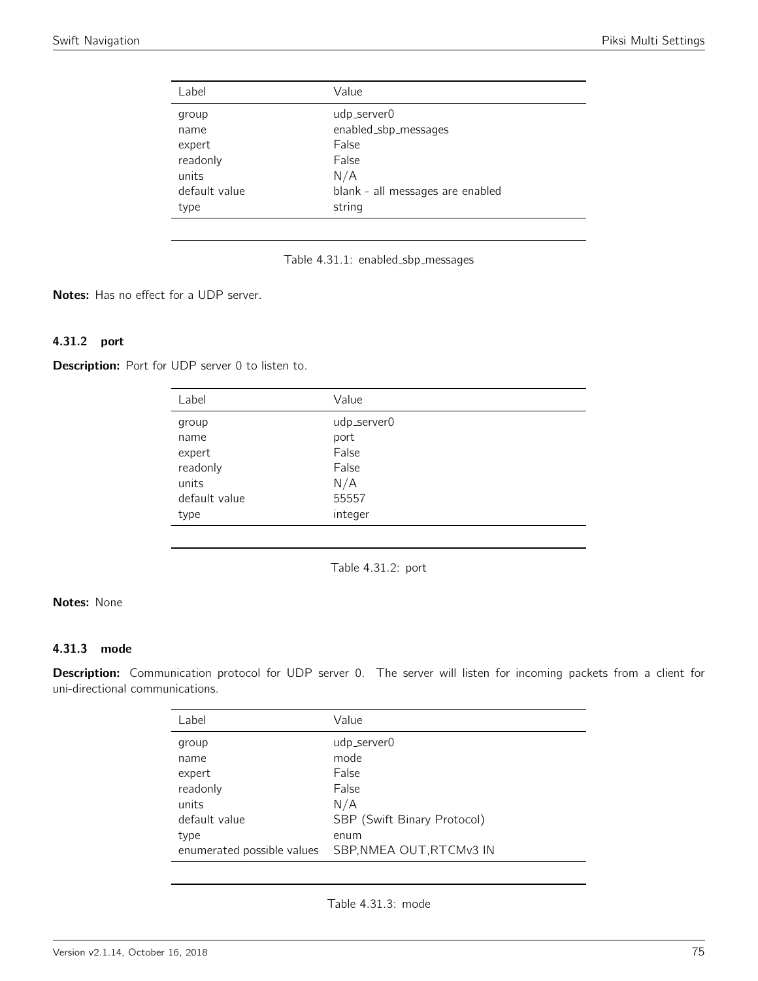| Label                                      | Value                                                      |  |
|--------------------------------------------|------------------------------------------------------------|--|
| group<br>name<br>expert                    | udp_server0<br>enabled_sbp_messages<br>False               |  |
| readonly<br>units<br>default value<br>type | False<br>N/A<br>blank - all messages are enabled<br>string |  |

Table 4.31.1: enabled\_sbp\_messages

Notes: Has no effect for a UDP server.

# 4.31.2 port

Description: Port for UDP server 0 to listen to.

| Label         | Value       |
|---------------|-------------|
| group         | udp_server0 |
| name          | port        |
| expert        | False       |
| readonly      | False       |
| units         | N/A         |
| default value | 55557       |
| type          | integer     |

Table 4.31.2: port

# Notes: None

## 4.31.3 mode

Description: Communication protocol for UDP server 0. The server will listen for incoming packets from a client for uni-directional communications.

| Label                      | Value                       |
|----------------------------|-----------------------------|
| group                      | udp_server0                 |
| name                       | mode                        |
| expert                     | False                       |
| readonly                   | False                       |
| units                      | N/A                         |
| default value              | SBP (Swift Binary Protocol) |
| type                       | enum                        |
| enumerated possible values | SBP, NMEA OUT, RTCMv3 IN    |
|                            |                             |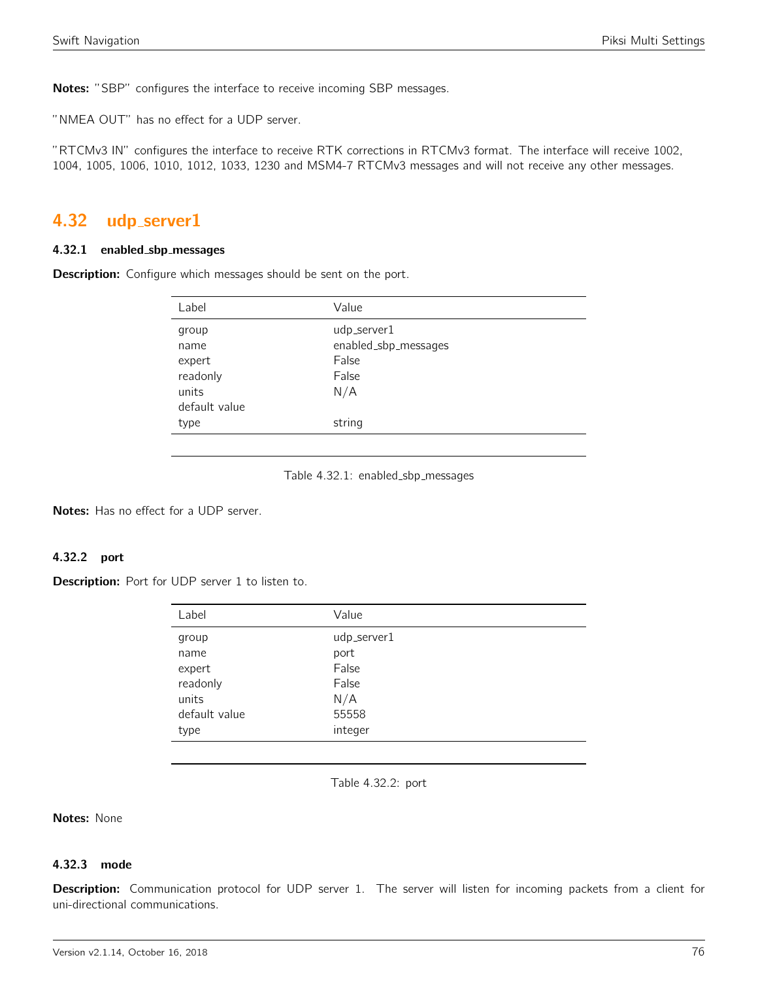Notes: "SBP" configures the interface to receive incoming SBP messages.

"NMEA OUT" has no effect for a UDP server.

"RTCMv3 IN" configures the interface to receive RTK corrections in RTCMv3 format. The interface will receive 1002, 1004, 1005, 1006, 1010, 1012, 1033, 1230 and MSM4-7 RTCMv3 messages and will not receive any other messages.

# 4.32 udp server1

#### 4.32.1 enabled sbp messages

**Description:** Configure which messages should be sent on the port.

| Label         | Value                |
|---------------|----------------------|
| group         | udp_server1          |
| name          | enabled_sbp_messages |
| expert        | False                |
| readonly      | False                |
| units         | N/A                  |
| default value |                      |
| type          | string               |
|               |                      |

#### Table 4.32.1: enabled\_sbp\_messages

Notes: Has no effect for a UDP server.

# 4.32.2 port

Description: Port for UDP server 1 to listen to.

| Label         | Value       |
|---------------|-------------|
| group         | udp_server1 |
| name          | port        |
| expert        | False       |
| readonly      | False       |
| units         | N/A         |
| default value | 55558       |
| type          | integer     |

Table 4.32.2: port

Notes: None

#### 4.32.3 mode

Description: Communication protocol for UDP server 1. The server will listen for incoming packets from a client for uni-directional communications.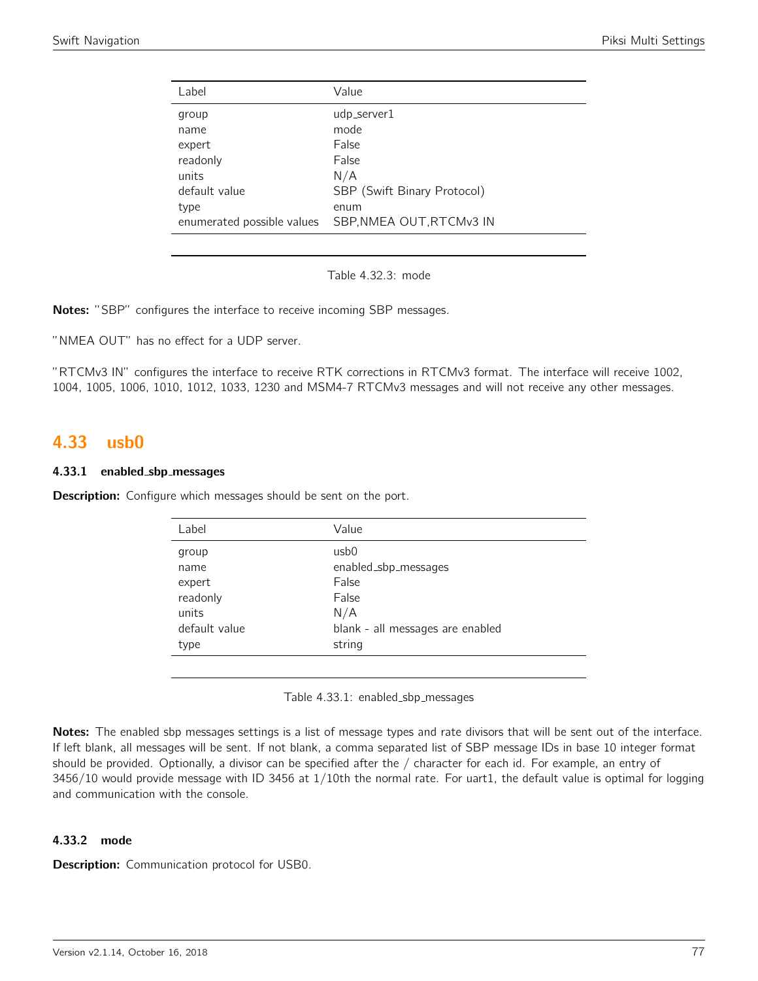| Value<br>Label<br>udp_server1<br>group<br>mode<br>name<br>False<br>expert<br>readonly<br>False<br>N/A<br>units<br>default value<br>SBP (Swift Binary Protocol)<br>type<br>enum<br>SBP, NMEA OUT, RTCMv3 IN<br>enumerated possible values |  |
|------------------------------------------------------------------------------------------------------------------------------------------------------------------------------------------------------------------------------------------|--|
|                                                                                                                                                                                                                                          |  |
|                                                                                                                                                                                                                                          |  |
|                                                                                                                                                                                                                                          |  |
|                                                                                                                                                                                                                                          |  |

Table 4.32.3: mode

Notes: "SBP" configures the interface to receive incoming SBP messages.

"NMEA OUT" has no effect for a UDP server.

"RTCMv3 IN" configures the interface to receive RTK corrections in RTCMv3 format. The interface will receive 1002, 1004, 1005, 1006, 1010, 1012, 1033, 1230 and MSM4-7 RTCMv3 messages and will not receive any other messages.

# 4.33 usb0

## 4.33.1 enabled sbp messages

**Description:** Configure which messages should be sent on the port.

| Label         | Value                            |
|---------------|----------------------------------|
| group         | usb0                             |
| name          | enabled_sbp_messages             |
| expert        | False                            |
| readonly      | False                            |
| units         | N/A                              |
| default value | blank - all messages are enabled |
| type          | string                           |
|               |                                  |

Table 4.33.1: enabled\_sbp\_messages

Notes: The enabled sbp messages settings is a list of message types and rate divisors that will be sent out of the interface. If left blank, all messages will be sent. If not blank, a comma separated list of SBP message IDs in base 10 integer format should be provided. Optionally, a divisor can be specified after the / character for each id. For example, an entry of 3456/10 would provide message with ID 3456 at 1/10th the normal rate. For uart1, the default value is optimal for logging and communication with the console.

## 4.33.2 mode

Description: Communication protocol for USB0.